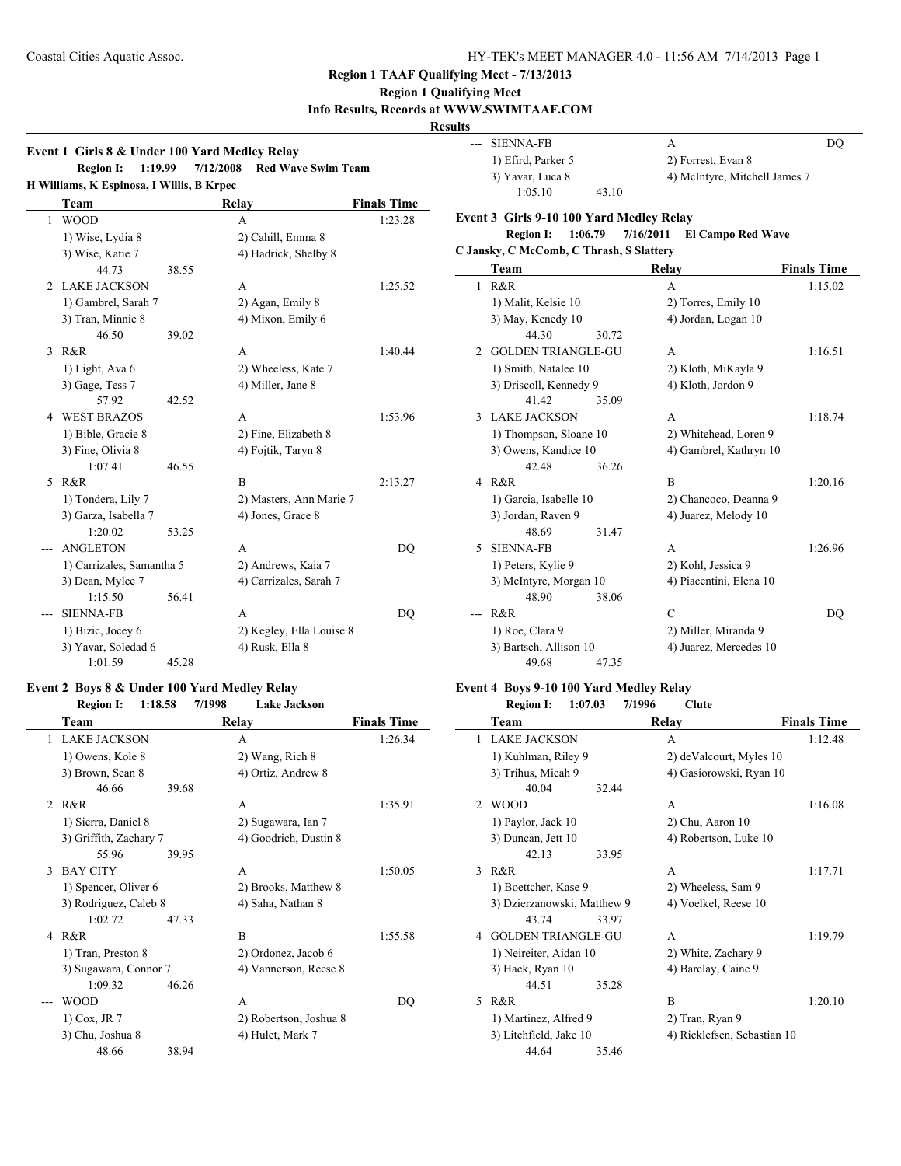### **Region 1 Qualifying Meet Info Results, Records at WWW.SWIMTAAF.COM**

## **Results**

|               | Event 1 Girls 8 & Under 100 Yard Medley Relay<br><b>Region I:</b><br>1:19.99 |       | 7/12/2008<br><b>Red Wave Swim Team</b> |                    |
|---------------|------------------------------------------------------------------------------|-------|----------------------------------------|--------------------|
|               | H Williams, K Espinosa, I Willis, B Krpec                                    |       |                                        |                    |
|               | Team                                                                         |       | <b>Relay</b>                           | <b>Finals Time</b> |
| 1             | <b>WOOD</b>                                                                  |       | A                                      | 1:23.28            |
|               | 1) Wise, Lydia 8                                                             |       | 2) Cahill, Emma 8                      |                    |
|               | 3) Wise, Katie 7                                                             |       | 4) Hadrick, Shelby 8                   |                    |
|               | 44.73                                                                        | 38.55 |                                        |                    |
| 2             | LAKE JACKSON                                                                 |       | A                                      | 1:25.52            |
|               | 1) Gambrel, Sarah 7                                                          |       | 2) Agan, Emily 8                       |                    |
|               | 3) Tran, Minnie 8                                                            |       | 4) Mixon, Emily 6                      |                    |
|               | 46.50                                                                        | 39.02 |                                        |                    |
| $\mathcal{F}$ | R&R                                                                          |       | A                                      | 1:40.44            |
|               | 1) Light, Ava 6                                                              |       | 2) Wheeless, Kate 7                    |                    |
|               | 3) Gage, Tess 7                                                              |       | 4) Miller, Jane 8                      |                    |
|               | 57.92                                                                        | 42.52 |                                        |                    |
| 4             | <b>WEST BRAZOS</b>                                                           |       | A                                      | 1:53.96            |
|               | 1) Bible, Gracie 8                                                           |       | 2) Fine, Elizabeth 8                   |                    |
|               | 3) Fine, Olivia 8                                                            |       | 4) Fojtik, Taryn 8                     |                    |
|               | 1:07.41                                                                      | 46.55 |                                        |                    |
| 5             | R&R                                                                          |       | B                                      | 2:13.27            |
|               | 1) Tondera, Lily 7                                                           |       | 2) Masters, Ann Marie 7                |                    |
|               | 3) Garza, Isabella 7                                                         |       | 4) Jones, Grace 8                      |                    |
|               | 1:20.02                                                                      | 53.25 |                                        |                    |
|               | <b>ANGLETON</b>                                                              |       | A                                      | DO                 |
|               | 1) Carrizales, Samantha 5                                                    |       | 2) Andrews, Kaia 7                     |                    |
|               | 3) Dean, Mylee 7                                                             |       | 4) Carrizales, Sarah 7                 |                    |
|               | 1:15.50                                                                      | 56.41 |                                        |                    |
|               | <b>SIENNA-FB</b>                                                             |       | A                                      | DO                 |
|               | 1) Bizic, Jocey 6                                                            |       | 2) Kegley, Ella Louise 8               |                    |
|               | 3) Yavar, Soledad 6                                                          |       | 4) Rusk, Ella 8                        |                    |
|               | 1:01.59                                                                      | 45.28 |                                        |                    |

### **Event 2 Boys 8 & Under 100 Yard Medley Relay Region I: 1:18.58 7/1998**

|                | <i>inceron i.</i><br>1.10.00 | 111770 | Lant vatnjon           |                    |
|----------------|------------------------------|--------|------------------------|--------------------|
|                | Team                         |        | Relay                  | <b>Finals Time</b> |
| 1              | <b>LAKE JACKSON</b>          |        | A                      | 1:26.34            |
|                | 1) Owens, Kole 8             |        | 2) Wang, Rich 8        |                    |
|                | 3) Brown, Sean 8             |        | 4) Ortiz, Andrew 8     |                    |
|                | 46.66                        | 39.68  |                        |                    |
| $\mathfrak{D}$ | R&R                          |        | A                      | 1:35.91            |
|                | 1) Sierra, Daniel 8          |        | 2) Sugawara, Ian 7     |                    |
|                | 3) Griffith, Zachary 7       |        | 4) Goodrich, Dustin 8  |                    |
|                | 55.96                        | 39.95  |                        |                    |
| 3              | <b>BAY CITY</b>              |        | A                      | 1:50.05            |
|                | 1) Spencer, Oliver 6         |        | 2) Brooks, Matthew 8   |                    |
|                | 3) Rodriguez, Caleb 8        |        | 4) Saha, Nathan 8      |                    |
|                | 1:02.72                      | 47.33  |                        |                    |
| 4              | R&R                          |        | B                      | 1:55.58            |
|                | 1) Tran, Preston 8           |        | 2) Ordonez, Jacob 6    |                    |
|                | 3) Sugawara, Connor 7        |        | 4) Vannerson, Reese 8  |                    |
|                | 1:09.32                      | 46.26  |                        |                    |
|                | <b>WOOD</b>                  |        | A                      | DQ                 |
|                | $1)$ Cox, JR $7$             |        | 2) Robertson, Joshua 8 |                    |
|                | 3) Chu, Joshua 8             |        | 4) Hulet, Mark 7       |                    |
|                | 48.66                        | 38.94  |                        |                    |

|    | <b>SIENNA-FB</b>                         |           | А                             | D <sub>O</sub>     |
|----|------------------------------------------|-----------|-------------------------------|--------------------|
|    | 1) Efird, Parker 5                       |           | 2) Forrest, Evan 8            |                    |
|    | 3) Yavar, Luca 8                         |           | 4) McIntyre, Mitchell James 7 |                    |
|    | 1:05.10                                  | 43.10     |                               |                    |
|    | Event 3 Girls 9-10 100 Yard Medley Relay |           |                               |                    |
|    | 1:06.79<br><b>Region I:</b>              | 7/16/2011 | <b>El Campo Red Wave</b>      |                    |
|    | C Jansky, C McComb, C Thrash, S Slattery |           |                               |                    |
|    | Team                                     |           | Relay                         | <b>Finals Time</b> |
| 1  | R&R                                      |           | A                             | 1:15.02            |
|    |                                          |           |                               |                    |
|    | 1) Malit, Kelsie 10                      |           | 2) Torres, Emily 10           |                    |
|    | 3) May, Kenedy 10                        |           | 4) Jordan, Logan 10           |                    |
|    | 44.30                                    | 30.72     |                               |                    |
| 2  | <b>GOLDEN TRIANGLE-GU</b>                |           | A                             | 1:16.51            |
|    | 1) Smith, Natalee 10                     |           | 2) Kloth, MiKayla 9           |                    |
|    | 3) Driscoll, Kennedy 9                   |           | 4) Kloth, Jordon 9            |                    |
|    | 41.42                                    | 35.09     |                               |                    |
| 3  | <b>LAKE JACKSON</b>                      |           | A                             | 1:18.74            |
|    | 1) Thompson, Sloane 10                   |           | 2) Whitehead, Loren 9         |                    |
|    | 3) Owens, Kandice 10                     |           | 4) Gambrel, Kathryn 10        |                    |
|    | 42.48                                    | 36.26     |                               |                    |
| 4  | R&R                                      |           | $\overline{B}$                | 1:20.16            |
|    | 1) Garcia, Isabelle 10                   |           | 2) Chancoco, Deanna 9         |                    |
|    | 3) Jordan, Raven 9                       |           | 4) Juarez, Melody 10          |                    |
|    | 48.69                                    | 31.47     |                               |                    |
| 5. | <b>SIENNA-FB</b>                         |           | A                             | 1:26.96            |
|    | 1) Peters, Kylie 9                       |           | 2) Kohl, Jessica 9            |                    |
|    | 3) McIntyre, Morgan 10                   |           | 4) Piacentini, Elena 10       |                    |
|    | 48.90                                    | 38.06     |                               |                    |
|    | R&R                                      |           | $\mathcal{C}$                 | DQ                 |
|    | 1) Roe, Clara 9                          |           | 2) Miller, Miranda 9          |                    |
|    | 3) Bartsch, Allison 10                   |           | 4) Juarez, Mercedes 10        |                    |
|    | 49.68                                    | 47.35     |                               |                    |

## **Event 4 Boys 9-10 100 Yard Medley Relay**

 $\overline{\phantom{a}}$ 

|                | <b>Region I:</b><br>1:07.03 | 7/1996 | <b>Clute</b>                |                    |
|----------------|-----------------------------|--------|-----------------------------|--------------------|
|                | Team                        |        | Relay                       | <b>Finals Time</b> |
| 1              | <b>LAKE JACKSON</b>         |        | A                           | 1:12.48            |
|                | 1) Kuhlman, Riley 9         |        | 2) deValcourt, Myles 10     |                    |
|                | 3) Trihus, Micah 9          |        | 4) Gasiorowski, Ryan 10     |                    |
|                | 40.04                       | 32.44  |                             |                    |
| $\mathfrak{D}$ | <b>WOOD</b>                 |        | A                           | 1:16.08            |
|                | 1) Paylor, Jack 10          |        | 2) Chu, Aaron 10            |                    |
|                | 3) Duncan, Jett 10          |        | 4) Robertson, Luke 10       |                    |
|                | 42.13                       | 33.95  |                             |                    |
| $\mathbf{3}$   | R & R                       |        | A                           | 1:17.71            |
|                | 1) Boettcher, Kase 9        |        | 2) Wheeless, Sam 9          |                    |
|                | 3) Dzierzanowski, Matthew 9 |        | 4) Voelkel, Reese 10        |                    |
|                | 43.74                       | 33.97  |                             |                    |
| 4              | <b>GOLDEN TRIANGLE-GU</b>   |        | A                           | 1:19.79            |
|                | 1) Neireiter, Aidan 10      |        | 2) White, Zachary 9         |                    |
|                | 3) Hack, Ryan 10            |        | 4) Barclay, Caine 9         |                    |
|                | 44.51                       | 35.28  |                             |                    |
| 5              | R&R                         |        | B                           | 1:20.10            |
|                | 1) Martinez, Alfred 9       |        | 2) Tran, Ryan 9             |                    |
|                | 3) Litchfield, Jake 10      |        | 4) Ricklefsen, Sebastian 10 |                    |
|                | 44.64                       | 35.46  |                             |                    |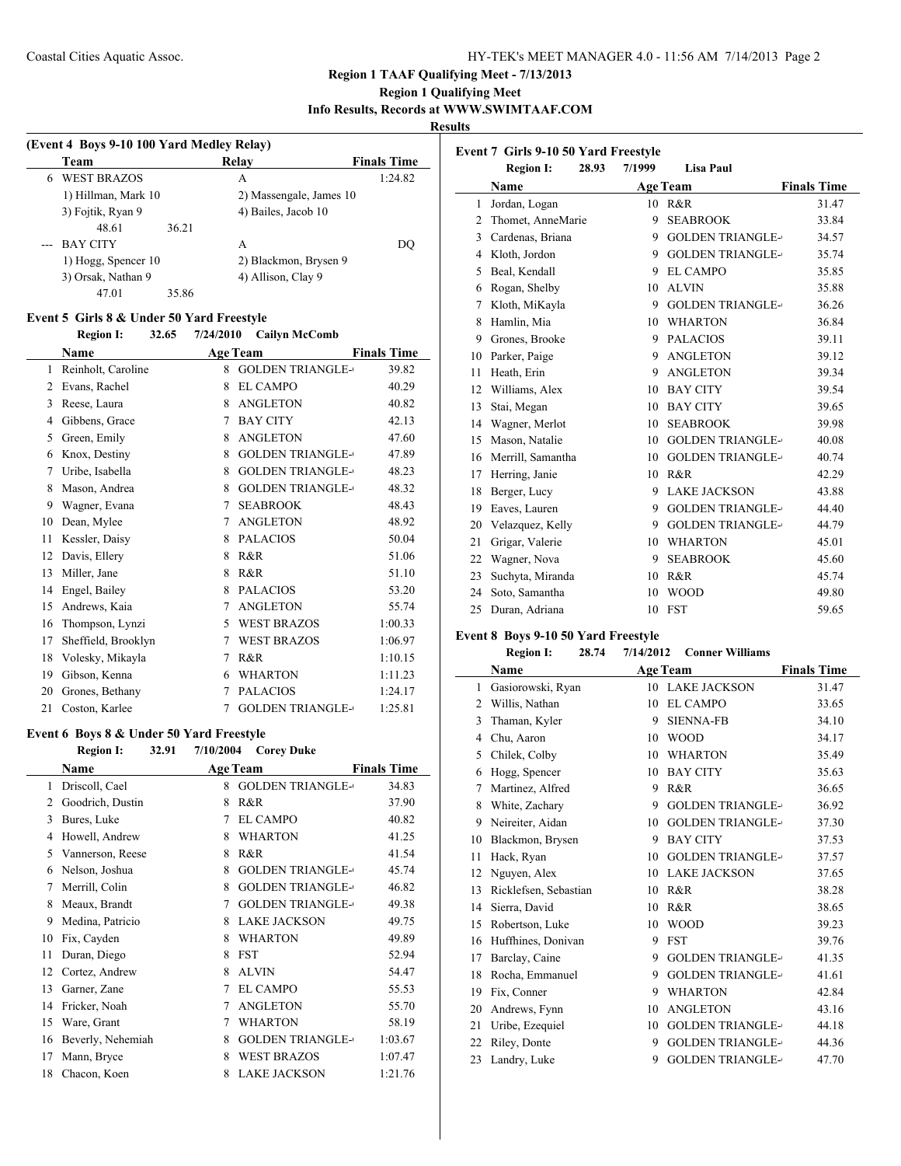### Coastal Cities Aquatic Assoc. HY-TEK's MEET MANAGER 4.0 - 11:56 AM 7/14/2013 Page 2

#### **Region 1 TAAF Qualifying Meet - 7/13/2013**

### **Region 1 Qualifying Meet**

**Info Results, Records at WWW.SWIMTAAF.COM**

#### **Results**

| (Event 4 Boys 9-10 100 Yard Medley Relay) |                     |       |                         |                    |  |
|-------------------------------------------|---------------------|-------|-------------------------|--------------------|--|
|                                           | Team                |       | Relay                   | <b>Finals Time</b> |  |
| 6                                         | <b>WEST BRAZOS</b>  |       | А                       | 1:24.82            |  |
|                                           | 1) Hillman, Mark 10 |       | 2) Massengale, James 10 |                    |  |
|                                           | 3) Fojtik, Ryan 9   |       | 4) Bailes, Jacob 10     |                    |  |
|                                           | 48.61               | 36.21 |                         |                    |  |
|                                           | <b>BAY CITY</b>     |       | А                       | DO                 |  |
|                                           | 1) Hogg, Spencer 10 |       | 2) Blackmon, Brysen 9   |                    |  |
|                                           | 3) Orsak, Nathan 9  |       | 4) Allison, Clay 9      |                    |  |
|                                           | 47.01               | 35.86 |                         |                    |  |

#### **Event 5 Girls 8 & Under 50 Yard Freestyle**

### **Region I: 32.65 7/24/2010 Cailyn McComb Name Age Team Finals Time** 1 Reinholt, Caroline 8 GOLDEN TRIANGLE-39.82 2 Evans, Rachel 8 EL CAMPO 40.29 3 Reese, Laura 8 ANGLETON 40.82 Gibbens, Grace 7 BAY CITY 42.13 5 Green, Emily 8 ANGLETON 47.60 6 Knox, Destiny 8 GOLDEN TRIANGLE-47.89 7 Uribe, Isabella 8 GOLDEN TRIANGLE- 48.23 8 Mason, Andrea 8 GOLDEN TRIANGLE-48.32 9 Wagner, Evana 7 SEABROOK 48.43 10 Dean, Mylee 7 ANGLETON 48.92 11 Kessler, Daisy 8 PALACIOS 50.04 12 Davis, Ellery 8 R&R 51.06 13 Miller, Jane 8 R&R 51.10 14 Engel, Bailey 8 PALACIOS 53.20 15 Andrews, Kaia 7 ANGLETON 55.74 16 Thompson, Lynzi 5 WEST BRAZOS 1:00.33 17 Sheffield, Brooklyn 7 WEST BRAZOS 1:06.97 18 Volesky, Mikayla 7 R&R 1:10.15 Gibson, Kenna 6 WHARTON 1:11.23 20 Grones, Bethany 7 PALACIOS 1:24.17 21 Coston, Karlee 7 GOLDEN TRIANGLE-1:25.81

#### **Event 6 Boys 8 & Under 50 Yard Freestyle**

|    | <b>Region I:</b>  | 32.91 | 7/10/2004       | <b>Corey Duke</b>       |                    |  |
|----|-------------------|-------|-----------------|-------------------------|--------------------|--|
|    | <b>Name</b>       |       | <b>Age Team</b> |                         | <b>Finals Time</b> |  |
| 1  | Driscoll, Cael    |       | 8               | <b>GOLDEN TRIANGLE-</b> | 34.83              |  |
| 2  | Goodrich, Dustin  |       | 8               | R&R                     | 37.90              |  |
| 3  | Bures, Luke       |       | 7               | <b>EL CAMPO</b>         | 40.82              |  |
| 4  | Howell, Andrew    |       | 8               | <b>WHARTON</b>          | 41.25              |  |
| 5  | Vannerson, Reese  |       | 8               | R&R                     | 41.54              |  |
| 6  | Nelson, Joshua    |       | 8               | <b>GOLDEN TRIANGLE-</b> | 45.74              |  |
| 7  | Merrill, Colin    |       | 8               | <b>GOLDEN TRIANGLE-</b> | 46.82              |  |
| 8  | Meaux, Brandt     |       | 7               | <b>GOLDEN TRIANGLE-</b> | 49.38              |  |
| 9  | Medina, Patricio  |       | 8               | <b>LAKE JACKSON</b>     | 49.75              |  |
| 10 | Fix, Cayden       |       | 8               | <b>WHARTON</b>          | 49.89              |  |
| 11 | Duran, Diego      |       | 8               | <b>FST</b>              | 52.94              |  |
| 12 | Cortez, Andrew    |       | 8               | <b>ALVIN</b>            | 54.47              |  |
| 13 | Garner, Zane      |       | 7               | <b>EL CAMPO</b>         | 55.53              |  |
| 14 | Fricker, Noah     |       | 7               | <b>ANGLETON</b>         | 55.70              |  |
| 15 | Ware, Grant       |       | 7               | <b>WHARTON</b>          | 58.19              |  |
| 16 | Beverly, Nehemiah |       | 8               | <b>GOLDEN TRIANGLE-</b> | 1:03.67            |  |
| 17 | Mann, Bryce       |       | 8               | <b>WEST BRAZOS</b>      | 1:07.47            |  |
| 18 | Chacon, Koen      |       | 8               | <b>LAKE JACKSON</b>     | 1:21.76            |  |

|                | Event 7 Girls 9-10 50 Yard Freestyle |       |        |                         |                    |
|----------------|--------------------------------------|-------|--------|-------------------------|--------------------|
|                | <b>Region I:</b>                     | 28.93 | 7/1999 | <b>Lisa Paul</b>        |                    |
|                | Name                                 |       |        | <b>Age Team</b>         | <b>Finals Time</b> |
| 1              | Jordan, Logan                        |       | 10     | R&R                     | 31.47              |
| $\overline{c}$ | Thomet, AnneMarie                    |       | 9      | <b>SEABROOK</b>         | 33.84              |
| 3              | Cardenas, Briana                     |       | 9      | <b>GOLDEN TRIANGLE-</b> | 34.57              |
| 4              | Kloth, Jordon                        |       | 9      | <b>GOLDEN TRIANGLE-</b> | 35.74              |
| 5              | Beal, Kendall                        |       | 9      | EL CAMPO                | 35.85              |
| 6              | Rogan, Shelby                        |       | 10     | <b>ALVIN</b>            | 35.88              |
| 7              | Kloth, MiKayla                       |       | 9      | <b>GOLDEN TRIANGLE-</b> | 36.26              |
| 8              | Hamlin, Mia                          |       | 10     | <b>WHARTON</b>          | 36.84              |
| 9              | Grones, Brooke                       |       | 9      | <b>PALACIOS</b>         | 39.11              |
| 10             | Parker, Paige                        |       | 9      | <b>ANGLETON</b>         | 39.12              |
| 11             | Heath, Erin                          |       | 9      | <b>ANGLETON</b>         | 39.34              |
| 12             | Williams, Alex                       |       | 10     | <b>BAY CITY</b>         | 39.54              |
| 13             | Stai, Megan                          |       | 10     | <b>BAY CITY</b>         | 39.65              |
| 14             | Wagner, Merlot                       |       | 10     | <b>SEABROOK</b>         | 39.98              |
| 15             | Mason, Natalie                       |       | 10     | <b>GOLDEN TRIANGLE-</b> | 40.08              |
| 16             | Merrill, Samantha                    |       | 10     | <b>GOLDEN TRIANGLE-</b> | 40.74              |
| 17             | Herring, Janie                       |       | 10     | R&R                     | 42.29              |
| 18             | Berger, Lucy                         |       | 9      | <b>LAKE JACKSON</b>     | 43.88              |
| 19             | Eaves, Lauren                        |       | 9      | <b>GOLDEN TRIANGLE-</b> | 44.40              |
| 20             | Velazquez, Kelly                     |       | 9      | <b>GOLDEN TRIANGLE-</b> | 44.79              |
| 21             | Grigar, Valerie                      |       | 10     | <b>WHARTON</b>          | 45.01              |
| 22             | Wagner, Nova                         |       | 9      | <b>SEABROOK</b>         | 45.60              |
| 23             | Suchyta, Miranda                     |       | 10     | R&R                     | 45.74              |
| 24             | Soto, Samantha                       |       | 10     | <b>WOOD</b>             | 49.80              |
| 25             | Duran, Adriana                       |       | 10     | <b>FST</b>              | 59.65              |

### **Event 8 Boys 9-10 50 Yard Freestyle**

#### **Region I: 28.74 7/14/2012 Conner Williams**

|    | Name                  |    | <b>Age Team</b>         | <b>Finals Time</b> |
|----|-----------------------|----|-------------------------|--------------------|
| 1  | Gasiorowski, Ryan     | 10 | <b>LAKE JACKSON</b>     | 31.47              |
| 2  | Willis, Nathan        | 10 | <b>EL CAMPO</b>         | 33.65              |
| 3  | Thaman, Kyler         | 9  | <b>SIENNA-FB</b>        | 34.10              |
| 4  | Chu, Aaron            | 10 | <b>WOOD</b>             | 34.17              |
| 5  | Chilek, Colby         | 10 | <b>WHARTON</b>          | 35.49              |
| 6  | Hogg, Spencer         | 10 | <b>BAY CITY</b>         | 35.63              |
| 7  | Martinez, Alfred      | 9  | R&R                     | 36.65              |
| 8  | White, Zachary        | 9  | <b>GOLDEN TRIANGLE-</b> | 36.92              |
| 9  | Neireiter, Aidan      | 10 | <b>GOLDEN TRIANGLE-</b> | 37.30              |
| 10 | Blackmon, Brysen      | 9  | <b>BAY CITY</b>         | 37.53              |
| 11 | Hack, Ryan            | 10 | <b>GOLDEN TRIANGLE-</b> | 37.57              |
| 12 | Nguyen, Alex          | 10 | <b>LAKE JACKSON</b>     | 37.65              |
| 13 | Ricklefsen, Sebastian | 10 | R&R                     | 38.28              |
| 14 | Sierra, David         | 10 | R&R                     | 38.65              |
| 15 | Robertson, Luke       | 10 | <b>WOOD</b>             | 39.23              |
| 16 | Huffhines, Donivan    | 9  | <b>FST</b>              | 39.76              |
| 17 | Barclay, Caine        | 9  | <b>GOLDEN TRIANGLE-</b> | 41.35              |
| 18 | Rocha, Emmanuel       | 9  | <b>GOLDEN TRIANGLE-</b> | 41.61              |
| 19 | Fix, Conner           | 9  | <b>WHARTON</b>          | 42.84              |
| 20 | Andrews, Fynn         | 10 | <b>ANGLETON</b>         | 43.16              |
| 21 | Uribe, Ezequiel       | 10 | <b>GOLDEN TRIANGLE-</b> | 44.18              |
| 22 | Riley, Donte          | 9  | <b>GOLDEN TRIANGLE-</b> | 44.36              |
| 23 | Landry, Luke          | 9  | <b>GOLDEN TRIANGLE-</b> | 47.70              |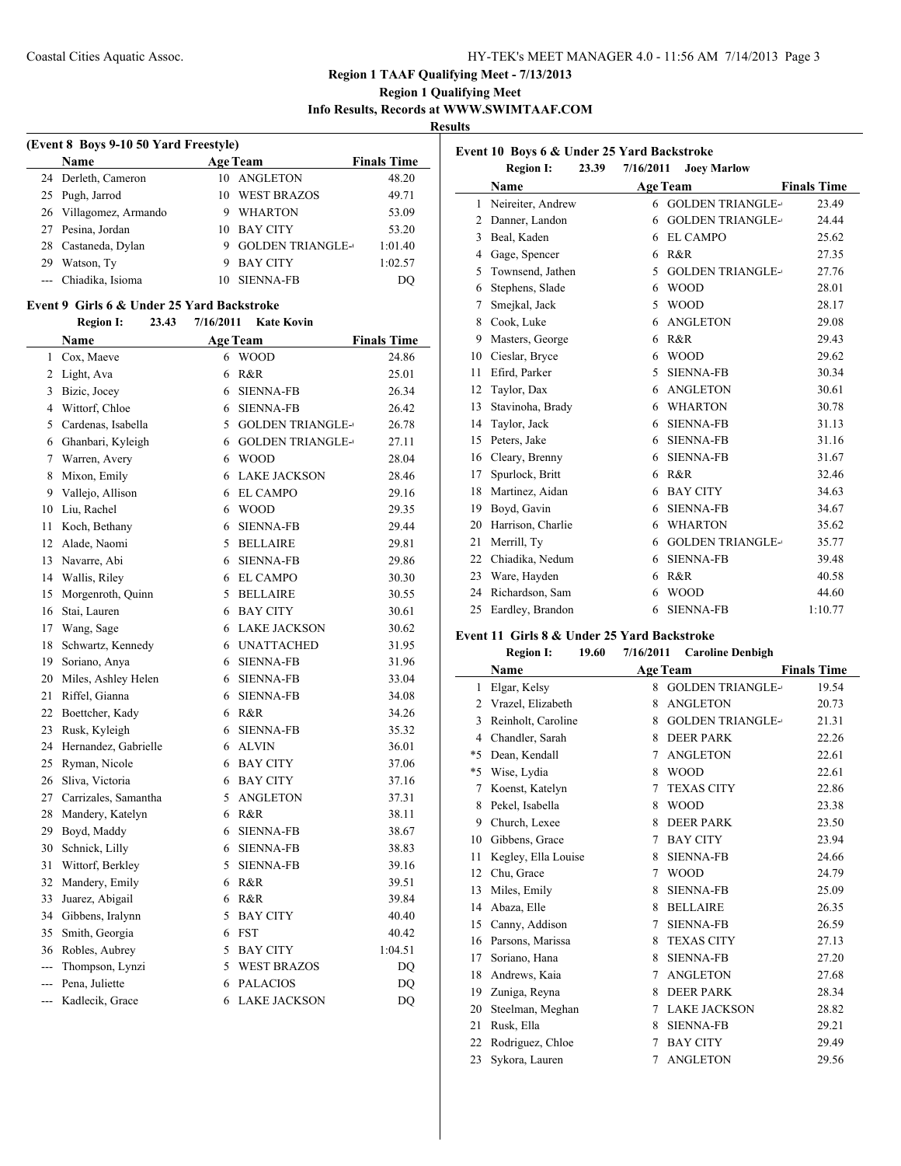### **Region 1 Qualifying Meet Info Results, Records at WWW.SWIMTAAF.COM**

**Results**

| (Event 8 Boys 9-10 50 Yard Freestyle) |                        |    |                         |                    |  |  |
|---------------------------------------|------------------------|----|-------------------------|--------------------|--|--|
|                                       | <b>Name</b>            |    | <b>Age Team</b>         | <b>Finals Time</b> |  |  |
|                                       | 24 Derleth, Cameron    |    | 10 ANGLETON             | 48.20              |  |  |
|                                       | 25 Pugh, Jarrod        |    | 10 WEST BRAZOS          | 49.71              |  |  |
|                                       | 26 Villagomez, Armando | 9  | <b>WHARTON</b>          | 53.09              |  |  |
|                                       | 27 Pesina, Jordan      | 10 | <b>BAY CITY</b>         | 53.20              |  |  |
|                                       | 28 Castaneda, Dylan    |    | <b>GOLDEN TRIANGLE-</b> | 1:01.40            |  |  |
| 29                                    | Watson, Ty             | 9  | <b>BAY CITY</b>         | 1:02.57            |  |  |
|                                       | --- Chiadika, Isioma   |    | <b>SIENNA-FB</b>        | DO                 |  |  |

#### **Event 9 Girls 6 & Under 25 Yard Backstroke**

| <b>Age Team</b><br><b>Finals Time</b><br><b>WOOD</b><br>24.86 |
|---------------------------------------------------------------|
|                                                               |
|                                                               |
| R&R<br>25.01                                                  |
| <b>SIENNA-FB</b><br>26.34                                     |
| <b>SIENNA-FB</b><br>26.42                                     |
| 26.78<br><b>GOLDEN TRIANGLE-</b>                              |
| <b>GOLDEN TRIANGLE-</b><br>27.11                              |
| <b>WOOD</b><br>28.04                                          |
| <b>LAKE JACKSON</b><br>28.46                                  |
| <b>EL CAMPO</b><br>29.16                                      |
| <b>WOOD</b><br>29.35                                          |
| 29.44<br><b>SIENNA-FB</b>                                     |
| <b>BELLAIRE</b><br>29.81                                      |
| <b>SIENNA-FB</b><br>29.86                                     |
| <b>EL CAMPO</b><br>30.30                                      |
| <b>BELLAIRE</b><br>30.55                                      |
| <b>BAY CITY</b><br>30.61                                      |
| <b>LAKE JACKSON</b><br>30.62                                  |
| <b>UNATTACHED</b><br>31.95                                    |
| <b>SIENNA-FB</b><br>31.96                                     |
| <b>SIENNA-FB</b><br>33.04                                     |
| <b>SIENNA-FB</b><br>34.08                                     |
| R&R<br>34.26                                                  |
| <b>SIENNA-FB</b><br>35.32                                     |
| <b>ALVIN</b><br>36.01                                         |
| <b>BAY CITY</b><br>37.06                                      |
| <b>BAY CITY</b><br>37.16                                      |
| <b>ANGLETON</b><br>37.31                                      |
| R&R<br>38.11                                                  |
| <b>SIENNA-FB</b><br>38.67                                     |
| <b>SIENNA-FB</b><br>38.83                                     |
| <b>SIENNA-FB</b><br>39.16                                     |
| R&R<br>39.51                                                  |
| R&R<br>39.84                                                  |
| <b>BAY CITY</b><br>40.40                                      |
| 40.42                                                         |
| <b>BAY CITY</b><br>1:04.51                                    |
| <b>WEST BRAZOS</b><br>DQ                                      |
| <b>PALACIOS</b><br>DQ                                         |
| <b>LAKE JACKSON</b><br>DQ                                     |
|                                                               |

| Event 10 Boys 6 & Under 25 Yard Backstroke |                           |           |                           |                    |  |  |
|--------------------------------------------|---------------------------|-----------|---------------------------|--------------------|--|--|
|                                            | <b>Region I:</b><br>23.39 | 7/16/2011 | <b>Joey Marlow</b>        |                    |  |  |
|                                            | Name                      |           | <b>Age Team</b>           | <b>Finals Time</b> |  |  |
| 1                                          | Neireiter, Andrew         |           | <b>6 GOLDEN TRIANGLE-</b> | 23.49              |  |  |
| 2                                          | Danner, Landon            | 6         | <b>GOLDEN TRIANGLE-</b>   | 24.44              |  |  |
| 3                                          | Beal, Kaden               | 6         | <b>EL CAMPO</b>           | 25.62              |  |  |
| 4                                          | Gage, Spencer             | 6         | R&R                       | 27.35              |  |  |
| 5                                          | Townsend, Jathen          | 5         | <b>GOLDEN TRIANGLE-</b>   | 27.76              |  |  |
| 6                                          | Stephens, Slade           | 6         | <b>WOOD</b>               | 28.01              |  |  |
| 7                                          | Smejkal, Jack             | 5         | <b>WOOD</b>               | 28.17              |  |  |
| 8                                          | Cook, Luke                | 6         | <b>ANGLETON</b>           | 29.08              |  |  |
| 9                                          | Masters, George           | 6         | R&R                       | 29.43              |  |  |
| 10                                         | Cieslar, Bryce            | 6         | <b>WOOD</b>               | 29.62              |  |  |
| 11                                         | Efird, Parker             | 5         | <b>SIENNA-FB</b>          | 30.34              |  |  |
| 12                                         | Taylor, Dax               | 6         | <b>ANGLETON</b>           | 30.61              |  |  |
| 13                                         | Stavinoha, Brady          | 6         | <b>WHARTON</b>            | 30.78              |  |  |
| 14                                         | Taylor, Jack              | 6         | <b>SIENNA-FB</b>          | 31.13              |  |  |
| 15                                         | Peters, Jake              | 6         | <b>SIENNA-FB</b>          | 31.16              |  |  |
| 16                                         | Cleary, Brenny            | 6         | <b>SIENNA-FB</b>          | 31.67              |  |  |
| 17                                         | Spurlock, Britt           | 6         | R&R                       | 32.46              |  |  |
| 18                                         | Martinez, Aidan           | 6         | <b>BAY CITY</b>           | 34.63              |  |  |
| 19                                         | Boyd, Gavin               | 6         | <b>SIENNA-FB</b>          | 34.67              |  |  |
| 20                                         | Harrison, Charlie         | 6         | <b>WHARTON</b>            | 35.62              |  |  |
| 21                                         | Merrill, Ty               | 6         | <b>GOLDEN TRIANGLE-</b>   | 35.77              |  |  |
| 22                                         | Chiadika, Nedum           | 6         | <b>SIENNA-FB</b>          | 39.48              |  |  |
| 23                                         | Ware, Hayden              | 6         | R&R                       | 40.58              |  |  |
| 24                                         | Richardson, Sam           | 6         | <b>WOOD</b>               | 44.60              |  |  |
| 25                                         | Eardley, Brandon          | 6         | <b>SIENNA-FB</b>          | 1:10.77            |  |  |

### **Event 11 Girls 8 & Under 25 Yard Backstroke**

| 7/16/2011<br>19.60<br><b>Region I:</b><br><b>Caroline Denbigh</b> |  |
|-------------------------------------------------------------------|--|
|-------------------------------------------------------------------|--|

|      | Name                |   | <b>Age Team</b>         | <b>Finals Time</b> |
|------|---------------------|---|-------------------------|--------------------|
| 1    | Elgar, Kelsy        | 8 | <b>GOLDEN TRIANGLE-</b> | 19.54              |
| 2    | Vrazel, Elizabeth   | 8 | <b>ANGLETON</b>         | 20.73              |
| 3    | Reinholt, Caroline  | 8 | <b>GOLDEN TRIANGLE-</b> | 21.31              |
| 4    | Chandler, Sarah     | 8 | <b>DEER PARK</b>        | 22.26              |
| $*5$ | Dean, Kendall       | 7 | <b>ANGLETON</b>         | 22.61              |
| $*5$ | Wise, Lydia         | 8 | <b>WOOD</b>             | 22.61              |
| 7    | Koenst, Katelyn     | 7 | <b>TEXAS CITY</b>       | 22.86              |
| 8    | Pekel, Isabella     | 8 | <b>WOOD</b>             | 23.38              |
| 9    | Church, Lexee       | 8 | <b>DEER PARK</b>        | 23.50              |
| 10   | Gibbens, Grace      | 7 | <b>BAY CITY</b>         | 23.94              |
| 11   | Kegley, Ella Louise | 8 | <b>SIENNA-FB</b>        | 24.66              |
| 12   | Chu, Grace          | 7 | <b>WOOD</b>             | 24.79              |
| 13   | Miles, Emily        | 8 | <b>SIENNA-FB</b>        | 25.09              |
| 14   | Abaza, Elle         | 8 | <b>BELLAIRE</b>         | 26.35              |
| 15   | Canny, Addison      | 7 | <b>SIENNA-FB</b>        | 26.59              |
| 16   | Parsons, Marissa    | 8 | <b>TEXAS CITY</b>       | 27.13              |
| 17   | Soriano, Hana       | 8 | <b>SIENNA-FB</b>        | 27.20              |
| 18   | Andrews, Kaia       | 7 | <b>ANGLETON</b>         | 27.68              |
| 19   | Zuniga, Reyna       | 8 | <b>DEER PARK</b>        | 28.34              |
| 20   | Steelman, Meghan    | 7 | <b>LAKE JACKSON</b>     | 28.82              |
| 21   | Rusk, Ella          | 8 | <b>SIENNA-FB</b>        | 29.21              |
| 22   | Rodriguez, Chloe    | 7 | <b>BAY CITY</b>         | 29.49              |
| 23   | Sykora, Lauren      | 7 | <b>ANGLETON</b>         | 29.56              |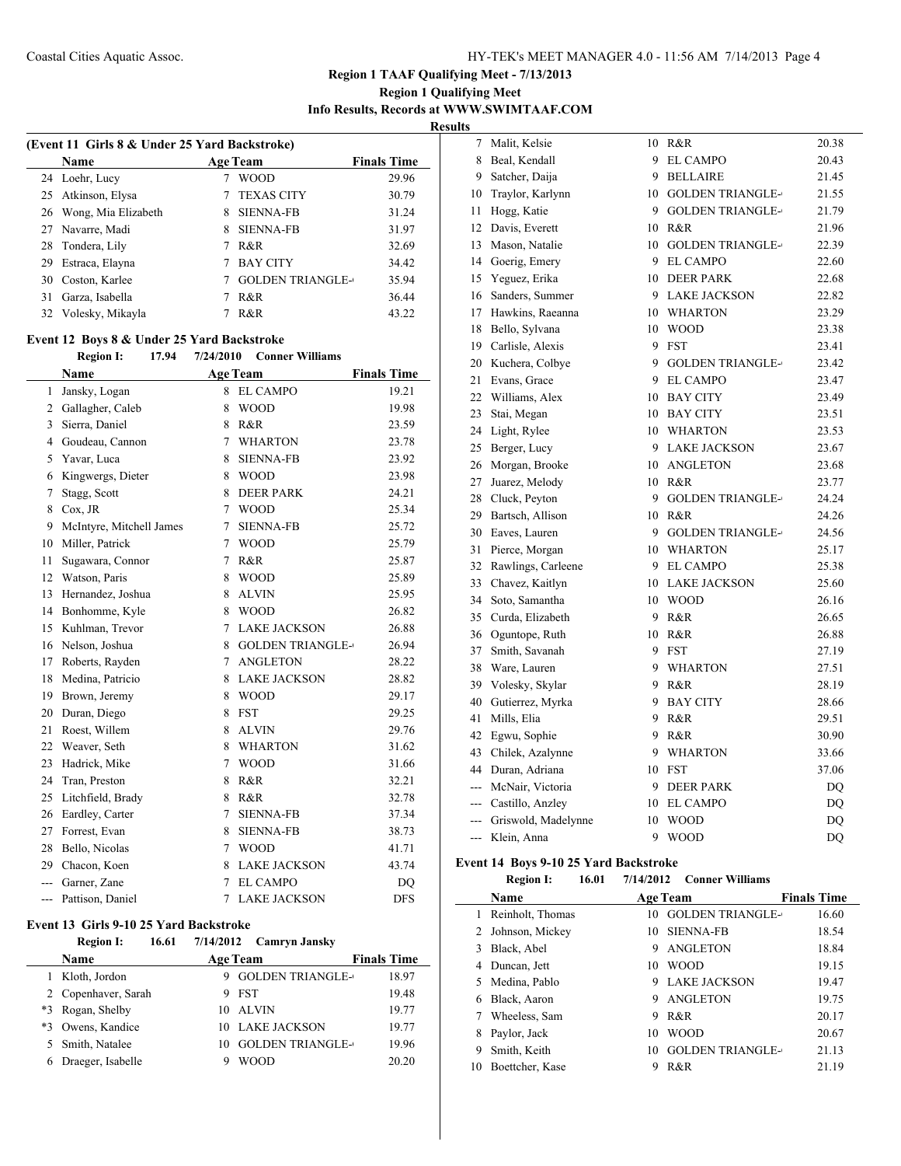### **Region 1 Qualifying Meet Info Results, Records at WWW.SWIMTAAF.COM Results**

| (Event 11 Girls 8 & Under 25 Yard Backstroke) |   |                   |                                            |  |  |
|-----------------------------------------------|---|-------------------|--------------------------------------------|--|--|
| <b>Name</b>                                   |   |                   | <b>Finals Time</b>                         |  |  |
| 24 Loehr, Lucy                                |   | <b>WOOD</b>       | 29.96                                      |  |  |
| 25 Atkinson, Elysa                            |   | <b>TEXAS CITY</b> | 30.79                                      |  |  |
| 26 Wong, Mia Elizabeth                        | 8 | <b>SIENNA-FB</b>  | 31.24                                      |  |  |
| 27 Navarre, Madi                              | 8 | <b>SIENNA-FB</b>  | 31.97                                      |  |  |
| 28 Tondera, Lily                              |   | R&R               | 32.69                                      |  |  |
| Estraca, Elayna                               |   | <b>BAY CITY</b>   | 34.42                                      |  |  |
| 30 Coston, Karlee                             |   |                   | 35.94                                      |  |  |
| Garza, Isabella                               |   | R&R               | 36.44                                      |  |  |
| 32 Volesky, Mikayla                           |   | R&R               | 43.22                                      |  |  |
|                                               |   |                   | <b>Age Team</b><br><b>GOLDEN TRIANGLE-</b> |  |  |

## **Event 12 Boys 8 & Under 25 Yard Backstroke**

### **Region I: 17.94 7/24/2010 Conner Williams**

|                | <b>Name</b>              |   | <b>Age Team</b>         | <b>Finals Time</b> |
|----------------|--------------------------|---|-------------------------|--------------------|
| $\mathbf{1}$   | Jansky, Logan            | 8 | <b>EL CAMPO</b>         | 19.21              |
| $\overline{2}$ | Gallagher, Caleb         | 8 | <b>WOOD</b>             | 19.98              |
| 3              | Sierra, Daniel           | 8 | R&R                     | 23.59              |
| 4              | Goudeau, Cannon          | 7 | <b>WHARTON</b>          | 23.78              |
| 5              | Yavar, Luca              | 8 | <b>SIENNA-FB</b>        | 23.92              |
| 6              | Kingwergs, Dieter        | 8 | <b>WOOD</b>             | 23.98              |
| 7              | Stagg, Scott             | 8 | <b>DEER PARK</b>        | 24.21              |
| 8              | $Cox$ , JR               | 7 | <b>WOOD</b>             | 25.34              |
| 9              | McIntyre, Mitchell James | 7 | <b>SIENNA-FB</b>        | 25.72              |
| 10             | Miller, Patrick          | 7 | <b>WOOD</b>             | 25.79              |
| 11             | Sugawara, Connor         | 7 | R&R                     | 25.87              |
| 12             | Watson, Paris            | 8 | <b>WOOD</b>             | 25.89              |
| 13             | Hernandez, Joshua        | 8 | <b>ALVIN</b>            | 25.95              |
| 14             | Bonhomme, Kyle           | 8 | <b>WOOD</b>             | 26.82              |
| 15             | Kuhlman, Trevor          | 7 | <b>LAKE JACKSON</b>     | 26.88              |
| 16             | Nelson, Joshua           | 8 | <b>GOLDEN TRIANGLE-</b> | 26.94              |
| 17             | Roberts, Rayden          | 7 | <b>ANGLETON</b>         | 28.22              |
| 18             | Medina, Patricio         | 8 | <b>LAKE JACKSON</b>     | 28.82              |
| 19             | Brown, Jeremy            | 8 | <b>WOOD</b>             | 29.17              |
| 20             | Duran, Diego             | 8 | <b>FST</b>              | 29.25              |
| 21             | Roest, Willem            | 8 | <b>ALVIN</b>            | 29.76              |
| 22             | Weaver, Seth             | 8 | <b>WHARTON</b>          | 31.62              |
| 23             | Hadrick, Mike            | 7 | <b>WOOD</b>             | 31.66              |
| 24             | Tran, Preston            | 8 | R&R                     | 32.21              |
| 25             | Litchfield, Brady        | 8 | R&R                     | 32.78              |
| 26             | Eardley, Carter          | 7 | <b>SIENNA-FB</b>        | 37.34              |
| 27             | Forrest, Evan            | 8 | <b>SIENNA-FB</b>        | 38.73              |
| 28             | Bello, Nicolas           | 7 | <b>WOOD</b>             | 41.71              |
| 29             | Chacon, Koen             | 8 | <b>LAKE JACKSON</b>     | 43.74              |
| ---            | Garner, Zane             | 7 | <b>EL CAMPO</b>         | DQ                 |
| ---            | Pattison, Daniel         | 7 | <b>LAKE JACKSON</b>     | <b>DFS</b>         |

### **Event 13 Girls 9-10 25 Yard Backstroke**

Ĭ.

## **Region I: 16.61 7/14/2012 Camryn Jansky Name Age Team Finals Time**

| таше                |    | лес теаш                | тицаю типе |
|---------------------|----|-------------------------|------------|
| Kloth, Jordon       | 9  | <b>GOLDEN TRIANGLE-</b> | 18.97      |
| 2 Copenhaver, Sarah | 9. | <b>FST</b>              | 19.48      |
| *3 Rogan, Shelby    |    | 10 ALVIN                | 19.77      |
| *3 Owens, Kandice   |    | 10 LAKE JACKSON         | 19.77      |
| 5 Smith, Natalee    | 10 | <b>GOLDEN TRIANGLE-</b> | 19.96      |
| Draeger, Isabelle   |    | <b>WOOD</b>             | 20.20      |
|                     |    |                         |            |

| 8<br>Beal, Kendall<br>9 EL CAMPO                        | 20.43 |
|---------------------------------------------------------|-------|
| 9<br>Satcher, Daija<br>9<br><b>BELLAIRE</b>             | 21.45 |
| Traylor, Karlynn<br><b>GOLDEN TRIANGLE-</b><br>10<br>10 | 21.55 |
| 9 GOLDEN TRIANGLE-<br>11<br>Hogg, Katie                 | 21.79 |
| 12<br>Davis, Everett<br>10 R&R                          | 21.96 |
| <b>GOLDEN TRIANGLE-</b><br>13<br>Mason, Natalie<br>10   | 22.39 |
| 14<br>Goerig, Emery<br><b>EL CAMPO</b><br>9             | 22.60 |
| 15<br>Yeguez, Erika<br>10 DEER PARK                     | 22.68 |
| Sanders, Summer<br>9 LAKE JACKSON<br>16                 | 22.82 |
| Hawkins, Raeanna<br>17<br>10 WHARTON                    | 23.29 |
| 18<br>Bello, Sylvana<br>10<br><b>WOOD</b>               | 23.38 |
| 19<br>Carlisle, Alexis<br>9 FST                         | 23.41 |
| 20<br>Kuchera, Colbye<br>9 GOLDEN TRIANGLE-             | 23.42 |
| 21<br>9 EL CAMPO<br>Evans, Grace                        | 23.47 |
| 22<br>Williams, Alex<br><b>BAY CITY</b><br>10           | 23.49 |
| 23<br>Stai, Megan<br>10 BAY CITY                        | 23.51 |
| 24<br>Light, Rylee<br>10 WHARTON                        | 23.53 |
| 25<br>Berger, Lucy<br>9 LAKE JACKSON                    | 23.67 |
| 26<br>Morgan, Brooke<br>10 ANGLETON                     | 23.68 |
| 27<br>Juarez, Melody<br>10 R&R                          | 23.77 |
| 28<br>Cluck, Peyton<br><b>GOLDEN TRIANGLE-</b><br>9     | 24.24 |
| 29<br>Bartsch, Allison<br>10 R&R                        | 24.26 |
| 30<br>Eaves, Lauren<br>9 GOLDEN TRIANGLE-               | 24.56 |
| 31<br>Pierce, Morgan<br>10 WHARTON                      | 25.17 |
| 32<br>Rawlings, Carleene<br>9 EL CAMPO                  | 25.38 |
| 33<br>10 LAKE JACKSON<br>Chavez, Kaitlyn                | 25.60 |
| 34<br>Soto, Samantha<br>10 WOOD                         | 26.16 |
| 35<br>Curda, Elizabeth<br>9<br>R&R                      | 26.65 |
| 36<br>Oguntope, Ruth<br>10<br>R&R                       | 26.88 |
| Smith, Savanah<br>37<br>9.<br><b>FST</b>                | 27.19 |
| 38<br>Ware, Lauren<br>9 WHARTON                         | 27.51 |
| 39<br>Volesky, Skylar<br>9<br>R&R                       | 28.19 |
| 40<br>Gutierrez, Myrka<br>9<br><b>BAY CITY</b>          | 28.66 |
| 41<br>Mills, Elia<br>9 R&R                              | 29.51 |
| 42<br>Egwu, Sophie<br>9 R&R                             | 30.90 |
| 43<br>Chilek, Azalynne<br>9 WHARTON                     | 33.66 |
| 44<br>Duran, Adriana<br>10 FST                          | 37.06 |
| McNair, Victoria<br>9<br><b>DEER PARK</b><br>$---$      | DQ    |
| --- Castillo, Anzley<br>10 EL CAMPO                     | DQ    |
| --- Griswold, Madelynne<br><b>WOOD</b><br>10            | DQ    |
| 9<br><b>WOOD</b><br>Klein, Anna<br>---                  | DQ    |

### **Event 14 Boys 9-10 25 Yard Backstroke**

 $\overline{a}$ 

**Region I: 16.01 7/14/2012 Conner Williams**

|    | Name             |    | <b>Age Team</b>         | <b>Finals Time</b> |  |
|----|------------------|----|-------------------------|--------------------|--|
|    | Reinholt, Thomas | 10 | <b>GOLDEN TRIANGLE-</b> | 16.60              |  |
|    | Johnson, Mickey  | 10 | <b>SIENNA-FB</b>        | 18.54              |  |
|    | Black, Abel      | 9  | <b>ANGLETON</b>         | 18.84              |  |
| 4  | Duncan, Jett     | 10 | <b>WOOD</b>             | 19.15              |  |
|    | Medina, Pablo    | 9  | <b>LAKE JACKSON</b>     | 19.47              |  |
| 6  | Black, Aaron     | 9  | <b>ANGLETON</b>         | 19.75              |  |
|    | Wheeless, Sam    | 9  | R&R                     | 20.17              |  |
|    | Paylor, Jack     | 10 | <b>WOOD</b>             | 20.67              |  |
| 9  | Smith, Keith     | 10 | <b>GOLDEN TRIANGLE-</b> | 21.13              |  |
| 10 | Boettcher, Kase  | 9  | R&R                     | 21.19              |  |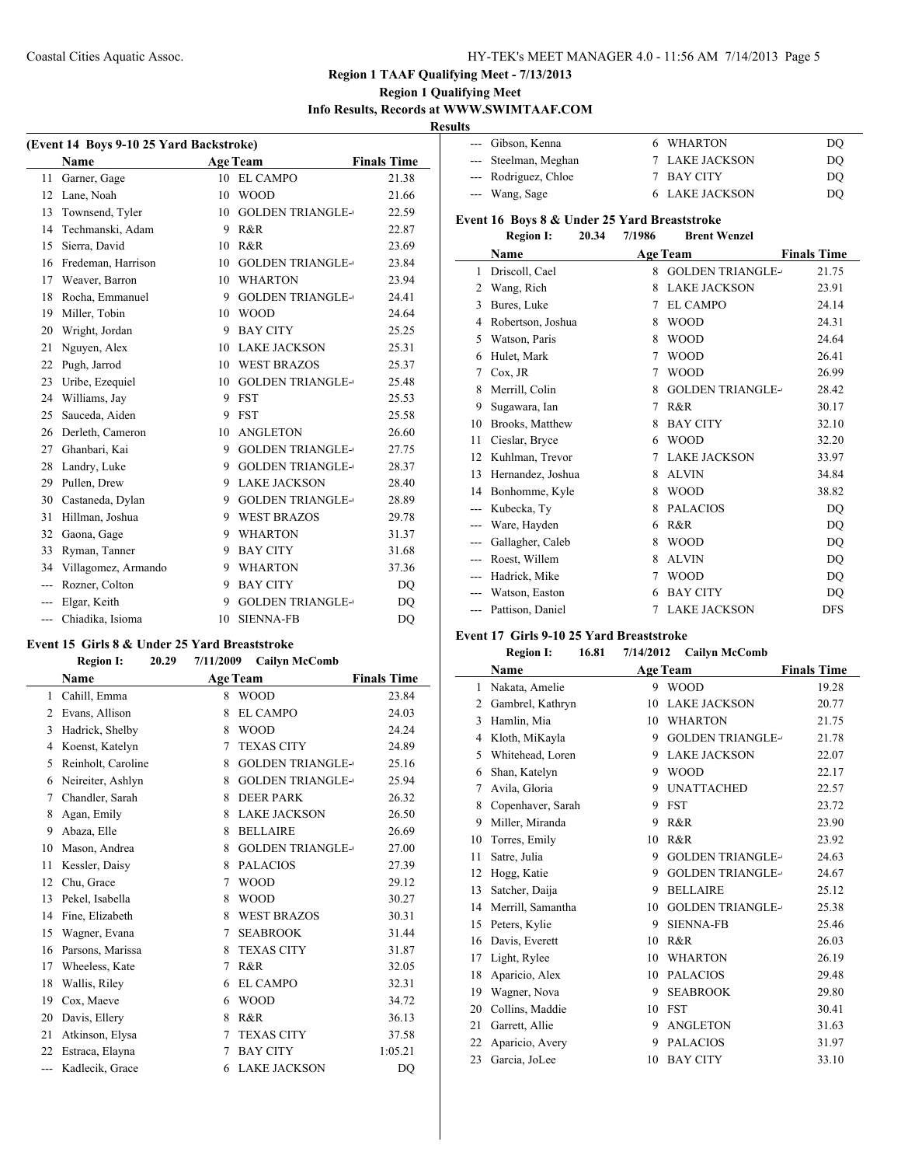### **Region 1 Qualifying Meet Info Results, Records at WWW.SWIMTAAF.COM**

**Results**

| (Event 14 Boys 9-10 25 Yard Backstroke) |                     |    |                         |                    |  |
|-----------------------------------------|---------------------|----|-------------------------|--------------------|--|
|                                         | <b>Name</b>         |    | <b>Age Team</b>         | <b>Finals Time</b> |  |
| 11                                      | Garner, Gage        | 10 | <b>EL CAMPO</b>         | 21.38              |  |
| 12                                      | Lane, Noah          | 10 | <b>WOOD</b>             | 21.66              |  |
| 13                                      | Townsend, Tyler     | 10 | <b>GOLDEN TRIANGLE-</b> | 22.59              |  |
| 14                                      | Techmanski, Adam    | 9  | R&R                     | 22.87              |  |
| 15                                      | Sierra, David       | 10 | R&R                     | 23.69              |  |
| 16                                      | Fredeman, Harrison  | 10 | <b>GOLDEN TRIANGLE-</b> | 23.84              |  |
| 17                                      | Weaver, Barron      | 10 | <b>WHARTON</b>          | 23.94              |  |
| 18                                      | Rocha, Emmanuel     | 9  | <b>GOLDEN TRIANGLE-</b> | 24.41              |  |
| 19                                      | Miller, Tobin       | 10 | <b>WOOD</b>             | 24.64              |  |
| 20                                      | Wright, Jordan      | 9  | <b>BAY CITY</b>         | 25.25              |  |
| 21                                      | Nguyen, Alex        | 10 | <b>LAKE JACKSON</b>     | 25.31              |  |
| 22                                      | Pugh, Jarrod        | 10 | <b>WEST BRAZOS</b>      | 25.37              |  |
| 23                                      | Uribe, Ezequiel     | 10 | <b>GOLDEN TRIANGLE-</b> | 25.48              |  |
| 24                                      | Williams, Jay       | 9  | <b>FST</b>              | 25.53              |  |
| 25                                      | Sauceda, Aiden      | 9  | <b>FST</b>              | 25.58              |  |
| 26                                      | Derleth, Cameron    | 10 | <b>ANGLETON</b>         | 26.60              |  |
| 27                                      | Ghanbari, Kai       | 9  | <b>GOLDEN TRIANGLE-</b> | 27.75              |  |
| 28                                      | Landry, Luke        | 9  | <b>GOLDEN TRIANGLE-</b> | 28.37              |  |
| 29                                      | Pullen, Drew        | 9  | <b>LAKE JACKSON</b>     | 28.40              |  |
| 30                                      | Castaneda, Dylan    | 9  | <b>GOLDEN TRIANGLE-</b> | 28.89              |  |
| 31                                      | Hillman, Joshua     | 9  | <b>WEST BRAZOS</b>      | 29.78              |  |
| 32                                      | Gaona, Gage         | 9  | <b>WHARTON</b>          | 31.37              |  |
| 33                                      | Ryman, Tanner       | 9  | <b>BAY CITY</b>         | 31.68              |  |
| 34                                      | Villagomez, Armando | 9  | <b>WHARTON</b>          | 37.36              |  |
| ---                                     | Rozner, Colton      | 9  | <b>BAY CITY</b>         | DQ                 |  |
|                                         | Elgar, Keith        | 9  | <b>GOLDEN TRIANGLE-</b> | DQ                 |  |
| ---                                     | Chiadika, Isioma    | 10 | <b>SIENNA-FB</b>        | DO                 |  |

#### **Event 15 Girls 8 & Under 25 Yard Breaststroke**

L,

### **Region I: 20.29 7/11/2009 Cailyn McComb**

| Name               |   |                         | <b>Finals Time</b> |
|--------------------|---|-------------------------|--------------------|
| Cahill, Emma       | 8 | <b>WOOD</b>             | 23.84              |
| Evans, Allison     | 8 | <b>EL CAMPO</b>         | 24.03              |
| Hadrick, Shelby    | 8 | <b>WOOD</b>             | 24.24              |
| Koenst, Katelyn    | 7 | <b>TEXAS CITY</b>       | 24.89              |
| Reinholt, Caroline | 8 | <b>GOLDEN TRIANGLE-</b> | 25.16              |
| Neireiter, Ashlyn  | 8 | <b>GOLDEN TRIANGLE-</b> | 25.94              |
| Chandler, Sarah    | 8 | <b>DEER PARK</b>        | 26.32              |
| Agan, Emily        | 8 | <b>LAKE JACKSON</b>     | 26.50              |
| Abaza, Elle        | 8 | <b>BELLAIRE</b>         | 26.69              |
| Mason, Andrea      | 8 | <b>GOLDEN TRIANGLE-</b> | 27.00              |
| Kessler, Daisy     | 8 | <b>PALACIOS</b>         | 27.39              |
| Chu, Grace         | 7 | <b>WOOD</b>             | 29.12              |
| Pekel, Isabella    | 8 | <b>WOOD</b>             | 30.27              |
| Fine, Elizabeth    | 8 | <b>WEST BRAZOS</b>      | 30.31              |
| Wagner, Evana      | 7 | <b>SEABROOK</b>         | 31.44              |
| Parsons, Marissa   | 8 | <b>TEXAS CITY</b>       | 31.87              |
| Wheeless, Kate     | 7 | R&R                     | 32.05              |
| Wallis, Riley      | 6 | <b>EL CAMPO</b>         | 32.31              |
| Cox, Maeve         | 6 | <b>WOOD</b>             | 34.72              |
| Davis, Ellery      | 8 | R&R                     | 36.13              |
| Atkinson, Elysa    | 7 | <b>TEXAS CITY</b>       | 37.58              |
| Estraca, Elayna    | 7 | <b>BAY CITY</b>         | 1:05.21            |
| Kadlecik, Grace    | 6 | <b>LAKE JACKSON</b>     | DQ                 |
|                    |   |                         | <b>Age Team</b>    |

| --- Gibson, Kenna    | 6 WHARTON             | DO |
|----------------------|-----------------------|----|
| --- Steelman, Meghan | 7 LAKE JACKSON        | DO |
| --- Rodriguez, Chloe | 7 BAY CITY            | DO |
| --- Wang, Sage       | <b>6 LAKE JACKSON</b> | DO |
|                      |                       |    |

## **Event 16 Boys 8 & Under 25 Yard Breaststroke**

| 20.34<br><b>Region I:</b> | 7/1986 | <b>Brent Wenzel</b> |
|---------------------------|--------|---------------------|
|---------------------------|--------|---------------------|

|       | Name              |   | <b>Age Team</b>         | <b>Finals Time</b> |
|-------|-------------------|---|-------------------------|--------------------|
| 1     | Driscoll, Cael    | 8 | <b>GOLDEN TRIANGLE-</b> | 21.75              |
| 2     | Wang, Rich        | 8 | <b>LAKE JACKSON</b>     | 23.91              |
| 3     | Bures, Luke       | 7 | <b>EL CAMPO</b>         | 24.14              |
| 4     | Robertson, Joshua | 8 | <b>WOOD</b>             | 24.31              |
| 5     | Watson, Paris     | 8 | <b>WOOD</b>             | 24.64              |
| 6     | Hulet, Mark       | 7 | <b>WOOD</b>             | 26.41              |
| 7     | Cox, JR           | 7 | <b>WOOD</b>             | 26.99              |
| 8     | Merrill, Colin    | 8 | <b>GOLDEN TRIANGLE-</b> | 28.42              |
| 9     | Sugawara, Ian     | 7 | R&R                     | 30.17              |
| 10    | Brooks, Matthew   | 8 | <b>BAY CITY</b>         | 32.10              |
| 11    | Cieslar, Bryce    | 6 | <b>WOOD</b>             | 32.20              |
| 12    | Kuhlman, Trevor   | 7 | <b>LAKE JACKSON</b>     | 33.97              |
| 13    | Hernandez, Joshua | 8 | <b>ALVIN</b>            | 34.84              |
| 14    | Bonhomme, Kyle    | 8 | <b>WOOD</b>             | 38.82              |
| $---$ | Kubecka, Ty       | 8 | <b>PALACIOS</b>         | DQ                 |
| $---$ | Ware, Hayden      | 6 | R&R                     | DQ                 |
|       | Gallagher, Caleb  | 8 | <b>WOOD</b>             | DQ                 |
| $---$ | Roest, Willem     | 8 | <b>ALVIN</b>            | DQ                 |
|       | Hadrick, Mike     | 7 | <b>WOOD</b>             | DQ                 |
|       | Watson, Easton    | 6 | <b>BAY CITY</b>         | DQ                 |
|       | Pattison, Daniel  | 7 | <b>LAKE JACKSON</b>     | <b>DFS</b>         |

### **Event 17 Girls 9-10 25 Yard Breaststroke**

## **Region I: 16.81 7/14/2012 Cailyn McComb**

|                | Name              | <b>Age Team</b> |                         | <b>Finals Time</b> |
|----------------|-------------------|-----------------|-------------------------|--------------------|
| 1              | Nakata, Amelie    | 9               | <b>WOOD</b>             | 19.28              |
| $\overline{2}$ | Gambrel, Kathryn  | 10              | <b>LAKE JACKSON</b>     | 20.77              |
| 3              | Hamlin, Mia       | 10              | <b>WHARTON</b>          | 21.75              |
| 4              | Kloth, MiKayla    | 9               | <b>GOLDEN TRIANGLE-</b> | 21.78              |
| 5              | Whitehead, Loren  | 9               | <b>LAKE JACKSON</b>     | 22.07              |
| 6              | Shan, Katelyn     | 9               | <b>WOOD</b>             | 22.17              |
| 7              | Avila, Gloria     | 9               | <b>UNATTACHED</b>       | 22.57              |
| 8              | Copenhaver, Sarah | 9               | <b>FST</b>              | 23.72              |
| 9              | Miller, Miranda   | 9               | R&R                     | 23.90              |
| 10             | Torres, Emily     | 10              | R&R                     | 23.92              |
| 11             | Satre, Julia      | 9               | <b>GOLDEN TRIANGLE-</b> | 24.63              |
| 12             | Hogg, Katie       | 9               | <b>GOLDEN TRIANGLE-</b> | 24.67              |
| 13             | Satcher, Daija    | 9               | <b>BELLAIRE</b>         | 25.12              |
| 14             | Merrill, Samantha | 10              | <b>GOLDEN TRIANGLE-</b> | 25.38              |
| 15             | Peters, Kylie     | 9               | <b>SIENNA-FB</b>        | 25.46              |
| 16             | Davis, Everett    | 10              | R&R                     | 26.03              |
| 17             | Light, Rylee      | 10              | <b>WHARTON</b>          | 26.19              |
| 18             | Aparicio, Alex    | 10              | <b>PALACIOS</b>         | 29.48              |
| 19             | Wagner, Nova      | 9               | <b>SEABROOK</b>         | 29.80              |
| 20             | Collins, Maddie   | 10              | <b>FST</b>              | 30.41              |
| 21             | Garrett, Allie    | 9               | <b>ANGLETON</b>         | 31.63              |
| 22             | Aparicio, Avery   | 9               | <b>PALACIOS</b>         | 31.97              |
| 23             | Garcia, JoLee     | 10              | <b>BAY CITY</b>         | 33.10              |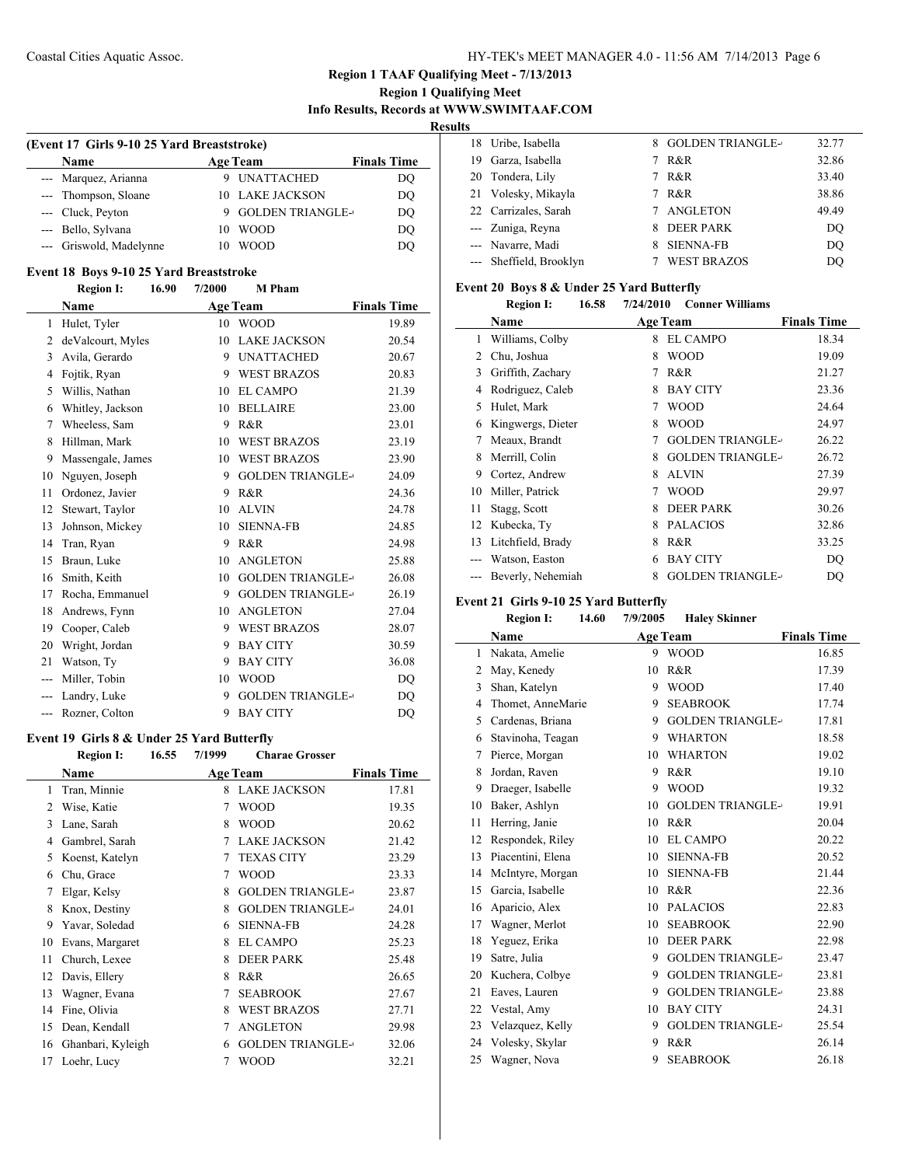### **Region 1 Qualifying Meet Info Results, Records at WWW.SWIMTAAF.COM**

**Results**

 $\overline{a}$ 

 $\frac{1}{2}$ 

| (Event 17 Girls 9-10 25 Yard Breaststroke) |                         |    |                         |                    |  |
|--------------------------------------------|-------------------------|----|-------------------------|--------------------|--|
|                                            | <b>Name</b>             |    | <b>Age Team</b>         | <b>Finals Time</b> |  |
|                                            | --- Marquez, Arianna    |    | UNATTACHED              | DQ                 |  |
|                                            | --- Thompson, Sloane    |    | 10 LAKE JACKSON         | DO                 |  |
|                                            | --- Cluck, Peyton       |    | <b>GOLDEN TRIANGLE-</b> | DO                 |  |
|                                            | --- Bello, Sylvana      | 10 | <b>WOOD</b>             | DQ                 |  |
|                                            | --- Griswold, Madelynne |    | <b>WOOD</b>             | DO                 |  |

# **Event 18 Boys 9-10 25 Yard Breaststroke**<br>**Bogion L. 16.90 7/2000 M. Ph**

|                | 16.90<br><b>Region I:</b> | 7/2000 | <b>M</b> Pham           |                    |
|----------------|---------------------------|--------|-------------------------|--------------------|
|                | Name                      |        | <b>Age Team</b>         | <b>Finals Time</b> |
| 1              | Hulet, Tyler              | 10     | <b>WOOD</b>             | 19.89              |
| 2              | deValcourt, Myles         | 10     | <b>LAKE JACKSON</b>     | 20.54              |
| 3              | Avila, Gerardo            | 9      | <b>UNATTACHED</b>       | 20.67              |
| 4              | Fojtik, Ryan              | 9      | <b>WEST BRAZOS</b>      | 20.83              |
| 5              | Willis, Nathan            | 10     | <b>EL CAMPO</b>         | 21.39              |
| 6              | Whitley, Jackson          | 10     | <b>BELLAIRE</b>         | 23.00              |
| 7              | Wheeless, Sam             | 9      | R&R                     | 23.01              |
| 8              | Hillman, Mark             | 10     | <b>WEST BRAZOS</b>      | 23.19              |
| 9              | Massengale, James         | 10     | <b>WEST BRAZOS</b>      | 23.90              |
| 10             | Nguyen, Joseph            | 9      | <b>GOLDEN TRIANGLE-</b> | 24.09              |
| 11             | Ordonez, Javier           | 9      | R&R                     | 24.36              |
| 12             | Stewart, Taylor           | 10     | <b>ALVIN</b>            | 24.78              |
| 13             | Johnson, Mickey           | 10     | <b>SIENNA-FB</b>        | 24.85              |
| 14             | Tran, Ryan                | 9      | R&R                     | 24.98              |
| 15             | Braun, Luke               | 10     | <b>ANGLETON</b>         | 25.88              |
| 16             | Smith, Keith              | 10     | <b>GOLDEN TRIANGLE-</b> | 26.08              |
| 17             | Rocha, Emmanuel           | 9      | <b>GOLDEN TRIANGLE-</b> | 26.19              |
| 18             | Andrews, Fynn             | 10     | <b>ANGLETON</b>         | 27.04              |
| 19             | Cooper, Caleb             | 9      | <b>WEST BRAZOS</b>      | 28.07              |
| 20             | Wright, Jordan            | 9      | <b>BAY CITY</b>         | 30.59              |
| 21             | Watson, Ty                | 9      | <b>BAY CITY</b>         | 36.08              |
|                | Miller, Tobin             | 10     | <b>WOOD</b>             | DQ                 |
|                | Landry, Luke              | 9      | <b>GOLDEN TRIANGLE-</b> | DQ                 |
| $\overline{a}$ | Rozner, Colton            | 9      | <b>BAY CITY</b>         | DO                 |

### **Event 19 Girls 8 & Under 25 Yard Butterfly**

|    | <b>Region I:</b>  | 16.55 | 7/1999 | <b>Charae Grosser</b>   |                    |
|----|-------------------|-------|--------|-------------------------|--------------------|
|    | Name              |       |        | <b>Age Team</b>         | <b>Finals Time</b> |
| 1  | Tran, Minnie      |       | 8      | <b>LAKE JACKSON</b>     | 17.81              |
| 2  | Wise, Katie       |       | 7      | <b>WOOD</b>             | 19.35              |
| 3  | Lane, Sarah       |       | 8      | <b>WOOD</b>             | 20.62              |
| 4  | Gambrel, Sarah    |       | 7      | <b>LAKE JACKSON</b>     | 21.42              |
| 5  | Koenst, Katelyn   |       | 7      | <b>TEXAS CITY</b>       | 23.29              |
| 6  | Chu, Grace        |       | 7      | <b>WOOD</b>             | 23.33              |
| 7  | Elgar, Kelsy      |       | 8      | <b>GOLDEN TRIANGLE-</b> | 23.87              |
| 8  | Knox, Destiny     |       | 8      | <b>GOLDEN TRIANGLE-</b> | 24.01              |
| 9  | Yavar, Soledad    |       | 6      | <b>SIENNA-FB</b>        | 24.28              |
| 10 | Evans, Margaret   |       | 8      | <b>EL CAMPO</b>         | 25.23              |
| 11 | Church, Lexee     |       | 8      | <b>DEER PARK</b>        | 25.48              |
| 12 | Davis, Ellery     |       | 8      | R&R                     | 26.65              |
| 13 | Wagner, Evana     |       | 7      | <b>SEABROOK</b>         | 27.67              |
| 14 | Fine, Olivia      |       | 8      | <b>WEST BRAZOS</b>      | 27.71              |
| 15 | Dean, Kendall     |       | 7      | <b>ANGLETON</b>         | 29.98              |
| 16 | Ghanbari, Kyleigh |       | 6      | <b>GOLDEN TRIANGLE-</b> | 32.06              |
| 17 | Loehr, Lucy       |       | 7      | <b>WOOD</b>             | 32.21              |

|    | 18 Uribe, Isabella      |   | <b>GOLDEN TRIANGLE-</b> | 32.77 |
|----|-------------------------|---|-------------------------|-------|
| 19 | Garza, Isabella         |   | R&R                     | 32.86 |
|    | 20 Tondera, Lily        | 7 | R&R                     | 33.40 |
|    | 21 Volesky, Mikayla     |   | R&R                     | 38.86 |
|    | 22 Carrizales, Sarah    | 7 | ANGLETON                | 49.49 |
|    | --- Zuniga, Reyna       |   | <b>DEER PARK</b>        | DO    |
|    | --- Navarre, Madi       |   | <b>SIENNA-FB</b>        | DO    |
|    | --- Sheffield, Brooklyn |   | <b>WEST BRAZOS</b>      | DO    |

### **Event 20 Boys 8 & Under 25 Yard Butterfly**

| Region I:<br>7/24/2010<br>16.58<br><b>Conner Williams</b> |  |
|-----------------------------------------------------------|--|
|-----------------------------------------------------------|--|

|    | Name              |   | <b>Age Team</b>         | <b>Finals Time</b> |
|----|-------------------|---|-------------------------|--------------------|
| 1  | Williams, Colby   | 8 | <b>EL CAMPO</b>         | 18.34              |
| 2  | Chu, Joshua       | 8 | <b>WOOD</b>             | 19.09              |
| 3  | Griffith, Zachary | 7 | R&R                     | 21.27              |
| 4  | Rodriguez, Caleb  | 8 | <b>BAY CITY</b>         | 23.36              |
| 5  | Hulet, Mark       | 7 | <b>WOOD</b>             | 24.64              |
| 6  | Kingwergs, Dieter | 8 | <b>WOOD</b>             | 24.97              |
| 7  | Meaux, Brandt     | 7 | <b>GOLDEN TRIANGLE-</b> | 26.22              |
| 8  | Merrill, Colin    | 8 | <b>GOLDEN TRIANGLE-</b> | 26.72              |
| 9  | Cortez, Andrew    | 8 | <b>ALVIN</b>            | 27.39              |
| 10 | Miller, Patrick   | 7 | <b>WOOD</b>             | 29.97              |
| 11 | Stagg, Scott      | 8 | <b>DEER PARK</b>        | 30.26              |
| 12 | Kubecka, Ty       | 8 | <b>PALACIOS</b>         | 32.86              |
| 13 | Litchfield, Brady | 8 | R&R                     | 33.25              |
|    | Watson, Easton    | 6 | <b>BAY CITY</b>         | DQ                 |
|    | Beverly, Nehemiah | 8 | <b>GOLDEN TRIANGLE-</b> | D <sub>O</sub>     |

### **Event 21 Girls 9-10 25 Yard Butterfly**

|    | <b>Region I:</b><br>14.60 | 7/9/2005 | <b>Haley Skinner</b>    |                    |
|----|---------------------------|----------|-------------------------|--------------------|
|    | Name                      |          | <b>Age Team</b>         | <b>Finals Time</b> |
| 1  | Nakata, Amelie            | 9        | <b>WOOD</b>             | 16.85              |
| 2  | May, Kenedy               | 10       | R&R                     | 17.39              |
| 3  | Shan, Katelyn             | 9        | <b>WOOD</b>             | 17.40              |
| 4  | Thomet, AnneMarie         | 9        | <b>SEABROOK</b>         | 17.74              |
| 5  | Cardenas, Briana          | 9        | <b>GOLDEN TRIANGLE-</b> | 17.81              |
| 6  | Stavinoha, Teagan         | 9        | <b>WHARTON</b>          | 18.58              |
| 7  | Pierce, Morgan            | 10       | <b>WHARTON</b>          | 19.02              |
| 8  | Jordan, Raven             | 9        | R&R                     | 19.10              |
| 9  | Draeger, Isabelle         | 9        | <b>WOOD</b>             | 19.32              |
| 10 | Baker, Ashlyn             | 10       | <b>GOLDEN TRIANGLE-</b> | 19.91              |
| 11 | Herring, Janie            | 10       | R&R                     | 20.04              |
| 12 | Respondek, Riley          | 10       | <b>EL CAMPO</b>         | 20.22              |
| 13 | Piacentini, Elena         | 10       | <b>SIENNA-FB</b>        | 20.52              |
| 14 | McIntyre, Morgan          | 10       | <b>SIENNA-FB</b>        | 21.44              |
| 15 | Garcia, Isabelle          | 10       | R&R                     | 22.36              |
| 16 | Aparicio, Alex            | 10       | <b>PALACIOS</b>         | 22.83              |
| 17 | Wagner, Merlot            | 10       | <b>SEABROOK</b>         | 22.90              |
| 18 | Yeguez, Erika             | 10       | <b>DEER PARK</b>        | 22.98              |
| 19 | Satre, Julia              | 9        | <b>GOLDEN TRIANGLE-</b> | 23.47              |
| 20 | Kuchera, Colbye           | 9        | <b>GOLDEN TRIANGLE-</b> | 23.81              |
| 21 | Eaves, Lauren             | 9        | <b>GOLDEN TRIANGLE-</b> | 23.88              |
| 22 | Vestal, Amy               | 10       | <b>BAY CITY</b>         | 24.31              |
| 23 | Velazquez, Kelly          | 9        | <b>GOLDEN TRIANGLE-</b> | 25.54              |
| 24 | Volesky, Skylar           | 9        | R&R                     | 26.14              |
| 25 | Wagner, Nova              | 9        | <b>SEABROOK</b>         | 26.18              |
|    |                           |          |                         |                    |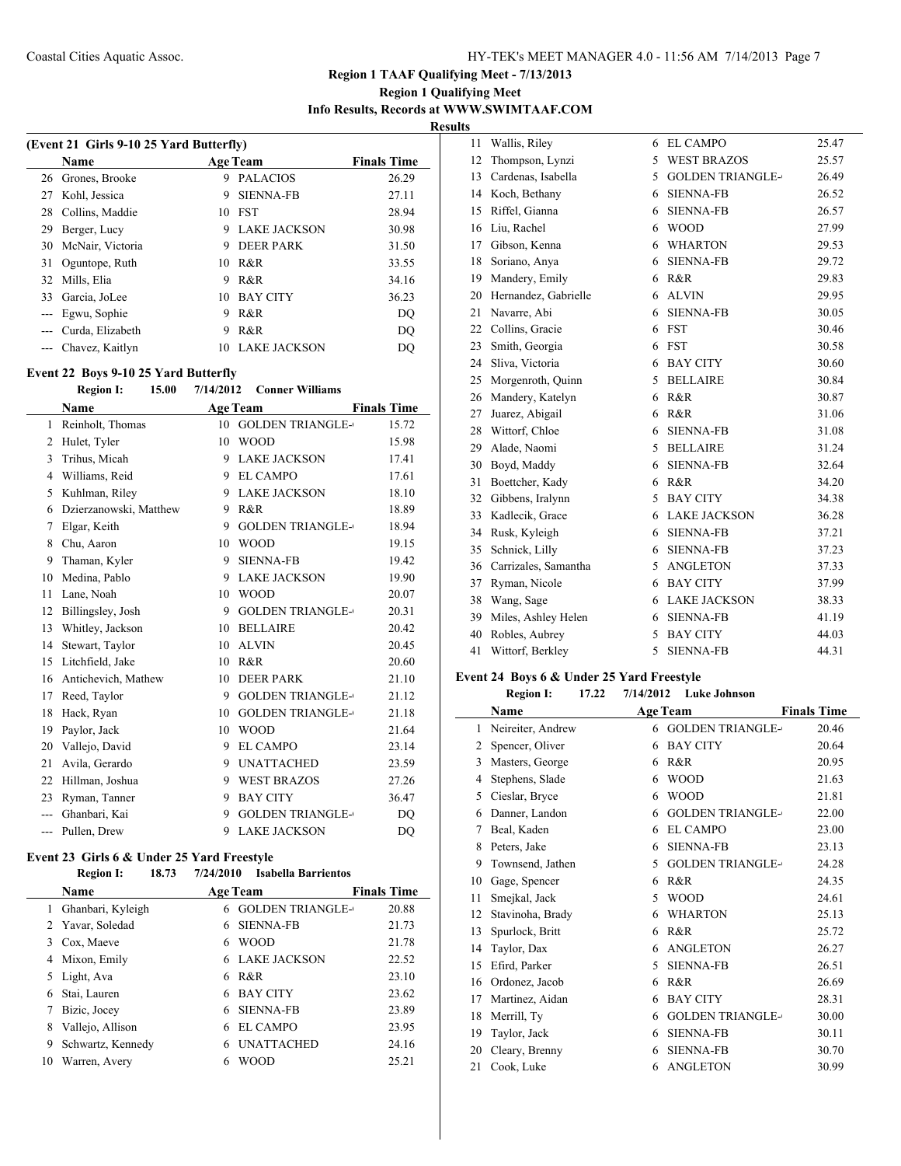## **Region 1 Qualifying Meet Info Results, Records at WWW.SWIMTAAF.COM**

 $\overline{\phantom{a}}$ 

**Results**

|                     | (Event 21 Girls 9-10 25 Yard Butterfly) |    |                     |                    |  |
|---------------------|-----------------------------------------|----|---------------------|--------------------|--|
|                     | <b>Name</b>                             |    | <b>Age Team</b>     | <b>Finals Time</b> |  |
|                     | 26 Grones, Brooke                       | 9  | <b>PALACIOS</b>     | 26.29              |  |
| 27                  | Kohl, Jessica                           | 9  | <b>SIENNA-FB</b>    | 27.11              |  |
| 28                  | Collins, Maddie                         | 10 | <b>FST</b>          | 28.94              |  |
| 29                  | Berger, Lucy                            | 9  | <b>LAKE JACKSON</b> | 30.98              |  |
| 30                  | McNair, Victoria                        | 9  | <b>DEER PARK</b>    | 31.50              |  |
| 31                  | Oguntope, Ruth                          |    | 10 R&R              | 33.55              |  |
| 32                  | Mills, Elia                             | 9  | R&R                 | 34.16              |  |
| 33                  | Garcia, JoLee                           | 10 | <b>BAY CITY</b>     | 36.23              |  |
| $\qquad \qquad - -$ | Egwu, Sophie                            | 9  | R&R                 | DO                 |  |
|                     | Curda, Elizabeth                        | 9  | R&R                 | DO                 |  |
|                     | Chavez, Kaitlyn                         | 10 | <b>LAKE JACKSON</b> | DO                 |  |

### **Event 22 Boys 9-10 25 Yard Butterfly**

|                | <b>Region I:</b><br>15.00 | 7/14/2012       | <b>Conner Williams</b>  |                    |
|----------------|---------------------------|-----------------|-------------------------|--------------------|
|                | Name                      | <b>Age Team</b> |                         | <b>Finals Time</b> |
| 1              | Reinholt, Thomas          | 10              | <b>GOLDEN TRIANGLE-</b> | 15.72              |
| $\overline{c}$ | Hulet, Tyler              | 10              | <b>WOOD</b>             | 15.98              |
| 3              | Trihus, Micah             | 9               | <b>LAKE JACKSON</b>     | 17.41              |
| 4              | Williams, Reid            | 9               | <b>EL CAMPO</b>         | 17.61              |
| 5              | Kuhlman, Riley            | 9               | <b>LAKE JACKSON</b>     | 18.10              |
| 6              | Dzierzanowski, Matthew    | 9               | R&R                     | 18.89              |
| 7              | Elgar, Keith              | 9               | <b>GOLDEN TRIANGLE-</b> | 18.94              |
| 8              | Chu, Aaron                | 10              | <b>WOOD</b>             | 19.15              |
| 9              | Thaman, Kyler             | 9               | <b>SIENNA-FB</b>        | 19.42              |
| 10             | Medina, Pablo             | 9               | <b>LAKE JACKSON</b>     | 19.90              |
| 11             | Lane, Noah                | 10              | <b>WOOD</b>             | 20.07              |
| 12             | Billingsley, Josh         | 9               | <b>GOLDEN TRIANGLE-</b> | 20.31              |
| 13             | Whitley, Jackson          | 10              | <b>BELLAIRE</b>         | 20.42              |
| 14             | Stewart, Taylor           | 10              | <b>ALVIN</b>            | 20.45              |
| 15             | Litchfield, Jake          | 10              | R&R                     | 20.60              |
| 16             | Antichevich, Mathew       | 10              | <b>DEER PARK</b>        | 21.10              |
| 17             | Reed, Taylor              | 9               | <b>GOLDEN TRIANGLE-</b> | 21.12              |
| 18             | Hack, Ryan                | 10              | <b>GOLDEN TRIANGLE-</b> | 21.18              |
| 19             | Paylor, Jack              | 10              | <b>WOOD</b>             | 21.64              |
| 20             | Vallejo, David            | 9               | <b>EL CAMPO</b>         | 23.14              |
| 21             | Avila, Gerardo            | 9               | <b>UNATTACHED</b>       | 23.59              |
| 22             | Hillman, Joshua           | 9               | <b>WEST BRAZOS</b>      | 27.26              |
| 23             | Ryman, Tanner             | 9               | <b>BAY CITY</b>         | 36.47              |
|                | Ghanbari, Kai             | 9               | <b>GOLDEN TRIANGLE-</b> | DQ                 |
|                | Pullen, Drew              | 9               | <b>LAKE JACKSON</b>     | DQ                 |
|                |                           |                 |                         |                    |

#### **Event 23 Girls 6 & Under 25 Yard Freestyle Region I: 18.73 7/24/2010 Isabella Barrientos**

| REPIOIL 1:<br>10.79 | 77472010<br>- ISADEIIA DALTIEIIUS |                         |
|---------------------|-----------------------------------|-------------------------|
| <b>Name</b>         | <b>Age Team</b>                   | <b>Finals Time</b>      |
| Ghanbari, Kyleigh   | 6                                 | 20.88                   |
| 2 Yavar, Soledad    | <b>SIENNA-FB</b><br>6             | 21.73                   |
| Cox, Maeve          | <b>WOOD</b><br>6                  | 21.78                   |
| 4 Mixon, Emily      | <b>LAKE JACKSON</b><br>6          | 22.52                   |
| 5 Light, Ava        | R&R<br>6                          | 23.10                   |
| Stai, Lauren        | <b>BAY CITY</b><br>6              | 23.62                   |
| Bizic, Jocey        | <b>SIENNA-FB</b><br>6             | 23.89                   |
| Vallejo, Allison    | <b>EL CAMPO</b><br>6              | 23.95                   |
| Schwartz, Kennedy   | <b>UNATTACHED</b><br>6            | 24.16                   |
| Warren, Avery       | WOOD<br>6                         | 25.21                   |
|                     |                                   | <b>GOLDEN TRIANGLE-</b> |

| 11 | Wallis, Riley        | 6  | <b>EL CAMPO</b>         | 25.47 |
|----|----------------------|----|-------------------------|-------|
| 12 | Thompson, Lynzi      | 5  | <b>WEST BRAZOS</b>      | 25.57 |
| 13 | Cardenas, Isabella   | 5  | <b>GOLDEN TRIANGLE-</b> | 26.49 |
| 14 | Koch, Bethany        | 6  | <b>SIENNA-FB</b>        | 26.52 |
| 15 | Riffel, Gianna       | 6. | <b>SIENNA-FB</b>        | 26.57 |
| 16 | Liu, Rachel          | 6  | <b>WOOD</b>             | 27.99 |
| 17 | Gibson, Kenna        | 6  | <b>WHARTON</b>          | 29.53 |
| 18 | Soriano, Anya        | 6  | <b>SIENNA-FB</b>        | 29.72 |
| 19 | Mandery, Emily       | 6  | R&R                     | 29.83 |
| 20 | Hernandez, Gabrielle | 6  | <b>ALVIN</b>            | 29.95 |
| 21 | Navarre, Abi         | 6  | <b>SIENNA-FB</b>        | 30.05 |
|    | 22 Collins, Gracie   |    | 6 FST                   | 30.46 |
| 23 | Smith, Georgia       | 6  | <b>FST</b>              | 30.58 |
| 24 | Sliva, Victoria      | 6  | <b>BAY CITY</b>         | 30.60 |
| 25 | Morgenroth, Quinn    |    | 5 BELLAIRE              | 30.84 |
| 26 | Mandery, Katelyn     |    | 6 R&R                   | 30.87 |
| 27 | Juarez, Abigail      | 6  | R&R                     | 31.06 |
| 28 | Wittorf, Chloe       | 6  | <b>SIENNA-FB</b>        | 31.08 |
| 29 | Alade, Naomi         |    | 5 BELLAIRE              | 31.24 |
| 30 | Boyd, Maddy          |    | 6 SIENNA-FB             | 32.64 |
| 31 | Boettcher, Kady      |    | 6 R&R                   | 34.20 |
| 32 | Gibbens, Iralynn     |    | 5 BAY CITY              | 34.38 |
| 33 | Kadlecik, Grace      | 6  | <b>LAKE JACKSON</b>     | 36.28 |
| 34 | Rusk, Kyleigh        |    | 6 SIENNA-FB             | 37.21 |
| 35 | Schnick, Lilly       |    | 6 SIENNA-FB             | 37.23 |
| 36 | Carrizales, Samantha |    | 5 ANGLETON              | 37.33 |
| 37 | Ryman, Nicole        |    | 6 BAY CITY              | 37.99 |
| 38 | Wang, Sage           |    | <b>6 LAKE JACKSON</b>   | 38.33 |
| 39 | Miles, Ashley Helen  |    | 6 SIENNA-FB             | 41.19 |
| 40 | Robles, Aubrey       | 5  | <b>BAY CITY</b>         | 44.03 |
| 41 | Wittorf, Berkley     | 5  | <b>SIENNA-FB</b>        | 44.31 |

### **Event 24 Boys 6 & Under 25 Yard Freestyle**

|    | <b>Region I:</b><br>17.22 | <b>Luke Johnson</b><br>7/14/2012 |                    |
|----|---------------------------|----------------------------------|--------------------|
|    | Name                      | <b>Age Team</b>                  | <b>Finals Time</b> |
| 1  | Neireiter, Andrew         | <b>GOLDEN TRIANGLE-</b><br>6     | 20.46              |
| 2  | Spencer, Oliver           | <b>BAY CITY</b><br>6             | 20.64              |
| 3  | Masters, George           | R&R<br>6                         | 20.95              |
| 4  | Stephens, Slade           | <b>WOOD</b><br>6                 | 21.63              |
| 5  | Cieslar, Bryce            | <b>WOOD</b><br>6                 | 21.81              |
| 6  | Danner, Landon            | <b>GOLDEN TRIANGLE-</b><br>6     | 22.00              |
| 7  | Beal, Kaden               | <b>EL CAMPO</b><br>6             | 23.00              |
| 8  | Peters, Jake              | <b>SIENNA-FB</b><br>6            | 23.13              |
| 9  | Townsend, Jathen          | <b>GOLDEN TRIANGLE-</b><br>5     | 24.28              |
| 10 | Gage, Spencer             | R&R<br>6                         | 24.35              |
| 11 | Smejkal, Jack             | 5<br><b>WOOD</b>                 | 24.61              |
| 12 | Stavinoha, Brady          | <b>WHARTON</b><br>6              | 25.13              |
| 13 | Spurlock, Britt           | R&R<br>6                         | 25.72              |
| 14 | Taylor, Dax               | <b>ANGLETON</b><br>6             | 26.27              |
| 15 | Efird, Parker             | <b>SIENNA-FB</b><br>5            | 26.51              |
| 16 | Ordonez, Jacob            | R&R<br>6                         | 26.69              |
| 17 | Martinez, Aidan           | <b>BAY CITY</b><br>6             | 28.31              |
| 18 | Merrill, Ty               | <b>GOLDEN TRIANGLE-</b><br>6     | 30.00              |
| 19 | Taylor, Jack              | <b>SIENNA-FB</b><br>6            | 30.11              |
| 20 | Cleary, Brenny            | <b>SIENNA-FB</b><br>6            | 30.70              |
| 21 | Cook, Luke                | <b>ANGLETON</b><br>6             | 30.99              |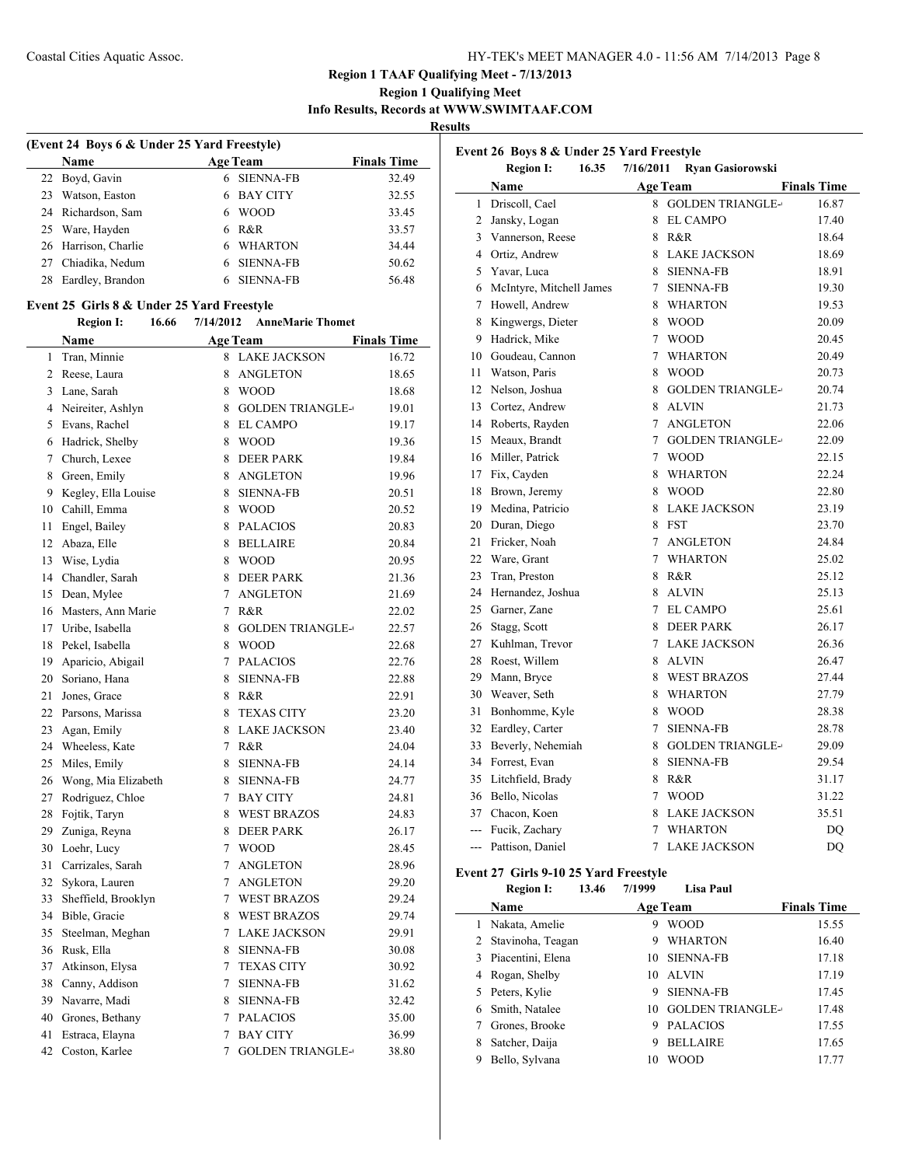### **Region 1 Qualifying Meet Info Results, Records at WWW.SWIMTAAF.COM**

**Results**

 $\overline{a}$ 

| (Event 24 Boys 6 & Under 25 Yard Freestyle) |                      |    |                  |                    |  |
|---------------------------------------------|----------------------|----|------------------|--------------------|--|
|                                             | <b>Name</b>          |    | <b>Age Team</b>  | <b>Finals Time</b> |  |
|                                             | 22 Boyd, Gavin       |    | 6 SIENNA-FB      | 32.49              |  |
| 23                                          | Watson, Easton       |    | <b>BAY CITY</b>  | 32.55              |  |
|                                             | 24 Richardson, Sam   | 6  | <b>WOOD</b>      | 33.45              |  |
|                                             | 25 Ware, Hayden      | 6. | R&R              | 33.57              |  |
|                                             | 26 Harrison, Charlie |    | <b>WHARTON</b>   | 34.44              |  |
| 27                                          | Chiadika, Nedum      |    | <b>SIENNA-FB</b> | 50.62              |  |
| 28                                          | Eardley, Brandon     |    | <b>SIENNA-FB</b> | 56.48              |  |

#### **Event 25 Girls 8 & Under 25 Yard Freestyle**

**Region I: 16.66 7/14/2012 AnneMarie Thomet**

|                | <b>Name</b>         |                | <b>Age Team</b>         | <b>Finals Time</b> |
|----------------|---------------------|----------------|-------------------------|--------------------|
| 1              | Tran, Minnie        |                | 8 LAKE JACKSON          | 16.72              |
| $\overline{2}$ | Reese, Laura        |                | 8 ANGLETON              | 18.65              |
| $\overline{3}$ | Lane, Sarah         |                | 8 WOOD                  | 18.68              |
|                | 4 Neireiter, Ashlyn |                | 8 GOLDEN TRIANGLE-      | 19.01              |
| 5              | Evans, Rachel       |                | 8 EL CAMPO              | 19.17              |
| 6              | Hadrick, Shelby     | 8              | <b>WOOD</b>             | 19.36              |
| $\overline{7}$ | Church, Lexee       |                | 8 DEER PARK             | 19.84              |
| 8              | Green, Emily        |                | 8 ANGLETON              | 19.96              |
| 9              | Kegley, Ella Louise |                | 8 SIENNA-FB             | 20.51              |
| 10             | Cahill, Emma        |                | 8 WOOD                  | 20.52              |
| 11             | Engel, Bailey       |                | 8 PALACIOS              | 20.83              |
| 12             | Abaza, Elle         |                | 8 BELLAIRE              | 20.84              |
| 13             | Wise, Lydia         |                | 8 WOOD                  | 20.95              |
| 14             | Chandler, Sarah     |                | 8 DEER PARK             | 21.36              |
| 15             | Dean, Mylee         |                | 7 ANGLETON              | 21.69              |
| 16             | Masters, Ann Marie  |                | 7 R&R                   | 22.02              |
| 17             | Uribe, Isabella     | 8              | <b>GOLDEN TRIANGLE-</b> | 22.57              |
| 18             | Pekel, Isabella     |                | 8 WOOD                  | 22.68              |
| 19             | Aparicio, Abigail   |                | 7 PALACIOS              | 22.76              |
| 20             | Soriano, Hana       |                | 8 SIENNA-FB             | 22.88              |
| 21             | Jones, Grace        |                | 8 R&R                   | 22.91              |
| 22             | Parsons, Marissa    | 8              | <b>TEXAS CITY</b>       | 23.20              |
| 23             | Agan, Emily         |                | 8 LAKE JACKSON          | 23.40              |
| 24             | Wheeless, Kate      |                | 7 R&R                   | 24.04              |
| 25             | Miles, Emily        | 8              | <b>SIENNA-FB</b>        | 24.14              |
| 26             | Wong, Mia Elizabeth |                | 8 SIENNA-FB             | 24.77              |
| 27             | Rodriguez, Chloe    |                | 7 BAY CITY              | 24.81              |
| 28             | Fojtik, Taryn       | 8              | <b>WEST BRAZOS</b>      | 24.83              |
| 29             | Zuniga, Reyna       |                | 8 DEER PARK             | 26.17              |
| 30             | Loehr, Lucy         |                | 7 WOOD                  | 28.45              |
| 31             | Carrizales, Sarah   | $\overline{7}$ | <b>ANGLETON</b>         | 28.96              |
| 32             | Sykora, Lauren      |                | 7 ANGLETON              | 29.20              |
| 33             | Sheffield, Brooklyn |                | 7 WEST BRAZOS           | 29.24              |
| 34             | Bible, Gracie       |                | 8 WEST BRAZOS           | 29.74              |
| 35             | Steelman, Meghan    |                | 7 LAKE JACKSON          | 29.91              |
| 36             | Rusk, Ella          | 8              | <b>SIENNA-FB</b>        | 30.08              |
| 37             | Atkinson, Elysa     |                | 7 TEXAS CITY            | 30.92              |
|                | 38 Canny, Addison   |                | 7 SIENNA-FB             | 31.62              |
| 39             | Navarre, Madi       |                | 8 SIENNA-FB             | 32.42              |
| 40             | Grones, Bethany     | $7^{\circ}$    | <b>PALACIOS</b>         | 35.00              |
| 41             | Estraca, Elayna     |                | 7 BAY CITY              | 36.99              |
| 42             | Coston, Karlee      | $\overline{7}$ | <b>GOLDEN TRIANGLE-</b> | 38.80              |

|                                                                                                                                               | Event 26 Boys 8 & Under 25 Yard Freestyle |                 |                                        |                    |  |  |
|-----------------------------------------------------------------------------------------------------------------------------------------------|-------------------------------------------|-----------------|----------------------------------------|--------------------|--|--|
|                                                                                                                                               | <b>Region I:</b><br>16.35                 | 7/16/2011       | <b>Ryan Gasiorowski</b>                |                    |  |  |
|                                                                                                                                               | Name                                      |                 | <b>Age Team</b>                        | <b>Finals Time</b> |  |  |
| 1                                                                                                                                             | Driscoll, Cael                            |                 | 8 GOLDEN TRIANGLE-                     | 16.87              |  |  |
|                                                                                                                                               | 2 Jansky, Logan                           | 8               | <b>EL CAMPO</b>                        | 17.40              |  |  |
|                                                                                                                                               | 3 Vannerson, Reese                        | 8               | R&R                                    | 18.64              |  |  |
|                                                                                                                                               | 4 Ortiz, Andrew                           | 8               | <b>LAKE JACKSON</b>                    | 18.69              |  |  |
| 5                                                                                                                                             | Yavar, Luca                               | 8               | <b>SIENNA-FB</b>                       | 18.91              |  |  |
| 6                                                                                                                                             | McIntyre, Mitchell James                  | $7^{\circ}$     | <b>SIENNA-FB</b>                       | 19.30              |  |  |
| $7\phantom{.0}$                                                                                                                               | Howell, Andrew                            | 8               | <b>WHARTON</b>                         | 19.53              |  |  |
|                                                                                                                                               | 8 Kingwergs, Dieter                       | $\tau$          | 8 WOOD                                 | 20.09              |  |  |
| 9                                                                                                                                             | Hadrick, Mike                             |                 | <b>WOOD</b>                            | 20.45              |  |  |
|                                                                                                                                               | 10 Goudeau, Cannon                        | $\tau$          | <b>WHARTON</b>                         | 20.49              |  |  |
| 11                                                                                                                                            | Watson, Paris                             | 8<br>8          | <b>WOOD</b><br><b>GOLDEN TRIANGLE-</b> | 20.73              |  |  |
|                                                                                                                                               | 12 Nelson, Joshua                         | 8               | <b>ALVIN</b>                           | 20.74              |  |  |
|                                                                                                                                               | 13 Cortez, Andrew                         | $\tau$          |                                        | 21.73              |  |  |
|                                                                                                                                               | 14 Roberts, Rayden                        | $\tau$          | <b>ANGLETON</b>                        | 22.06              |  |  |
|                                                                                                                                               | 15 Meaux, Brandt<br>16 Miller, Patrick    | $\overline{7}$  | <b>GOLDEN TRIANGLE-</b><br><b>WOOD</b> | 22.09              |  |  |
|                                                                                                                                               |                                           | 8               | <b>WHARTON</b>                         | 22.15<br>22.24     |  |  |
|                                                                                                                                               | 17 Fix, Cayden<br>18 Brown, Jeremy        | 8               | <b>WOOD</b>                            | 22.80              |  |  |
|                                                                                                                                               | 19 Medina, Patricio                       | 8               | <b>LAKE JACKSON</b>                    | 23.19              |  |  |
|                                                                                                                                               | 20 Duran, Diego                           | 8               | <b>FST</b>                             | 23.70              |  |  |
| 21                                                                                                                                            | Fricker, Noah                             | $7^{\circ}$     | <b>ANGLETON</b>                        | 24.84              |  |  |
| 22                                                                                                                                            | Ware, Grant                               | $\tau$          | <b>WHARTON</b>                         | 25.02              |  |  |
| 23                                                                                                                                            | Tran, Preston                             | 8               | R&R                                    | 25.12              |  |  |
| 24                                                                                                                                            | Hernandez, Joshua                         | 8               | <b>ALVIN</b>                           | 25.13              |  |  |
|                                                                                                                                               | 25 Garner, Zane                           | $\tau$          | <b>EL CAMPO</b>                        | 25.61              |  |  |
| 26                                                                                                                                            | Stagg, Scott                              | 8               | <b>DEER PARK</b>                       | 26.17              |  |  |
|                                                                                                                                               | 27 Kuhlman, Trevor                        | $7\overline{ }$ | <b>LAKE JACKSON</b>                    | 26.36              |  |  |
|                                                                                                                                               | 28 Roest, Willem                          | 8               | <b>ALVIN</b>                           | 26.47              |  |  |
| 29                                                                                                                                            | Mann, Bryce                               | 8               | <b>WEST BRAZOS</b>                     | 27.44              |  |  |
|                                                                                                                                               | 30 Weaver, Seth                           | 8               | <b>WHARTON</b>                         | 27.79              |  |  |
| 31                                                                                                                                            | Bonhomme, Kyle                            |                 | 8 WOOD                                 | 28.38              |  |  |
|                                                                                                                                               | 32 Eardley, Carter                        | $\overline{7}$  | <b>SIENNA-FB</b>                       | 28.78              |  |  |
|                                                                                                                                               | 33 Beverly, Nehemiah                      | 8               | <b>GOLDEN TRIANGLE-</b>                | 29.09              |  |  |
|                                                                                                                                               | 34 Forrest, Evan                          | 8               | <b>SIENNA-FB</b>                       | 29.54              |  |  |
|                                                                                                                                               | 35 Litchfield, Brady                      | 8               | R&R                                    | 31.17              |  |  |
|                                                                                                                                               | 36 Bello, Nicolas                         | $\overline{7}$  | <b>WOOD</b>                            | 31.22              |  |  |
|                                                                                                                                               | 37 Chacon, Koen                           |                 | 8 LAKE JACKSON                         | 35.51              |  |  |
|                                                                                                                                               | --- Fucik, Zachary                        | $\tau$          | WHARTON                                | DO                 |  |  |
| ---                                                                                                                                           | Pattison, Daniel                          | $\tau$          | <b>LAKE JACKSON</b>                    | DQ                 |  |  |
| Event 27 Girls 9-10 25 Yard Freestyle<br>$\mathbf{D}$ and $\mathbf{L}$<br>$12.40 - 7/1000$<br>$\mathbf{I}$ is a $\mathbf{D}$ and $\mathbf{I}$ |                                           |                 |                                        |                    |  |  |

|    | <b>Region I:</b>    | 13.46 | 7/1999 | <b>Lisa Paul</b>        |                    |
|----|---------------------|-------|--------|-------------------------|--------------------|
|    | Name                |       |        | <b>Age Team</b>         | <b>Finals Time</b> |
|    | Nakata, Amelie      |       | 9      | <b>WOOD</b>             | 15.55              |
|    | 2 Stavinoha, Teagan |       | 9      | <b>WHARTON</b>          | 16.40              |
| 3  | Piacentini, Elena   |       | 10     | <b>SIENNA-FB</b>        | 17.18              |
| 4  | Rogan, Shelby       |       | 10     | ALVIN                   | 17.19              |
| 5. | Peters, Kylie       |       | 9      | <b>SIENNA-FB</b>        | 17.45              |
|    | 6 Smith, Natalee    |       | 10     | <b>GOLDEN TRIANGLE-</b> | 17.48              |
|    | Grones, Brooke      |       | 9      | <b>PALACIOS</b>         | 17.55              |
| 8  | Satcher, Daija      |       | 9      | <b>BELLAIRE</b>         | 17.65              |
| 9  | Bello, Sylvana      |       | 10     | WOOD                    | 17.77              |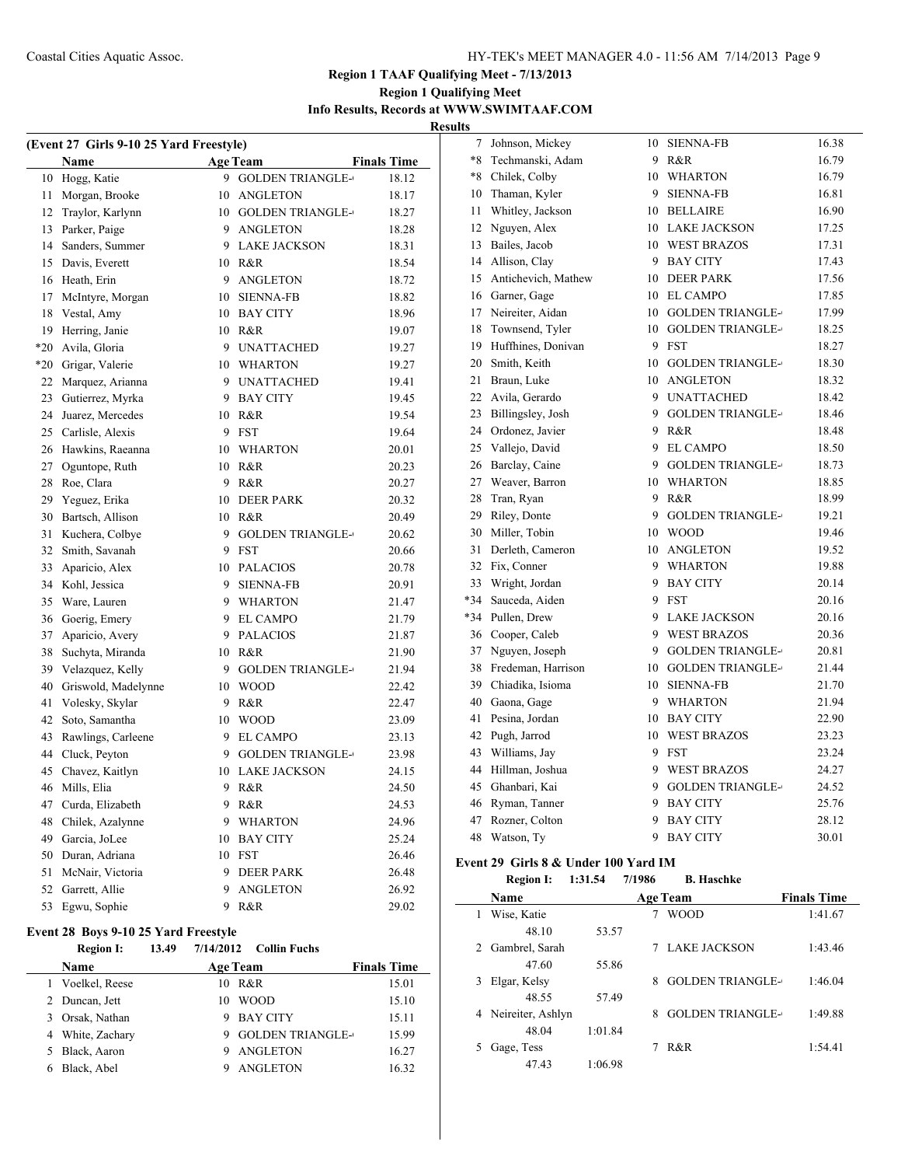## **Region 1 Qualifying Meet Info Results, Records at WWW.SWIMTAAF.COM**

**Results**

| (Event 27 Girls 9-10 25 Yard Freestyle) |                     |    |                         |                    |  |  |  |
|-----------------------------------------|---------------------|----|-------------------------|--------------------|--|--|--|
|                                         | Name                |    | <b>Age Team</b>         | <b>Finals Time</b> |  |  |  |
| 10                                      | Hogg, Katie         | 9. | <b>GOLDEN TRIANGLE-</b> | 18.12              |  |  |  |
| 11                                      | Morgan, Brooke      | 10 | <b>ANGLETON</b>         | 18.17              |  |  |  |
| 12                                      | Traylor, Karlynn    |    | 10 GOLDEN TRIANGLE-     | 18.27              |  |  |  |
| 13                                      | Parker, Paige       |    | 9 ANGLETON              | 18.28              |  |  |  |
| 14                                      | Sanders, Summer     |    | 9 LAKE JACKSON          | 18.31              |  |  |  |
| 15                                      | Davis, Everett      |    | 10 R&R                  | 18.54              |  |  |  |
| 16                                      | Heath, Erin         |    | 9 ANGLETON              | 18.72              |  |  |  |
| 17                                      | McIntyre, Morgan    |    | 10 SIENNA-FB            | 18.82              |  |  |  |
| 18                                      | Vestal, Amy         |    | 10 BAY CITY             | 18.96              |  |  |  |
| 19                                      | Herring, Janie      |    | 10 R&R                  | 19.07              |  |  |  |
| $*20$                                   | Avila, Gloria       |    | 9 UNATTACHED            | 19.27              |  |  |  |
| *20                                     | Grigar, Valerie     |    | 10 WHARTON              | 19.27              |  |  |  |
| 22                                      | Marquez, Arianna    |    | 9 UNATTACHED            | 19.41              |  |  |  |
| 23                                      | Gutierrez, Myrka    |    | 9 BAY CITY              | 19.45              |  |  |  |
| 24                                      | Juarez, Mercedes    |    | 10 R&R                  | 19.54              |  |  |  |
| 25                                      | Carlisle, Alexis    |    | 9 FST                   | 19.64              |  |  |  |
| 26                                      | Hawkins, Raeanna    |    | 10 WHARTON              | 20.01              |  |  |  |
| 27                                      | Oguntope, Ruth      |    | 10 R&R                  | 20.23              |  |  |  |
| 28                                      | Roe, Clara          |    | 9 R&R                   | 20.27              |  |  |  |
| 29                                      | Yeguez, Erika       |    | 10 DEER PARK            | 20.32              |  |  |  |
| 30                                      | Bartsch, Allison    |    | 10 R&R                  | 20.49              |  |  |  |
| 31                                      | Kuchera, Colbye     |    | 9 GOLDEN TRIANGLE-      | 20.62              |  |  |  |
| 32                                      | Smith, Savanah      | 9  | <b>FST</b>              | 20.66              |  |  |  |
| 33                                      | Aparicio, Alex      |    | 10 PALACIOS             | 20.78              |  |  |  |
| 34                                      | Kohl, Jessica       | 9  | <b>SIENNA-FB</b>        | 20.91              |  |  |  |
| 35                                      | Ware, Lauren        |    | 9 WHARTON               | 21.47              |  |  |  |
| 36                                      | Goerig, Emery       |    | 9 EL CAMPO              | 21.79              |  |  |  |
| 37                                      | Aparicio, Avery     |    | 9 PALACIOS              | 21.87              |  |  |  |
| 38                                      | Suchyta, Miranda    |    | 10 R&R                  | 21.90              |  |  |  |
| 39                                      | Velazquez, Kelly    |    | 9 GOLDEN TRIANGLE-      | 21.94              |  |  |  |
| 40                                      | Griswold, Madelynne |    | 10 WOOD                 | 22.42              |  |  |  |
| 41                                      | Volesky, Skylar     | 9  | R&R                     | 22.47              |  |  |  |
| 42                                      | Soto, Samantha      | 10 | <b>WOOD</b>             | 23.09              |  |  |  |
| 43                                      | Rawlings, Carleene  | 9. | EL CAMPO                | 23.13              |  |  |  |
| 44                                      | Cluck, Peyton       | 9. | <b>GOLDEN TRIANGLE-</b> | 23.98              |  |  |  |
| 45                                      | Chavez, Kaitlyn     | 10 | <b>LAKE JACKSON</b>     | 24.15              |  |  |  |
| 46                                      | Mills, Elia         | 9  | R&R                     | 24.50              |  |  |  |
| 47                                      | Curda, Elizabeth    | 9  | R&R                     | 24.53              |  |  |  |
| 48                                      | Chilek, Azalynne    | 9  | WHARTON                 | 24.96              |  |  |  |
| 49                                      | Garcia, JoLee       | 10 | <b>BAY CITY</b>         | 25.24              |  |  |  |
| 50                                      | Duran, Adriana      | 10 | <b>FST</b>              | 26.46              |  |  |  |
| 51                                      | McNair, Victoria    | 9  | <b>DEER PARK</b>        | 26.48              |  |  |  |
| 52                                      | Garrett, Allie      | 9  | <b>ANGLETON</b>         | 26.92              |  |  |  |
| 53                                      | Egwu, Sophie        | 9  | R&R                     | 29.02              |  |  |  |

### **Event 28 Boys 9-10 25 Yard Freestyle**

|    | <b>Region I:</b> | 13.49 |                 | $7/14/2012$ Collin Fuchs |                    |
|----|------------------|-------|-----------------|--------------------------|--------------------|
|    | <b>Name</b>      |       | <b>Age Team</b> |                          | <b>Finals Time</b> |
|    | 1 Voelkel, Reese |       | 10              | R&R                      | 15.01              |
|    | 2 Duncan, Jett   |       | 10              | <b>WOOD</b>              | 15.10              |
|    | Orsak, Nathan    |       |                 | <b>BAY CITY</b>          | 15.11              |
|    | 4 White, Zachary |       |                 | <b>GOLDEN TRIANGLE-</b>  | 15.99              |
| 5. | Black, Aaron     |       |                 | ANGLETON                 | 16.27              |
|    | Black, Abel      |       |                 | <b>ANGLETON</b>          | 16.32              |
|    |                  |       |                 |                          |                    |

| 7     | Johnson, Mickey     | 10 | <b>SIENNA-FB</b>        | 16.38 |
|-------|---------------------|----|-------------------------|-------|
|       | *8 Techmanski, Adam |    | 9 R&R                   | 16.79 |
|       | *8 Chilek, Colby    |    | 10 WHARTON              | 16.79 |
|       | 10 Thaman, Kyler    | 9  | <b>SIENNA-FB</b>        | 16.81 |
| 11    | Whitley, Jackson    |    | 10 BELLAIRE             | 16.90 |
|       | 12 Nguyen, Alex     |    | 10 LAKE JACKSON         | 17.25 |
| 13    | Bailes, Jacob       |    | 10 WEST BRAZOS          | 17.31 |
|       | 14 Allison, Clay    |    | 9 BAY CITY              | 17.43 |
| 15    | Antichevich, Mathew |    | 10 DEER PARK            | 17.56 |
|       | 16 Garner, Gage     |    | 10 EL CAMPO             | 17.85 |
|       | 17 Neireiter, Aidan |    | 10 GOLDEN TRIANGLE-     | 17.99 |
| 18    | Townsend, Tyler     |    | 10 GOLDEN TRIANGLE-     | 18.25 |
| 19    | Huffhines, Donivan  |    | 9 FST                   | 18.27 |
|       | 20 Smith, Keith     |    | 10 GOLDEN TRIANGLE-     | 18.30 |
| 21    | Braun, Luke         |    | 10 ANGLETON             | 18.32 |
| 22    | Avila, Gerardo      |    | 9 UNATTACHED            | 18.42 |
| 23    | Billingsley, Josh   | 9  | <b>GOLDEN TRIANGLE-</b> | 18.46 |
|       | 24 Ordonez, Javier  | 9  | R&R                     | 18.48 |
|       | 25 Vallejo, David   | 9. | <b>EL CAMPO</b>         | 18.50 |
| 26    | Barclay, Caine      |    | 9 GOLDEN TRIANGLE-      | 18.73 |
| 27    | Weaver, Barron      |    | 10 WHARTON              | 18.85 |
| 28    | Tran, Ryan          | 9  | R&R                     | 18.99 |
| 29    | Riley, Donte        | 9  | <b>GOLDEN TRIANGLE-</b> | 19.21 |
| 30    | Miller, Tobin       |    | 10 WOOD                 | 19.46 |
| 31    | Derleth, Cameron    |    | 10 ANGLETON             | 19.52 |
| 32    | Fix, Conner         |    | 9 WHARTON               | 19.88 |
| 33    | Wright, Jordan      |    | 9 BAY CITY              | 20.14 |
| *34   | Sauceda, Aiden      |    | 9 FST                   | 20.16 |
| $*34$ | Pullen, Drew        |    | 9 LAKE JACKSON          | 20.16 |
| 36    | Cooper, Caleb       | 9  | <b>WEST BRAZOS</b>      | 20.36 |
| 37    | Nguyen, Joseph      | 9  | <b>GOLDEN TRIANGLE-</b> | 20.81 |
| 38    | Fredeman, Harrison  |    | 10 GOLDEN TRIANGLE-     | 21.44 |
| 39    | Chiadika, Isioma    |    | 10 SIENNA-FB            | 21.70 |
| 40    | Gaona, Gage         |    | 9 WHARTON               | 21.94 |
| 41    | Pesina, Jordan      |    | 10 BAY CITY             | 22.90 |
| 42    | Pugh, Jarrod        |    | 10 WEST BRAZOS          | 23.23 |
| 43    | Williams, Jay       |    | 9 FST                   | 23.24 |
| 44    | Hillman, Joshua     |    | 9 WEST BRAZOS           | 24.27 |
| 45    | Ghanbari, Kai       | 9  | <b>GOLDEN TRIANGLE-</b> | 24.52 |
| 46    | Ryman, Tanner       | 9  | <b>BAY CITY</b>         | 25.76 |
| 47    | Rozner, Colton      | 9. | <b>BAY CITY</b>         | 28.12 |
| 48    | Watson, Ty          | 9  | <b>BAY CITY</b>         | 30.01 |

### **Event 29 Girls 8 & Under 100 Yard IM**

 $\overline{a}$ 

#### **Region I: 1:31.54 7/1986 B. Haschke**

|   | Name                |         |   | <b>Age Team</b>         | <b>Finals Time</b> |
|---|---------------------|---------|---|-------------------------|--------------------|
|   | Wise, Katie         |         |   | <b>WOOD</b>             | 1:41.67            |
|   | 48.10               | 53.57   |   |                         |                    |
| 2 | Gambrel, Sarah      |         |   | LAKE JACKSON            | 1:43.46            |
|   | 47.60               | 55.86   |   |                         |                    |
| 3 | Elgar, Kelsy        |         | 8 | <b>GOLDEN TRIANGLE-</b> | 1:46.04            |
|   | 48.55               | 57.49   |   |                         |                    |
|   | 4 Neireiter, Ashlyn |         | 8 | <b>GOLDEN TRIANGLE-</b> | 1:49.88            |
|   | 48.04               | 1:01.84 |   |                         |                    |
|   | Gage, Tess          |         |   | R&R                     | 1:54.41            |
|   | 47.43               | 1:06.98 |   |                         |                    |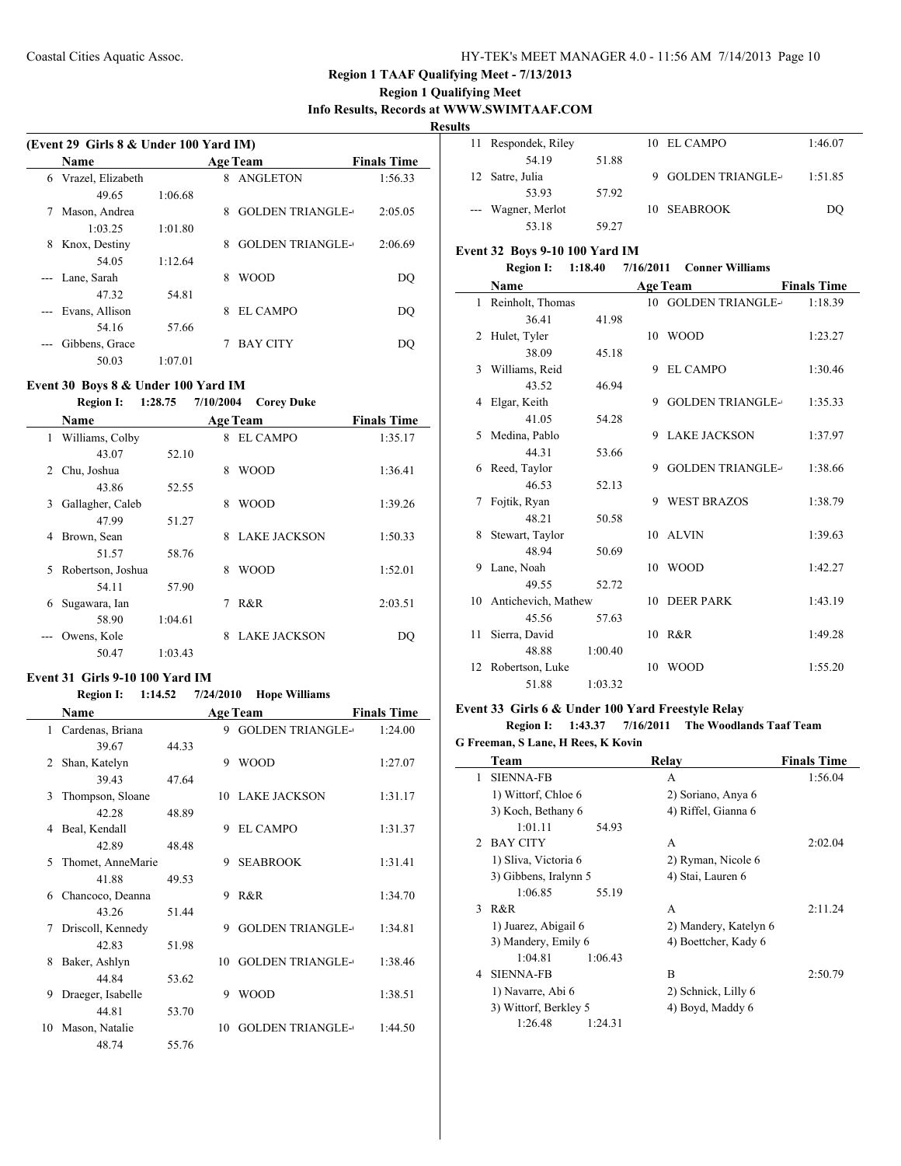### **Region 1 Qualifying Meet Info Results, Records at WWW.SWIMTAAF.COM**

**Result** 

 $\overline{a}$ 

|   | (Event 29 Girls 8 & Under 100 Yard IM) |         |   |                         |                    |  |  |
|---|----------------------------------------|---------|---|-------------------------|--------------------|--|--|
|   | <b>Name</b>                            |         |   | <b>Age Team</b>         | <b>Finals Time</b> |  |  |
| 6 | Vrazel, Elizabeth                      |         | 8 | <b>ANGLETON</b>         | 1:56.33            |  |  |
|   | 49.65                                  | 1:06.68 |   |                         |                    |  |  |
|   | Mason, Andrea                          |         | 8 | <b>GOLDEN TRIANGLE-</b> | 2:05.05            |  |  |
|   | 1:03.25                                | 1:01.80 |   |                         |                    |  |  |
| 8 | Knox, Destiny                          |         | 8 | <b>GOLDEN TRIANGLE-</b> | 2:06.69            |  |  |
|   | 54.05                                  | 1:12.64 |   |                         |                    |  |  |
|   | --- Lane, Sarah                        |         | 8 | <b>WOOD</b>             | DO                 |  |  |
|   | 47.32                                  | 54.81   |   |                         |                    |  |  |
|   | Evans, Allison                         |         | 8 | EL CAMPO                | DO                 |  |  |
|   | 54.16                                  | 57.66   |   |                         |                    |  |  |
|   | Gibbens, Grace                         |         |   | <b>BAY CITY</b>         | DO                 |  |  |
|   | 50.03                                  | 1:07.01 |   |                         |                    |  |  |

## **Event 30 Boys 8 & Under 100 Yard IM**

**Region I: 1:28.75 7/10/2004 Corey Duke**

|   | <b>Name</b>       |         |   | <b>Age Team</b>     | <b>Finals Time</b> |
|---|-------------------|---------|---|---------------------|--------------------|
| 1 | Williams, Colby   |         | 8 | EL CAMPO            | 1:35.17            |
|   | 43.07             | 52.10   |   |                     |                    |
| 2 | Chu, Joshua       |         | 8 | WOOD                | 1:36.41            |
|   | 43.86             | 52.55   |   |                     |                    |
| 3 | Gallagher, Caleb  |         | 8 | WOOD                | 1:39.26            |
|   | 47.99             | 51.27   |   |                     |                    |
| 4 | Brown, Sean       |         | 8 | <b>LAKE JACKSON</b> | 1:50.33            |
|   | 51.57             | 58.76   |   |                     |                    |
| 5 | Robertson, Joshua |         | 8 | WOOD                | 1:52.01            |
|   | 54.11             | 57.90   |   |                     |                    |
| 6 | Sugawara, Ian     |         | 7 | R&R                 | 2:03.51            |
|   | 58.90             | 1:04.61 |   |                     |                    |
|   | Owens, Kole       |         | 8 | <b>LAKE JACKSON</b> | DO                 |
|   | 50.47             | 1:03.43 |   |                     |                    |

### **Event 31 Girls 9-10 100 Yard IM**

#### **Region I: 1:14.52 7/24/2010 Hope Williams**

|    | Name               |       |    | <b>Age Team</b>         | <b>Finals Time</b> |
|----|--------------------|-------|----|-------------------------|--------------------|
|    | 1 Cardenas, Briana |       |    | 9 GOLDEN TRIANGLE-      | 1:24.00            |
|    | 39.67              | 44.33 |    |                         |                    |
| 2  | Shan, Katelyn      |       | 9  | <b>WOOD</b>             | 1:27.07            |
|    | 3943               | 47.64 |    |                         |                    |
| 3  | Thompson, Sloane   |       | 10 | LAKE JACKSON            | 1:31.17            |
|    | 42.28              | 48.89 |    |                         |                    |
| 4  | Beal, Kendall      |       | 9  | EL CAMPO                | 1:31.37            |
|    | 42.89              | 48.48 |    |                         |                    |
| 5  | Thomet, AnneMarie  |       | 9  | <b>SEABROOK</b>         | 1:31.41            |
|    | 41.88              | 49.53 |    |                         |                    |
| 6  | Chancoco, Deanna   |       | 9  | R&R                     | 1:34.70            |
|    | 43 26              | 51.44 |    |                         |                    |
| 7  | Driscoll, Kennedy  |       | 9  | <b>GOLDEN TRIANGLE-</b> | 1:34.81            |
|    | 42.83              | 51.98 |    |                         |                    |
| 8  | Baker, Ashlyn      |       | 10 | <b>GOLDEN TRIANGLE-</b> | 1:38.46            |
|    | 44 84              | 53.62 |    |                         |                    |
| 9  | Draeger, Isabelle  |       | 9  | <b>WOOD</b>             | 1:38.51            |
|    | 44.81              | 53.70 |    |                         |                    |
| 10 | Mason, Natalie     |       | 10 | <b>GOLDEN TRIANGLE-</b> | 1:44.50            |
|    | 48.74              | 55.76 |    |                         |                    |

| ts  |                    |       |   |                  |         |
|-----|--------------------|-------|---|------------------|---------|
| 11. | Respondek, Riley   |       |   | 10 EL CAMPO      | 1:46.07 |
|     | 54.19              | 51.88 |   |                  |         |
|     | 12 Satre, Julia    |       | 9 | GOLDEN TRIANGLE- | 1:51.85 |
|     | 53.93              | 57.92 |   |                  |         |
|     | --- Wagner, Merlot |       |   | 10 SEABROOK      | DO      |
|     | 53.18              | 59.27 |   |                  |         |

### **Event 32 Boys 9-10 100 Yard IM**

|              | <b>Region I:</b>       | 1:18.40 | 7/16/2011       | <b>Conner Williams</b>  |                    |
|--------------|------------------------|---------|-----------------|-------------------------|--------------------|
|              | <b>Name</b>            |         | <b>Age Team</b> |                         | <b>Finals Time</b> |
| $\mathbf{1}$ | Reinholt, Thomas       |         |                 | 10 GOLDEN TRIANGLE-     | 1:18.39            |
|              | 36.41                  | 41.98   |                 |                         |                    |
|              | 2 Hulet, Tyler         |         |                 | 10 WOOD                 | 1:23.27            |
|              | 38.09                  | 45.18   |                 |                         |                    |
|              | 3 Williams, Reid       |         | 9               | <b>EL CAMPO</b>         | 1:30.46            |
|              | 43.52                  | 46.94   |                 |                         |                    |
|              | 4 Elgar, Keith         |         |                 | 9 GOLDEN TRIANGLE-      | 1:35.33            |
|              | 41.05                  | 54.28   |                 |                         |                    |
|              | 5 Medina, Pablo        |         |                 | 9 LAKE JACKSON          | 1:37.97            |
|              | 44.31                  | 53.66   |                 |                         |                    |
|              | 6 Reed, Taylor         |         | 9               | <b>GOLDEN TRIANGLE-</b> | 1:38.66            |
|              | 46.53                  | 52.13   |                 |                         |                    |
| 7            | Fojtik, Ryan           |         | 9               | <b>WEST BRAZOS</b>      | 1:38.79            |
|              | 48.21                  | 50.58   |                 |                         |                    |
| 8            | Stewart, Taylor        |         |                 | 10 ALVIN                | 1:39.63            |
|              | 48.94                  | 50.69   |                 |                         |                    |
| 9            | Lane, Noah             |         |                 | 10 WOOD                 | 1:42.27            |
|              | 49.55                  | 52.72   |                 |                         |                    |
|              | 10 Antichevich, Mathew |         |                 | 10 DEER PARK            | 1:43.19            |
|              | 45.56                  | 57.63   |                 |                         |                    |
| 11.          | Sierra, David          |         |                 | 10 R&R                  | 1:49.28            |
|              | 48.88                  | 1:00.40 |                 |                         |                    |
|              | 12 Robertson, Luke     |         | 10              | <b>WOOD</b>             | 1:55.20            |
|              | 51.88                  | 1:03.32 |                 |                         |                    |

### **Event 33 Girls 6 & Under 100 Yard Freestyle Relay**

### **Region I: 1:43.37 7/16/2011 The Woodlands Taaf Team G Freeman, S Lane, H Rees, K Kovin**

|                | Team                  | Relay                 | <b>Finals Time</b> |
|----------------|-----------------------|-----------------------|--------------------|
| 1              | <b>SIENNA-FB</b>      | А                     | 1:56.04            |
|                | 1) Wittorf, Chloe 6   | 2) Soriano, Anya 6    |                    |
|                | 3) Koch, Bethany 6    | 4) Riffel, Gianna 6   |                    |
|                | 1:01.11               | 54.93                 |                    |
| $\mathfrak{D}$ | <b>BAY CITY</b>       | A                     | 2:02.04            |
|                | 1) Sliva, Victoria 6  | 2) Ryman, Nicole 6    |                    |
|                | 3) Gibbens, Iralynn 5 | 4) Stai, Lauren 6     |                    |
|                | 1:06.85               | 55.19                 |                    |
| $\mathcal{L}$  | R & R                 | A                     | 2:11.24            |
|                | 1) Juarez, Abigail 6  | 2) Mandery, Katelyn 6 |                    |
|                | 3) Mandery, Emily 6   | 4) Boettcher, Kady 6  |                    |
|                | 1:04.81               | 1:06.43               |                    |
| 4              | <b>SIENNA-FB</b>      | B                     | 2:50.79            |
|                | 1) Navarre, Abi 6     | 2) Schnick, Lilly 6   |                    |
|                | 3) Wittorf, Berkley 5 | 4) Boyd, Maddy 6      |                    |
|                | 1:26.48               | 1:24.31               |                    |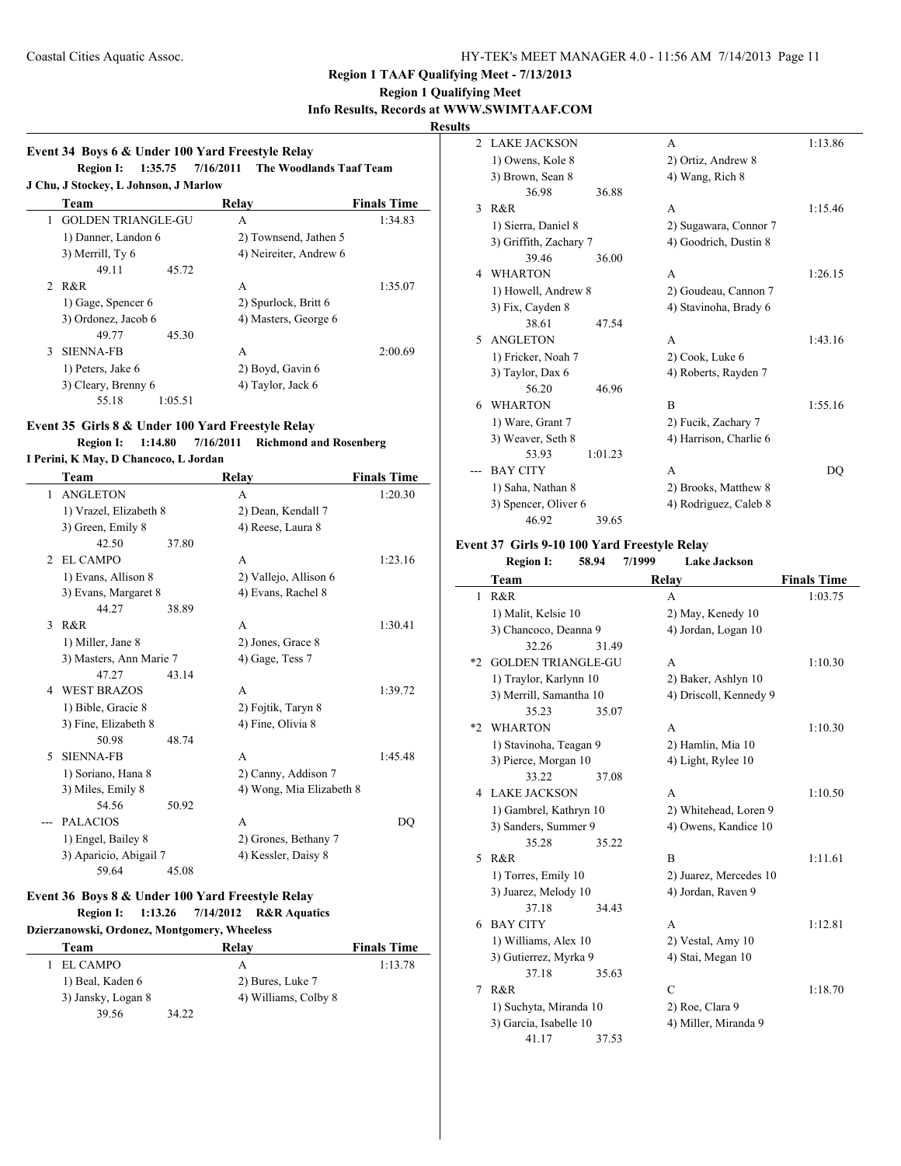## **Region 1 Qualifying Meet**

**Info Results, Records at WWW.SWIMTAAF.COM**

 $\overline{\phantom{a}}$ 

## **Results**

|   | Event 34 Boys 6 & Under 100 Yard Freestyle Relay | Region I: 1:35.75 7/16/2011 The Woodlands Taaf Team |                    |
|---|--------------------------------------------------|-----------------------------------------------------|--------------------|
|   | J Chu, J Stockey, L Johnson, J Marlow            |                                                     |                    |
|   | Team                                             | Relay                                               | <b>Finals Time</b> |
| 1 | <b>GOLDEN TRIANGLE-GU</b>                        | A                                                   | 1:34.83            |
|   | 1) Danner, Landon 6                              | 2) Townsend, Jathen 5                               |                    |
|   | 3) Merrill, Ty 6                                 | 4) Neireiter, Andrew 6                              |                    |
|   | 49.11<br>45.72                                   |                                                     |                    |
|   | 2 R&R                                            | A                                                   | 1:35.07            |
|   | 1) Gage, Spencer 6                               | 2) Spurlock, Britt 6                                |                    |
|   | 3) Ordonez, Jacob 6                              | 4) Masters, George 6                                |                    |
|   | 45.30<br>49.77                                   |                                                     |                    |
| 3 | <b>SIENNA-FB</b>                                 | А                                                   | 2:00.69            |
|   | 1) Peters, Jake 6                                | 2) Boyd, Gavin 6                                    |                    |
|   | 3) Cleary, Brenny 6                              | 4) Taylor, Jack 6                                   |                    |
|   | 1:05.51<br>55.18                                 |                                                     |                    |

## **Event 35 Girls 8 & Under 100 Yard Freestyle Relay**

**Region I: 1:14.80 7/16/2011 Richmond and Rosenberg**

### **I Perini, K May, D Chancoco, L Jordan**

|                | Team                    |       | Relay                    | <b>Finals Time</b> |
|----------------|-------------------------|-------|--------------------------|--------------------|
| 1              | <b>ANGLETON</b>         |       | A                        | 1:20.30            |
|                | 1) Vrazel, Elizabeth 8  |       | 2) Dean, Kendall 7       |                    |
|                | 3) Green, Emily 8       |       | 4) Reese, Laura 8        |                    |
|                | 42.50                   | 37.80 |                          |                    |
| $\mathfrak{D}$ | EL CAMPO                |       | A                        | 1:23.16            |
|                | 1) Evans, Allison 8     |       | 2) Vallejo, Allison 6    |                    |
|                | 3) Evans, Margaret 8    |       | 4) Evans, Rachel 8       |                    |
|                | 44.27                   | 38.89 |                          |                    |
| $\mathbf{3}$   | R&R                     |       | A                        | 1:30.41            |
|                | 1) Miller, Jane 8       |       | 2) Jones, Grace 8        |                    |
|                | 3) Masters, Ann Marie 7 |       | 4) Gage, Tess 7          |                    |
|                | 47.27                   | 43.14 |                          |                    |
| 4              | <b>WEST BRAZOS</b>      |       | A                        | 1:39.72            |
|                | 1) Bible, Gracie 8      |       | 2) Fojtik, Taryn 8       |                    |
|                | 3) Fine, Elizabeth 8    |       | 4) Fine, Olivia 8        |                    |
|                | 50.98                   | 48.74 |                          |                    |
| 5              | <b>SIENNA-FB</b>        |       | A                        | 1:45.48            |
|                | 1) Soriano, Hana 8      |       | 2) Canny, Addison 7      |                    |
|                | 3) Miles, Emily 8       |       | 4) Wong, Mia Elizabeth 8 |                    |
|                | 54.56                   | 50.92 |                          |                    |
|                | <b>PALACIOS</b>         |       | A                        | DO                 |
|                | 1) Engel, Bailey 8      |       | 2) Grones, Bethany 7     |                    |
|                | 3) Aparicio, Abigail 7  |       | 4) Kessler, Daisy 8      |                    |
|                | 59.64                   | 45.08 |                          |                    |

### **Event 36 Boys 8 & Under 100 Yard Freestyle Relay Region I: 1:13.26 7/14/2012 R&R Aquatics**

**Dzierzanowski, Ordonez, Montgomery, Wheeless**

| Team               | Relay                | <b>Finals Time</b> |
|--------------------|----------------------|--------------------|
| EL CAMPO           | А                    | 1:13.78            |
| 1) Beal, Kaden 6   | 2) Bures, Luke 7     |                    |
| 3) Jansky, Logan 8 | 4) Williams, Colby 8 |                    |
| 39.56              | 34.22                |                    |

| $\mathfrak{D}$ | <b>LAKE JACKSON</b>    |         | A                      | 1:13.86 |
|----------------|------------------------|---------|------------------------|---------|
|                | 1) Owens, Kole 8       |         | 2) Ortiz, Andrew 8     |         |
|                | 3) Brown, Sean 8       |         | 4) Wang, Rich 8        |         |
|                | 36.98                  | 36.88   |                        |         |
| 3              | R & R                  |         | A                      | 1:15.46 |
|                | 1) Sierra, Daniel 8    |         | 2) Sugawara, Connor 7  |         |
|                | 3) Griffith, Zachary 7 |         | 4) Goodrich, Dustin 8  |         |
|                | 39.46                  | 36.00   |                        |         |
| 4              | <b>WHARTON</b>         |         | A                      | 1:26.15 |
|                | 1) Howell, Andrew 8    |         | 2) Goudeau, Cannon 7   |         |
|                | 3) Fix, Cayden 8       |         | 4) Stavinoha, Brady 6  |         |
|                | 38.61                  | 47.54   |                        |         |
| 5.             | <b>ANGLETON</b>        |         | A                      | 1:43.16 |
|                | 1) Fricker, Noah 7     |         | 2) Cook, Luke 6        |         |
|                | 3) Taylor, Dax 6       |         | 4) Roberts, Rayden 7   |         |
|                | 56.20                  | 46.96   |                        |         |
| 6              | <b>WHARTON</b>         |         | B                      | 1:55.16 |
|                | 1) Ware, Grant 7       |         | 2) Fucik, Zachary 7    |         |
|                | 3) Weaver, Seth 8      |         | 4) Harrison, Charlie 6 |         |
|                | 53.93                  | 1:01.23 |                        |         |
|                | <b>BAY CITY</b>        |         | A                      | DO      |
|                | 1) Saha, Nathan 8      |         | 2) Brooks, Matthew 8   |         |
|                | 3) Spencer, Oliver 6   |         | 4) Rodriguez, Caleb 8  |         |
|                | 46.92                  | 39.65   |                        |         |

#### **Event 37 Girls 9-10 100 Yard Freestyle Relay**

|      | <b>Region I:</b>          | 58.94 | 7/1999 | <b>Lake Jackson</b>    |                    |
|------|---------------------------|-------|--------|------------------------|--------------------|
|      | Team                      |       |        | Relay                  | <b>Finals Time</b> |
| 1    | R&R                       |       |        | A                      | 1:03.75            |
|      | 1) Malit, Kelsie 10       |       |        | 2) May, Kenedy 10      |                    |
|      | 3) Chancoco, Deanna 9     |       |        | 4) Jordan, Logan 10    |                    |
|      | 32.26                     | 31.49 |        |                        |                    |
| $*2$ | <b>GOLDEN TRIANGLE-GU</b> |       |        | A                      | 1:10.30            |
|      | 1) Traylor, Karlynn 10    |       |        | 2) Baker, Ashlyn 10    |                    |
|      | 3) Merrill, Samantha 10   |       |        | 4) Driscoll, Kennedy 9 |                    |
|      | 35.23                     | 35.07 |        |                        |                    |
| $*2$ | <b>WHARTON</b>            |       |        | A                      | 1:10.30            |
|      | 1) Stavinoha, Teagan 9    |       |        | 2) Hamlin, Mia 10      |                    |
|      | 3) Pierce, Morgan 10      |       |        | 4) Light, Rylee 10     |                    |
|      | 33.22                     | 37.08 |        |                        |                    |
| 4    | <b>LAKE JACKSON</b>       |       |        | A                      | 1:10.50            |
|      | 1) Gambrel, Kathryn 10    |       |        | 2) Whitehead, Loren 9  |                    |
|      | 3) Sanders, Summer 9      |       |        | 4) Owens, Kandice 10   |                    |
|      | 35.28                     | 35.22 |        |                        |                    |
| 5    | R&R                       |       |        | B                      | 1:11.61            |
|      | 1) Torres, Emily 10       |       |        | 2) Juarez, Mercedes 10 |                    |
|      | 3) Juarez, Melody 10      |       |        | 4) Jordan, Raven 9     |                    |
|      | 37.18                     | 34.43 |        |                        |                    |
| 6    | <b>BAY CITY</b>           |       |        | A                      | 1:12.81            |
|      | 1) Williams, Alex 10      |       |        | 2) Vestal, Amy 10      |                    |
|      | 3) Gutierrez, Myrka 9     |       |        | 4) Stai, Megan 10      |                    |
|      | 37.18                     | 35.63 |        |                        |                    |
| 7    | R&R                       |       |        | C                      | 1:18.70            |
|      | 1) Suchyta, Miranda 10    |       |        | 2) Roe, Clara 9        |                    |
|      | 3) Garcia, Isabelle 10    |       |        | 4) Miller, Miranda 9   |                    |
|      | 41.17                     | 37.53 |        |                        |                    |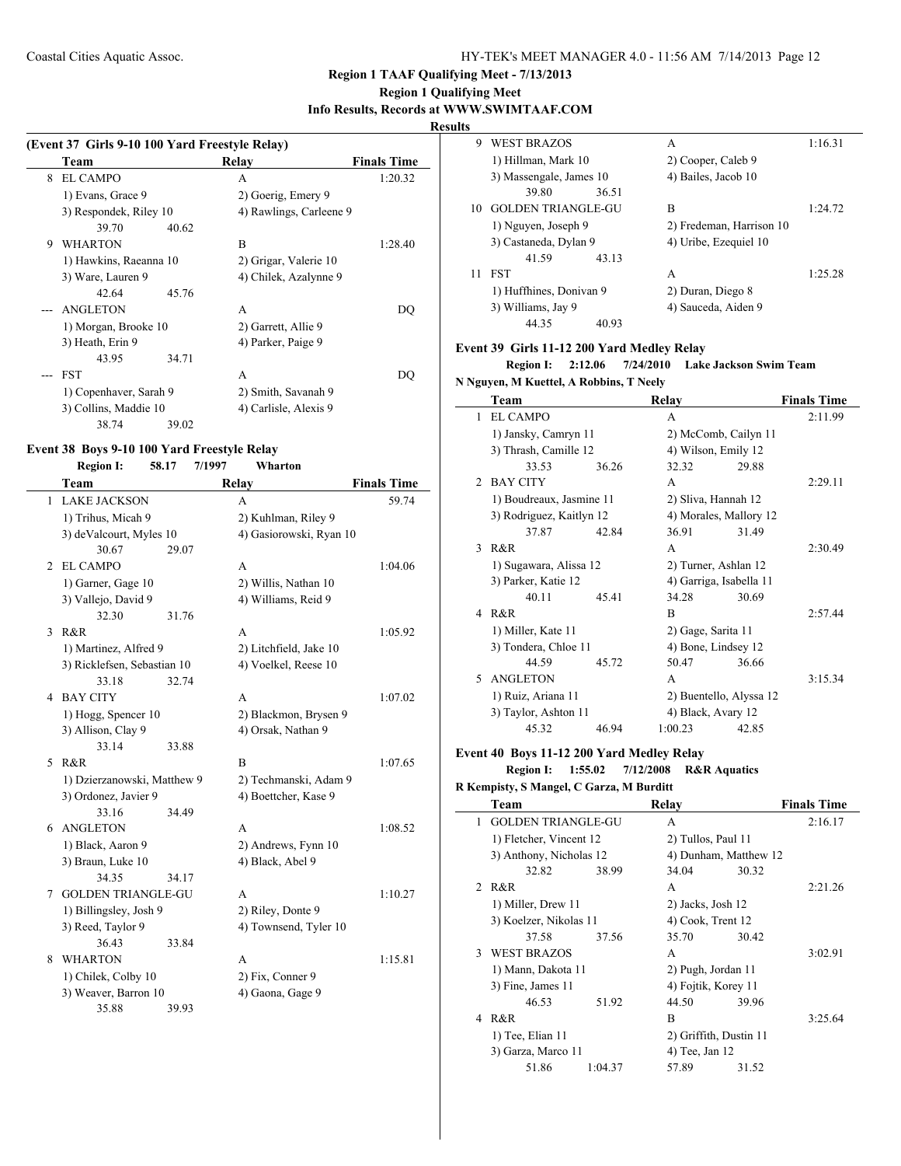### **Region 1 Qualifying Meet Info Results, Records at WWW.SWIMTAAF.COM**

#### **Results**

|   | (Event 37 Girls 9-10 100 Yard Freestyle Relay) |       |                         |  |  |
|---|------------------------------------------------|-------|-------------------------|--|--|
|   | Team                                           | Relay | <b>Finals Time</b>      |  |  |
| 8 | EL CAMPO                                       | A     | 1:20.32                 |  |  |
|   | 1) Evans, Grace 9                              |       | 2) Goerig, Emery 9      |  |  |
|   | 3) Respondek, Riley 10                         |       | 4) Rawlings, Carleene 9 |  |  |
|   | 39.70                                          | 40.62 |                         |  |  |
| 9 | <b>WHARTON</b>                                 | B     | 1:28.40                 |  |  |
|   | 1) Hawkins, Raeanna 10                         |       | 2) Grigar, Valerie 10   |  |  |
|   | 3) Ware, Lauren 9                              |       | 4) Chilek, Azalynne 9   |  |  |
|   | 42.64                                          | 45.76 |                         |  |  |
|   | ANGLETON                                       | A     | DO                      |  |  |
|   | 1) Morgan, Brooke 10                           |       | 2) Garrett, Allie 9     |  |  |
|   | 3) Heath, Erin 9                               |       | 4) Parker, Paige 9      |  |  |
|   | 43.95                                          | 34.71 |                         |  |  |
|   | <b>FST</b>                                     | A     | DO                      |  |  |
|   | 1) Copenhaver, Sarah 9                         |       | 2) Smith, Savanah 9     |  |  |
|   | 3) Collins, Maddie 10                          |       | 4) Carlisle, Alexis 9   |  |  |
|   | 38.74                                          | 39.02 |                         |  |  |

#### **Event 38 Boys 9-10 100 Yard Freestyle Relay Region I: 58.17 7/1997 Wharton**

|   | Team                        |       | Relay                   | <b>Finals Time</b> |
|---|-----------------------------|-------|-------------------------|--------------------|
| 1 | <b>LAKE JACKSON</b>         |       | A                       | 59.74              |
|   | 1) Trihus, Micah 9          |       | 2) Kuhlman, Riley 9     |                    |
|   | 3) deValcourt, Myles 10     |       | 4) Gasiorowski, Ryan 10 |                    |
|   | 30.67                       | 29.07 |                         |                    |
| 2 | <b>EL CAMPO</b>             |       | A                       | 1:04.06            |
|   | 1) Garner, Gage 10          |       | 2) Willis, Nathan 10    |                    |
|   | 3) Vallejo, David 9         |       | 4) Williams, Reid 9     |                    |
|   | 32.30                       | 31.76 |                         |                    |
| 3 | R&R                         |       | A                       | 1:05.92            |
|   | 1) Martinez, Alfred 9       |       | 2) Litchfield, Jake 10  |                    |
|   | 3) Ricklefsen, Sebastian 10 |       | 4) Voelkel, Reese 10    |                    |
|   | 33.18                       | 32.74 |                         |                    |
| 4 | <b>BAY CITY</b>             |       | A                       | 1:07.02            |
|   | 1) Hogg, Spencer 10         |       | 2) Blackmon, Brysen 9   |                    |
|   | 3) Allison, Clay 9          |       | 4) Orsak, Nathan 9      |                    |
|   | 33.14                       | 33.88 |                         |                    |
| 5 | R&R                         |       | B                       | 1:07.65            |
|   | 1) Dzierzanowski, Matthew 9 |       | 2) Techmanski, Adam 9   |                    |
|   | 3) Ordonez, Javier 9        |       | 4) Boettcher, Kase 9    |                    |
|   | 33.16                       | 34.49 |                         |                    |
| 6 | <b>ANGLETON</b>             |       | A                       | 1:08.52            |
|   | 1) Black, Aaron 9           |       | 2) Andrews, Fynn 10     |                    |
|   | 3) Braun, Luke 10           |       | 4) Black, Abel 9        |                    |
|   | 34.35                       | 34.17 |                         |                    |
| 7 | <b>GOLDEN TRIANGLE-GU</b>   |       | A                       | 1:10.27            |
|   | 1) Billingsley, Josh 9      |       | 2) Riley, Donte 9       |                    |
|   | 3) Reed, Taylor 9           |       | 4) Townsend, Tyler 10   |                    |
|   | 36.43                       | 33.84 |                         |                    |
| 8 | <b>WHARTON</b>              |       | A                       | 1:15.81            |
|   | 1) Chilek, Colby 10         |       | 2) Fix, Conner 9        |                    |
|   | 3) Weaver, Barron 10        |       | 4) Gaona, Gage 9        |                    |
|   | 35.88                       | 39.93 |                         |                    |

| w  |                           |       |                          |         |
|----|---------------------------|-------|--------------------------|---------|
| 9  | <b>WEST BRAZOS</b>        |       | A                        | 1:16.31 |
|    | 1) Hillman, Mark 10       |       | 2) Cooper, Caleb 9       |         |
|    | 3) Massengale, James 10   |       | 4) Bailes, Jacob 10      |         |
|    | 39.80                     | 36.51 |                          |         |
| 10 | <b>GOLDEN TRIANGLE-GU</b> |       | R                        | 1:24.72 |
|    | 1) Nguyen, Joseph 9       |       | 2) Fredeman, Harrison 10 |         |
|    | 3) Castaneda, Dylan 9     |       | 4) Uribe, Ezequiel 10    |         |
|    | 41.59                     | 43.13 |                          |         |
| 11 | <b>FST</b>                |       | A                        | 1:25.28 |
|    | 1) Huffhines, Donivan 9   |       | 2) Duran, Diego 8        |         |
|    | 3) Williams, Jay 9        |       | 4) Sauceda, Aiden 9      |         |
|    | 44.35                     | 40.93 |                          |         |

### **Event 39 Girls 11-12 200 Yard Medley Relay**

### **Region I: 2:12.06 7/24/2010 Lake Jackson Swim Team**

### **N Nguyen, M Kuettel, A Robbins, T Neely**

|               | Team                     |       | Relay                   |       | <b>Finals Time</b> |
|---------------|--------------------------|-------|-------------------------|-------|--------------------|
| 1             | <b>EL CAMPO</b>          |       | A                       |       | 2:11.99            |
|               | 1) Jansky, Camryn 11     |       | 2) McComb, Cailyn 11    |       |                    |
|               | 3) Thrash, Camille 12    |       | 4) Wilson, Emily 12     |       |                    |
|               | 33.53                    | 36.26 | 32.32                   | 29.88 |                    |
| $\mathcal{D}$ | <b>BAY CITY</b>          |       | A                       |       | 2:29.11            |
|               | 1) Boudreaux, Jasmine 11 |       | 2) Sliva, Hannah 12     |       |                    |
|               | 3) Rodriguez, Kaitlyn 12 |       | 4) Morales, Mallory 12  |       |                    |
|               | 37.87                    | 42.84 | 36.91                   | 31.49 |                    |
| $\mathbf{3}$  | R&R                      |       | A                       |       | 2:30.49            |
|               | 1) Sugawara, Alissa 12   |       | 2) Turner, Ashlan 12    |       |                    |
|               | 3) Parker, Katie 12      |       | 4) Garriga, Isabella 11 |       |                    |
|               | 40.11                    | 45.41 | 34.28                   | 30.69 |                    |
| 4             | R&R                      |       | B                       |       | 2:57.44            |
|               | 1) Miller, Kate 11       |       | 2) Gage, Sarita 11      |       |                    |
|               | 3) Tondera, Chloe 11     |       | 4) Bone, Lindsey 12     |       |                    |
|               | 44.59                    | 45.72 | 50.47                   | 36.66 |                    |
| $\sim$        | <b>ANGLETON</b>          |       | A                       |       | 3:15.34            |
|               | 1) Ruiz, Ariana 11       |       | 2) Buentello, Alyssa 12 |       |                    |
|               | 3) Taylor, Ashton 11     |       | 4) Black, Avary 12      |       |                    |
|               | 45.32                    | 46.94 | 1:00.23                 | 42.85 |                    |

### **Event 40 Boys 11-12 200 Yard Medley Relay Region I: 1:55.02 7/12/2008 R&R Aquatics**

### **R Kempisty, S Mangel, C Garza, M Burditt**

| Team               |         | Relay                                                                                                                                                 |       | <b>Finals Time</b>                                                                                                                                                             |
|--------------------|---------|-------------------------------------------------------------------------------------------------------------------------------------------------------|-------|--------------------------------------------------------------------------------------------------------------------------------------------------------------------------------|
|                    |         | A                                                                                                                                                     |       | 2:16.17                                                                                                                                                                        |
|                    |         |                                                                                                                                                       |       |                                                                                                                                                                                |
|                    |         |                                                                                                                                                       |       |                                                                                                                                                                                |
| 32.82              | 38.99   | 34.04                                                                                                                                                 | 30.32 |                                                                                                                                                                                |
| 2 R&R              |         | A                                                                                                                                                     |       | 2:21.26                                                                                                                                                                        |
| 1) Miller, Drew 11 |         |                                                                                                                                                       |       |                                                                                                                                                                                |
|                    |         |                                                                                                                                                       |       |                                                                                                                                                                                |
| 37.58              | 37.56   | 35.70                                                                                                                                                 | 30.42 |                                                                                                                                                                                |
| 3 WEST BRAZOS      |         | A                                                                                                                                                     |       | 3:02.91                                                                                                                                                                        |
|                    |         |                                                                                                                                                       |       |                                                                                                                                                                                |
| 3) Fine, James 11  |         |                                                                                                                                                       |       |                                                                                                                                                                                |
| 46.53              | 51.92   | 44.50                                                                                                                                                 | 39.96 |                                                                                                                                                                                |
| R&R                |         | B                                                                                                                                                     |       | 3:25.64                                                                                                                                                                        |
| 1) Tee, Elian 11   |         |                                                                                                                                                       |       |                                                                                                                                                                                |
|                    |         |                                                                                                                                                       |       |                                                                                                                                                                                |
| 51.86              | 1:04.37 | 57.89                                                                                                                                                 | 31.52 |                                                                                                                                                                                |
|                    |         | <b>GOLDEN TRIANGLE-GU</b><br>1) Fletcher, Vincent 12<br>3) Anthony, Nicholas 12<br>3) Koelzer, Nikolas 11<br>1) Mann, Dakota 11<br>3) Garza, Marco 11 |       | 2) Tullos, Paul 11<br>4) Dunham, Matthew 12<br>2) Jacks, Josh 12<br>4) Cook, Trent 12<br>2) Pugh, Jordan 11<br>4) Fojtik, Korey 11<br>2) Griffith, Dustin 11<br>4) Tee, Jan 12 |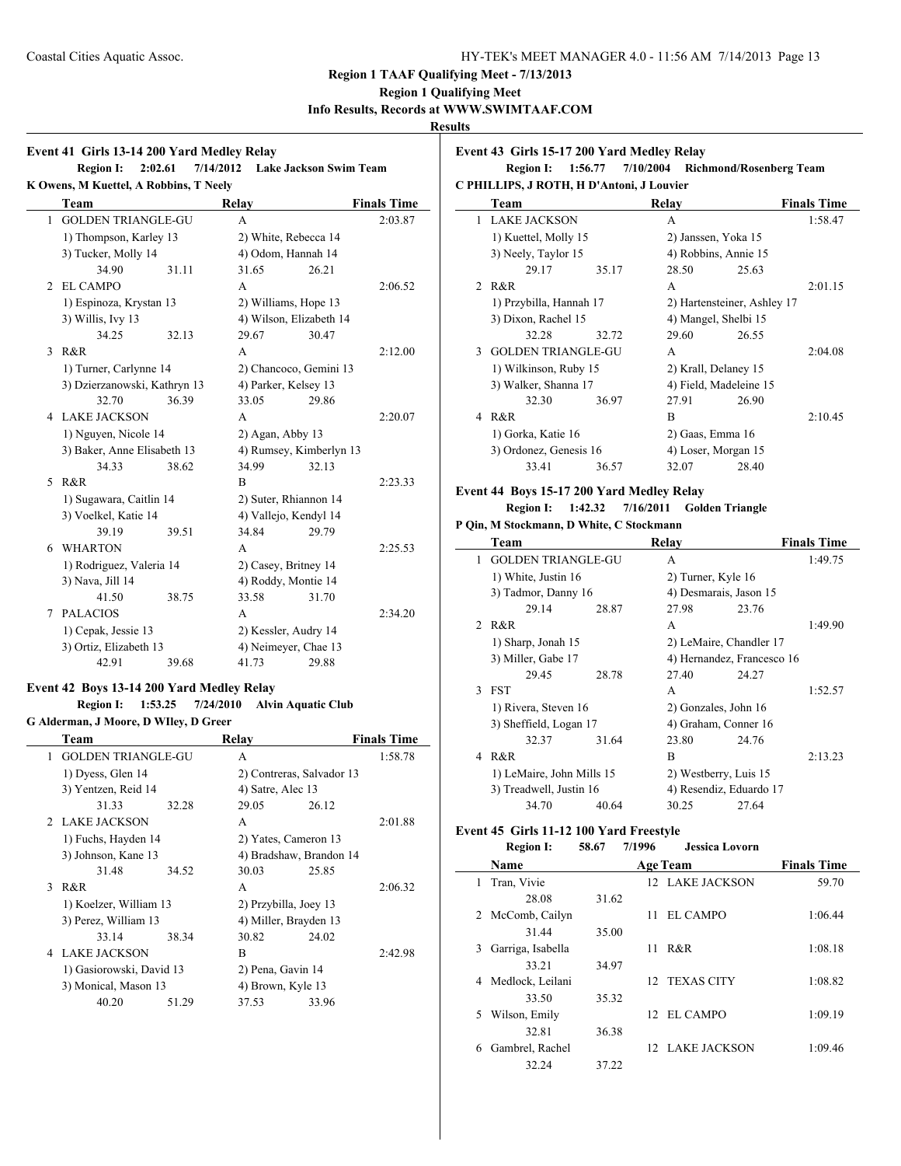## **Region 1 Qualifying Meet**

## **Info Results, Records at WWW.SWIMTAAF.COM**

### **Results**

### **Event 41 Girls 13-14 200 Yard Medley Relay Region I: 2:02.61 7/14/2012 Lake Jackson Swim Team K Owens, M Kuettel, A Robbins, T Neely Team Relay Finals Time** 1 GOLDEN TRIANGLE-GU A 2:03.87 1) Thompson, Karley 13 2) White, Rebecca 14 3) Tucker, Molly 14 4) Odom, Hannah 14 34.90 31.11 31.65 26.21 2 EL CAMPO A 2:06.52 1) Espinoza, Krystan 13 2) Williams, Hope 13 3) Willis, Ivy 13 4) Wilson, Elizabeth 14 34.25 32.13 29.67 30.47 3 R&R 2:12.00 1) Turner, Carlynne 14 2) Chancoco, Gemini 13 3) Dzierzanowski, Kathryn 13 4) Parker, Kelsey 13 32.70 36.39 33.05 29.86 4 LAKE JACKSON A 2:20.07 1) Nguyen, Nicole 14 2) Agan, Abby 13 3) Baker, Anne Elisabeth 13 4) Rumsey, Kimberlyn 13 34.33 38.62 34.99 32.13 5 R&R B 2:23.33 1) Sugawara, Caitlin 14 2) Suter, Rhiannon 14 3) Voelkel, Katie 14 4) Vallejo, Kendyl 14 39.19 39.51 34.84 29.79 6 WHARTON A 2:25.53 1) Rodriguez, Valeria 14 2) Casey, Britney 14 3) Nava, Jill 14 4) Roddy, Montie 14 41.50 38.75 33.58 31.70 7 PALACIOS A 2:34.20 1) Cepak, Jessie 13 2) Kessler, Audry 14 3) Ortiz, Elizabeth 13 4) Neimeyer, Chae 13 42.91 39.68 41.73 29.88

## **Event 42 Boys 13-14 200 Yard Medley Relay**

### **Region I: 1:53.25 7/24/2010 Alvin Aquatic Club G Alderman, J Moore, D WIley, D Greer**

|              | Team                      |       | Relav                     |       | <b>Finals Time</b> |
|--------------|---------------------------|-------|---------------------------|-------|--------------------|
| $\mathbf{1}$ | <b>GOLDEN TRIANGLE-GU</b> |       | A                         |       | 1:58.78            |
|              | 1) Dyess, Glen 14         |       | 2) Contreras, Salvador 13 |       |                    |
|              | 3) Yentzen, Reid 14       |       | 4) Satre, Alec 13         |       |                    |
|              | 31.33                     | 32.28 | 29.05                     | 26.12 |                    |
|              | 2 LAKE JACKSON            |       | A                         |       | 2:01.88            |
|              | 1) Fuchs, Hayden 14       |       | 2) Yates, Cameron 13      |       |                    |
|              | 3) Johnson, Kane 13       |       | 4) Bradshaw, Brandon 14   |       |                    |
|              | 31.48                     | 34.52 | 30.03                     | 25.85 |                    |
|              | 3 R&R                     |       | A                         |       | 2:06.32            |
|              | 1) Koelzer, William 13    |       | 2) Przybilla, Joey 13     |       |                    |
|              | 3) Perez, William 13      |       | 4) Miller, Brayden 13     |       |                    |
|              | 33.14                     | 38.34 | 30.82                     | 24.02 |                    |
|              | 4 LAKE JACKSON            |       | B                         |       | 2:42.98            |
|              | 1) Gasiorowski, David 13  |       | 2) Pena, Gavin 14         |       |                    |
|              | 3) Monical, Mason 13      |       | 4) Brown, Kyle 13         |       |                    |
|              | 40.20                     | 51.29 | 37.53                     | 33.96 |                    |

#### **Event 43 Girls 15-17 200 Yard Medley Relay**

**Region I: 1:56.77 7/10/2004 Richmond/Rosenberg Team C PHILLIPS, J ROTH, H D'Antoni, J Louvier**

|             | Team                      |       | Relay                       |       | <b>Finals Time</b> |  |
|-------------|---------------------------|-------|-----------------------------|-------|--------------------|--|
| 1           | <b>LAKE JACKSON</b>       |       | A                           |       | 1:58.47            |  |
|             | 1) Kuettel, Molly 15      |       | 2) Janssen, Yoka 15         |       |                    |  |
|             | 3) Neely, Taylor 15       |       | 4) Robbins, Annie 15        |       |                    |  |
|             | 29.17                     | 35.17 | 28.50                       | 25.63 |                    |  |
| $2^{\circ}$ | R&R                       |       | A                           |       | 2:01.15            |  |
|             | 1) Przybilla, Hannah 17   |       | 2) Hartensteiner, Ashley 17 |       |                    |  |
|             | 3) Dixon, Rachel 15       |       | 4) Mangel, Shelbi 15        |       |                    |  |
|             | 32.28                     | 32.72 | 29.60                       | 26.55 |                    |  |
| 3           | <b>GOLDEN TRIANGLE-GU</b> |       | A                           |       | 2:04.08            |  |
|             | 1) Wilkinson, Ruby 15     |       | 2) Krall, Delaney 15        |       |                    |  |
|             | 3) Walker, Shanna 17      |       | 4) Field, Madeleine 15      |       |                    |  |
|             | 32.30                     | 36.97 | 27.91                       | 26.90 |                    |  |
| 4           | R&R                       |       | B                           |       | 2:10.45            |  |
|             | 1) Gorka, Katie 16        |       | 2) Gaas, Emma 16            |       |                    |  |
|             | 3) Ordonez, Genesis 16    |       | 4) Loser, Morgan 15         |       |                    |  |
|             | 33.41                     | 36.57 | 32.07                       | 28.40 |                    |  |

#### **Event 44 Boys 15-17 200 Yard Medley Relay**

### **Region I: 1:42.32 7/16/2011 Golden Triangle**

|               | P Oin, M Stockmann, D White, C Stockmann |       |                       |                            |                    |  |  |  |  |
|---------------|------------------------------------------|-------|-----------------------|----------------------------|--------------------|--|--|--|--|
|               | Team                                     |       | Relay                 |                            | <b>Finals Time</b> |  |  |  |  |
| 1             | <b>GOLDEN TRIANGLE-GU</b>                |       | A                     |                            | 1:49.75            |  |  |  |  |
|               | 1) White, Justin 16                      |       | 2) Turner, Kyle 16    |                            |                    |  |  |  |  |
|               | 3) Tadmor, Danny 16                      |       |                       | 4) Desmarais, Jason 15     |                    |  |  |  |  |
|               | 29.14                                    | 28.87 | 27.98                 | 23.76                      |                    |  |  |  |  |
|               | 2 R&R                                    |       | A                     |                            | 1:49.90            |  |  |  |  |
|               | 1) Sharp, Jonah 15                       |       |                       | 2) LeMaire, Chandler 17    |                    |  |  |  |  |
|               | 3) Miller, Gabe 17                       |       |                       | 4) Hernandez, Francesco 16 |                    |  |  |  |  |
|               | 29.45                                    | 28.78 | 27.40                 | 24.27                      |                    |  |  |  |  |
| $\mathcal{F}$ | <b>FST</b>                               |       | A                     |                            | 1:52.57            |  |  |  |  |
|               | 1) Rivera, Steven 16                     |       | 2) Gonzales, John 16  |                            |                    |  |  |  |  |
|               | 3) Sheffield, Logan 17                   |       |                       | 4) Graham, Conner 16       |                    |  |  |  |  |
|               | 32.37                                    | 31.64 | 23.80                 | 24.76                      |                    |  |  |  |  |
| 4             | R&R                                      |       | B                     |                            | 2:13.23            |  |  |  |  |
|               | 1) LeMaire, John Mills 15                |       | 2) Westberry, Luis 15 |                            |                    |  |  |  |  |
|               | 3) Treadwell, Justin 16                  |       |                       | 4) Resendiz, Eduardo 17    |                    |  |  |  |  |
|               | 34.70                                    | 40.64 | 30.25                 | 27.64                      |                    |  |  |  |  |

#### **Event 45 Girls 11-12 100 Yard Freestyle**

|    | <b>Region I:</b>  | 58.67 | 7/1996 | <b>Jessica Lovorn</b> |                    |
|----|-------------------|-------|--------|-----------------------|--------------------|
|    | <b>Name</b>       |       |        | <b>Age Team</b>       | <b>Finals Time</b> |
| L  | Tran, Vivie       |       |        | 12 LAKE JACKSON       | 59.70              |
|    | 28.08             | 31.62 |        |                       |                    |
| 2  | McComb, Cailyn    |       | 11     | <b>EL CAMPO</b>       | 1:06.44            |
|    | 31.44             | 35.00 |        |                       |                    |
| 3. | Garriga, Isabella |       | 11     | R & R                 | 1:08.18            |
|    | 33.21             | 34.97 |        |                       |                    |
|    | Medlock, Leilani  |       |        | 12 TEXAS CITY         | 1:08.82            |
|    | 33.50             | 35.32 |        |                       |                    |
| 5. | Wilson, Emily     |       |        | 12 EL CAMPO           | 1:09.19            |
|    | 32.81             | 36.38 |        |                       |                    |
| 6  | Gambrel, Rachel   |       |        | 12 LAKE JACKSON       | 1:09.46            |
|    | 32.24             | 37.22 |        |                       |                    |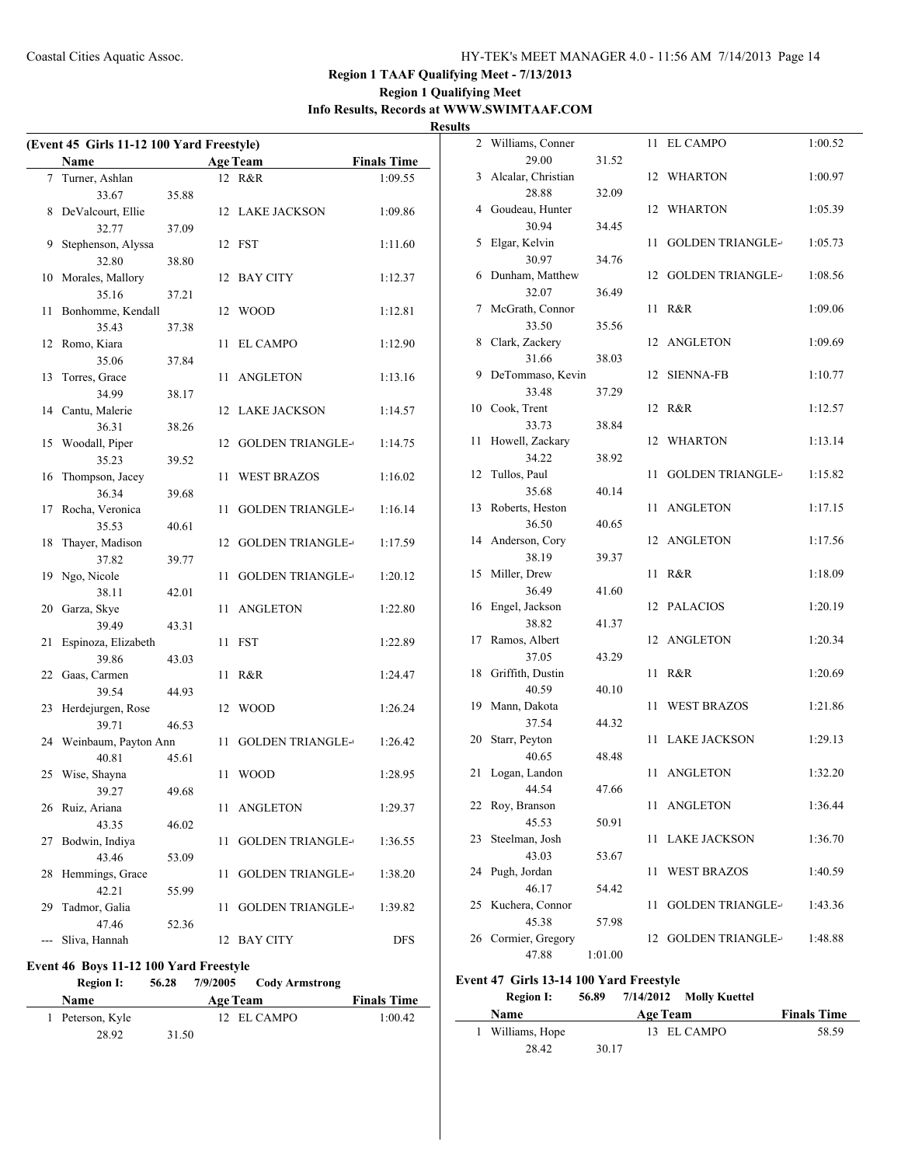## **Region 1 Qualifying Meet Info Results, Records at WWW.SWIMTAAF.COM**

**Results**

| (Event 45 Girls 11-12 100 Yard Freestyle) |                       |       |    |                         |                    |  |  |
|-------------------------------------------|-----------------------|-------|----|-------------------------|--------------------|--|--|
|                                           | Name                  |       |    | <b>Age Team</b>         | <b>Finals Time</b> |  |  |
| $\tau$                                    | Turner, Ashlan        |       |    | 12 R&R                  | 1:09.55            |  |  |
|                                           | 33.67                 | 35.88 |    |                         |                    |  |  |
| 8                                         | DeValcourt, Ellie     |       |    | 12 LAKE JACKSON         | 1:09.86            |  |  |
|                                           | 32.77                 | 37.09 |    |                         |                    |  |  |
| 9                                         | Stephenson, Alyssa    |       | 12 | <b>FST</b>              | 1:11.60            |  |  |
|                                           | 32.80                 | 38.80 |    |                         |                    |  |  |
| 10                                        | Morales, Mallory      |       | 12 | BAY CITY                | 1:12.37            |  |  |
|                                           | 35.16                 | 37.21 |    |                         |                    |  |  |
| 11                                        | Bonhomme, Kendall     |       | 12 | <b>WOOD</b>             | 1:12.81            |  |  |
|                                           | 35.43                 | 37.38 |    |                         |                    |  |  |
| 12                                        | Romo, Kiara           |       | 11 | EL CAMPO                | 1:12.90            |  |  |
|                                           | 35.06                 | 37.84 |    |                         |                    |  |  |
| 13                                        | Torres, Grace         |       | 11 | <b>ANGLETON</b>         | 1:13.16            |  |  |
|                                           | 34.99                 | 38.17 |    |                         |                    |  |  |
| 14                                        | Cantu, Malerie        |       | 12 | LAKE JACKSON            | 1:14.57            |  |  |
|                                           | 36.31                 | 38.26 |    |                         |                    |  |  |
| 15                                        | Woodall, Piper        |       | 12 | <b>GOLDEN TRIANGLE-</b> | 1:14.75            |  |  |
|                                           | 35.23                 | 39.52 |    |                         |                    |  |  |
| 16                                        | Thompson, Jacey       |       | 11 | <b>WEST BRAZOS</b>      | 1:16.02            |  |  |
|                                           | 36.34                 | 39.68 |    |                         |                    |  |  |
| 17                                        | Rocha, Veronica       |       | 11 | <b>GOLDEN TRIANGLE-</b> | 1:16.14            |  |  |
|                                           | 35.53                 | 40.61 |    |                         |                    |  |  |
| 18                                        | Thayer, Madison       |       | 12 | <b>GOLDEN TRIANGLE-</b> | 1:17.59            |  |  |
|                                           | 37.82                 | 39.77 |    |                         |                    |  |  |
| 19                                        | Ngo, Nicole           |       | 11 | <b>GOLDEN TRIANGLE-</b> | 1:20.12            |  |  |
|                                           | 38.11                 | 42.01 |    |                         |                    |  |  |
| 20                                        | Garza, Skye           |       | 11 | <b>ANGLETON</b>         | 1:22.80            |  |  |
|                                           | 39.49                 | 43.31 |    |                         |                    |  |  |
| 21                                        | Espinoza, Elizabeth   |       | 11 | <b>FST</b>              | 1:22.89            |  |  |
|                                           | 39.86                 | 43.03 |    |                         |                    |  |  |
| 22                                        | Gaas, Carmen          |       | 11 | R&R                     | 1:24.47            |  |  |
|                                           | 39.54                 | 44.93 |    |                         |                    |  |  |
| 23                                        | Herdejurgen, Rose     |       | 12 | <b>WOOD</b>             | 1:26.24            |  |  |
|                                           | 39.71                 | 46.53 |    | <b>GOLDEN TRIANGLE-</b> |                    |  |  |
| 24                                        | Weinbaum, Payton Ann  |       | 11 |                         | 1:26.42            |  |  |
|                                           | 40.81<br>Wise, Shayna | 45.61 |    | <b>WOOD</b>             |                    |  |  |
| 25                                        | 39.27                 | 49.68 | 11 |                         | 1:28.95            |  |  |
| 26                                        | Ruiz, Ariana          |       | 11 | <b>ANGLETON</b>         | 1:29.37            |  |  |
|                                           | 43.35                 | 46.02 |    |                         |                    |  |  |
| 27                                        | Bodwin, Indiya        |       | 11 | <b>GOLDEN TRIANGLE-</b> | 1:36.55            |  |  |
|                                           | 43.46                 | 53.09 |    |                         |                    |  |  |
| 28                                        | Hemmings, Grace       |       | 11 | <b>GOLDEN TRIANGLE-</b> | 1:38.20            |  |  |
|                                           | 42.21                 | 55.99 |    |                         |                    |  |  |
| 29                                        | Tadmor, Galia         |       | 11 | <b>GOLDEN TRIANGLE-</b> | 1:39.82            |  |  |
|                                           | 47.46                 | 52.36 |    |                         |                    |  |  |
| ---                                       | Sliva, Hannah         |       | 12 | <b>BAY CITY</b>         | <b>DFS</b>         |  |  |

### **Event 46 Boys 11-12 100 Yard Freestyle**

| <b>Region I:</b> | 56.28 | 7/9/2005 Cody Armstrong |                    |
|------------------|-------|-------------------------|--------------------|
| <b>Name</b>      |       | Age Team                | <b>Finals Time</b> |
| 1 Peterson, Kyle |       | 12 EL CAMPO             | 1:00.42            |
| 28.92            | 31.50 |                         |                    |

| 2  | Williams, Conner            |         | 11 | EL CAMPO                | 1:00.52 |
|----|-----------------------------|---------|----|-------------------------|---------|
|    | 29.00                       | 31.52   |    |                         |         |
| 3  | Alcalar, Christian<br>28.88 | 32.09   | 12 | WHARTON                 | 1:00.97 |
| 4  | Goudeau, Hunter             |         | 12 | <b>WHARTON</b>          | 1:05.39 |
|    | 30.94                       | 34.45   |    |                         |         |
| 5  | Elgar, Kelvin               |         | 11 | <b>GOLDEN TRIANGLE-</b> | 1:05.73 |
|    | 30.97                       | 34.76   |    |                         |         |
| 6  | Dunham, Matthew             |         | 12 | <b>GOLDEN TRIANGLE-</b> | 1:08.56 |
|    | 32.07                       | 36.49   |    |                         |         |
| 7  | McGrath, Connor             |         | 11 | R&R                     | 1:09.06 |
|    | 33.50                       | 35.56   |    |                         |         |
| 8  | Clark, Zackery              |         | 12 | <b>ANGLETON</b>         | 1:09.69 |
|    | 31.66                       | 38.03   |    |                         |         |
| 9  | DeTommaso, Kevin            |         | 12 | <b>SIENNA-FB</b>        | 1:10.77 |
|    | 33.48                       | 37.29   |    |                         |         |
| 10 | Cook, Trent                 |         | 12 | R&R                     | 1:12.57 |
|    | 33.73                       | 38.84   | 12 | <b>WHARTON</b>          |         |
| 11 | Howell, Zackary<br>34.22    | 38.92   |    |                         | 1:13.14 |
| 12 | Tullos, Paul                |         | 11 | <b>GOLDEN TRIANGLE-</b> | 1:15.82 |
|    | 35.68                       | 40.14   |    |                         |         |
| 13 | Roberts, Heston             |         | 11 | <b>ANGLETON</b>         | 1:17.15 |
|    | 36.50                       | 40.65   |    |                         |         |
| 14 | Anderson, Cory              |         | 12 | <b>ANGLETON</b>         | 1:17.56 |
|    | 38.19                       | 39.37   |    |                         |         |
| 15 | Miller, Drew                |         | 11 | R&R                     | 1:18.09 |
|    | 36.49                       | 41.60   |    |                         |         |
| 16 | Engel, Jackson              |         | 12 | <b>PALACIOS</b>         | 1:20.19 |
|    | 38.82                       | 41.37   |    |                         |         |
| 17 | Ramos, Albert               |         | 12 | <b>ANGLETON</b>         | 1:20.34 |
|    | 37.05                       | 43.29   |    |                         |         |
| 18 | Griffith, Dustin            |         | 11 | R&R                     | 1:20.69 |
|    | 40.59                       | 40.10   |    |                         |         |
| 19 | Mann, Dakota<br>37.54       | 44.32   | 11 | <b>WEST BRAZOS</b>      | 1:21.86 |
| 20 | Starr, Peyton               |         | 11 | <b>LAKE JACKSON</b>     | 1:29.13 |
|    | 40.65                       | 48.48   |    |                         |         |
| 21 | Logan, Landon               |         | 11 | <b>ANGLETON</b>         | 1:32.20 |
|    | 44.54                       | 47.66   |    |                         |         |
| 22 | Roy, Branson                |         | 11 | <b>ANGLETON</b>         | 1:36.44 |
|    | 45.53                       | 50.91   |    |                         |         |
| 23 | Steelman, Josh              |         | 11 | <b>LAKE JACKSON</b>     | 1:36.70 |
|    | 43.03                       | 53.67   |    |                         |         |
| 24 | Pugh, Jordan                |         | 11 | <b>WEST BRAZOS</b>      | 1:40.59 |
|    | 46.17                       | 54.42   |    |                         |         |
| 25 | Kuchera, Connor             |         | 11 | <b>GOLDEN TRIANGLE-</b> | 1:43.36 |
|    | 45.38                       | 57.98   |    |                         |         |
| 26 | Cormier, Gregory            |         | 12 | <b>GOLDEN TRIANGLE-</b> | 1:48.88 |
|    | 47.88                       | 1:01.00 |    |                         |         |

### **Event 47 Girls 13-14 100 Yard Freestyle**

| <b>Region I:</b> | 56.89 |          | 7/14/2012 Molly Kuettel |                    |
|------------------|-------|----------|-------------------------|--------------------|
| <b>Name</b>      |       | Age Team |                         | <b>Finals Time</b> |
| 1 Williams, Hope |       |          | 13 EL CAMPO             | 58.59              |
| 28.42            | 30.17 |          |                         |                    |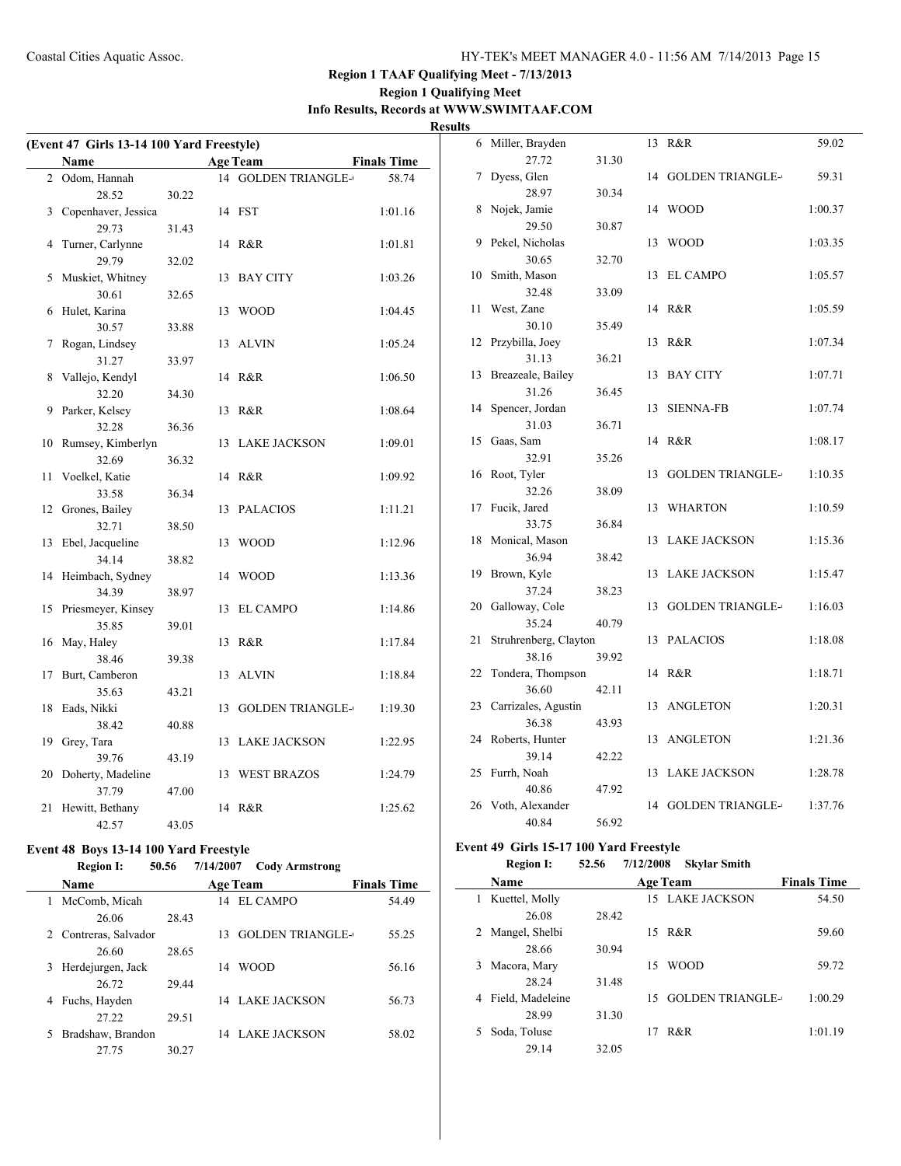### **Region 1 Qualifying Meet Info Results, Records at WWW.SWIMTAAF.COM Results**

| (Event 47 Girls 13-14 100 Yard Freestyle) |       |                                |                    | 6 Miller, Brayden                       |       | 13 R&R                 | 59.02   |
|-------------------------------------------|-------|--------------------------------|--------------------|-----------------------------------------|-------|------------------------|---------|
| Name                                      |       | <b>Age Team</b>                | <b>Finals Time</b> | 27.72                                   | 31.30 |                        |         |
| 2 Odom, Hannah                            |       | 14 GOLDEN TRIANGLE-            | 58.74              | 7 Dyess, Glen                           |       | 14 GOLDEN TRIANGLE-    | 59.31   |
| 28.52                                     | 30.22 |                                |                    | 28.97                                   | 30.34 |                        |         |
| 3 Copenhaver, Jessica                     |       | 14 FST                         | 1:01.16            | 8 Nojek, Jamie                          |       | 14 WOOD                | 1:00.37 |
| 29.73                                     | 31.43 |                                |                    | 29.50                                   | 30.87 |                        |         |
| 4 Turner, Carlynne                        |       | 14 R&R                         | 1:01.81            | 9 Pekel, Nicholas                       |       | 13 WOOD                | 1:03.35 |
| 29.79                                     | 32.02 |                                |                    | 30.65                                   | 32.70 |                        |         |
| 5 Muskiet, Whitney                        |       | 13 BAY CITY                    | 1:03.26            | 10 Smith, Mason                         |       | 13 EL CAMPO            | 1:05.57 |
| 30.61                                     | 32.65 |                                |                    | 32.48                                   | 33.09 |                        |         |
| 6 Hulet, Karina                           |       | 13 WOOD                        | 1:04.45            | 11 West, Zane                           |       | 14 R&R                 | 1:05.59 |
| 30.57                                     | 33.88 |                                |                    | 30.10                                   | 35.49 |                        |         |
| 7 Rogan, Lindsey                          |       | 13 ALVIN                       | 1:05.24            | 12 Przybilla, Joey                      |       | 13 R&R                 | 1:07.34 |
| 31.27                                     | 33.97 |                                |                    | 31.13                                   | 36.21 |                        |         |
| 8 Vallejo, Kendyl                         |       | 14 R&R                         | 1:06.50            | 13 Breazeale, Bailey                    |       | 13 BAY CITY            | 1:07.71 |
| 32.20                                     | 34.30 |                                |                    | 31.26                                   | 36.45 |                        |         |
| 9 Parker, Kelsey                          |       | 13 R&R                         | 1:08.64            | 14 Spencer, Jordan                      |       | 13 SIENNA-FB           | 1:07.74 |
| 32.28                                     | 36.36 |                                |                    | 31.03                                   | 36.71 |                        |         |
| 10 Rumsey, Kimberlyn                      |       | 13 LAKE JACKSON                | 1:09.01            | 15 Gaas, Sam                            |       | 14 R&R                 | 1:08.17 |
| 32.69                                     | 36.32 |                                |                    | 32.91                                   | 35.26 |                        |         |
| 11 Voelkel, Katie                         |       | 14 R&R                         | 1:09.92            | 16 Root, Tyler                          |       | 13 GOLDEN TRIANGLE-    | 1:10.35 |
| 33.58                                     | 36.34 |                                |                    | 32.26                                   | 38.09 |                        |         |
| 12 Grones, Bailey                         |       | 13 PALACIOS                    | 1:11.21            | 17 Fucik, Jared                         |       | 13 WHARTON             | 1:10.59 |
| 32.71                                     | 38.50 |                                |                    | 33.75                                   | 36.84 |                        |         |
| 13 Ebel, Jacqueline                       |       | 13 WOOD                        | 1:12.96            | 18 Monical, Mason                       |       | 13 LAKE JACKSON        | 1:15.36 |
| 34.14                                     | 38.82 |                                |                    | 36.94                                   | 38.42 |                        |         |
| 14 Heimbach, Sydney                       |       | 14 WOOD                        | 1:13.36            | 19 Brown, Kyle                          |       | 13 LAKE JACKSON        | 1:15.47 |
| 34.39                                     | 38.97 |                                |                    | 37.24                                   | 38.23 |                        |         |
| 15 Priesmeyer, Kinsey                     |       | 13 EL CAMPO                    | 1:14.86            | 20 Galloway, Cole                       |       | 13 GOLDEN TRIANGLE-    | 1:16.03 |
| 35.85                                     | 39.01 |                                |                    | 35.24                                   | 40.79 |                        |         |
| 16 May, Haley                             |       | 13 R&R                         | 1:17.84            | 21 Struhrenberg, Clayton                |       | 13 PALACIOS            | 1:18.08 |
| 38.46                                     | 39.38 |                                |                    | 38.16                                   | 39.92 |                        |         |
| 17 Burt, Camberon                         |       | 13 ALVIN                       | 1:18.84            | 22 Tondera, Thompson                    |       | 14 R&R                 | 1:18.71 |
| 35.63                                     | 43.21 |                                |                    | 36.60                                   | 42.11 |                        |         |
| 18 Eads, Nikki                            |       | 13 GOLDEN TRIANGLE-            | 1:19.30            | 23 Carrizales, Agustin                  |       | 13 ANGLETON            | 1:20.31 |
| 38.42                                     | 40.88 |                                |                    | 36.38                                   | 43.93 |                        |         |
| 19 Grey, Tara                             |       | 13 LAKE JACKSON                | 1:22.95            | 24 Roberts, Hunter                      |       | 13 ANGLETON            | 1:21.36 |
| 39.76                                     | 43.19 |                                |                    | 39.14                                   | 42.22 |                        |         |
| 20 Doherty, Madeline                      |       | 13 WEST BRAZOS                 | 1:24.79            | 25 Furrh, Noah                          |       | 13 LAKE JACKSON        | 1:28.78 |
| 37.79                                     | 47.00 |                                |                    | 40.86                                   | 47.92 |                        |         |
| 21 Hewitt, Bethany                        |       | 14 R&R                         | 1:25.62            | 26 Voth, Alexander                      |       | 14 GOLDEN TRIANGLE-    | 1:37.76 |
| 42.57                                     | 43.05 |                                |                    | 40.84                                   | 56.92 |                        |         |
| Event 48 Boys 13-14 100 Yard Freestyle    |       |                                |                    | Event 49 Girls 15-17 100 Yard Freestyle |       |                        |         |
| <b>Region I:</b>                          |       | 50.56 7/14/2007 Cody Armstrong |                    | <b>Region I:</b>                        | 52.56 | 7/12/2008 Skylar Smith |         |
|                                           |       |                                |                    |                                         |       |                        |         |

|   | <b>Name</b>         |       |    | <b>Age Team</b>         | <b>Finals Time</b> |       |
|---|---------------------|-------|----|-------------------------|--------------------|-------|
|   | McComb, Micah       |       | 14 | EL CAMPO                |                    | 54.49 |
|   | 26.06               | 28.43 |    |                         |                    |       |
| 2 | Contreras, Salvador |       | 13 | <b>GOLDEN TRIANGLE-</b> |                    | 55.25 |
|   | 26.60               | 28.65 |    |                         |                    |       |
| 3 | Herdejurgen, Jack   |       | 14 | WOOD                    |                    | 56.16 |
|   | 26.72               | 29.44 |    |                         |                    |       |
| 4 | Fuchs, Hayden       |       |    | 14 LAKE JACKSON         |                    | 56.73 |
|   | 27.22               | 29.51 |    |                         |                    |       |
| 5 | Bradshaw, Brandon   |       |    | 14 LAKE JACKSON         |                    | 58.02 |
|   | 27.75               | 30.27 |    |                         |                    |       |

### **Name Age Team Finals Time** 1 Kuettel, Molly 15 LAKE JACKSON 54.50 26.08 28.42 2 Mangel, Shelbi 15 R&R 59.60 28.66 30.94 3 Macora, Mary 15 WOOD 59.72 28.24 31.48 4 Field, Madeleine 15 GOLDEN TRIANGLE-1:00.29 28.99 31.30 5 Soda, Toluse 17 R&R 1:01.19 29.14 32.05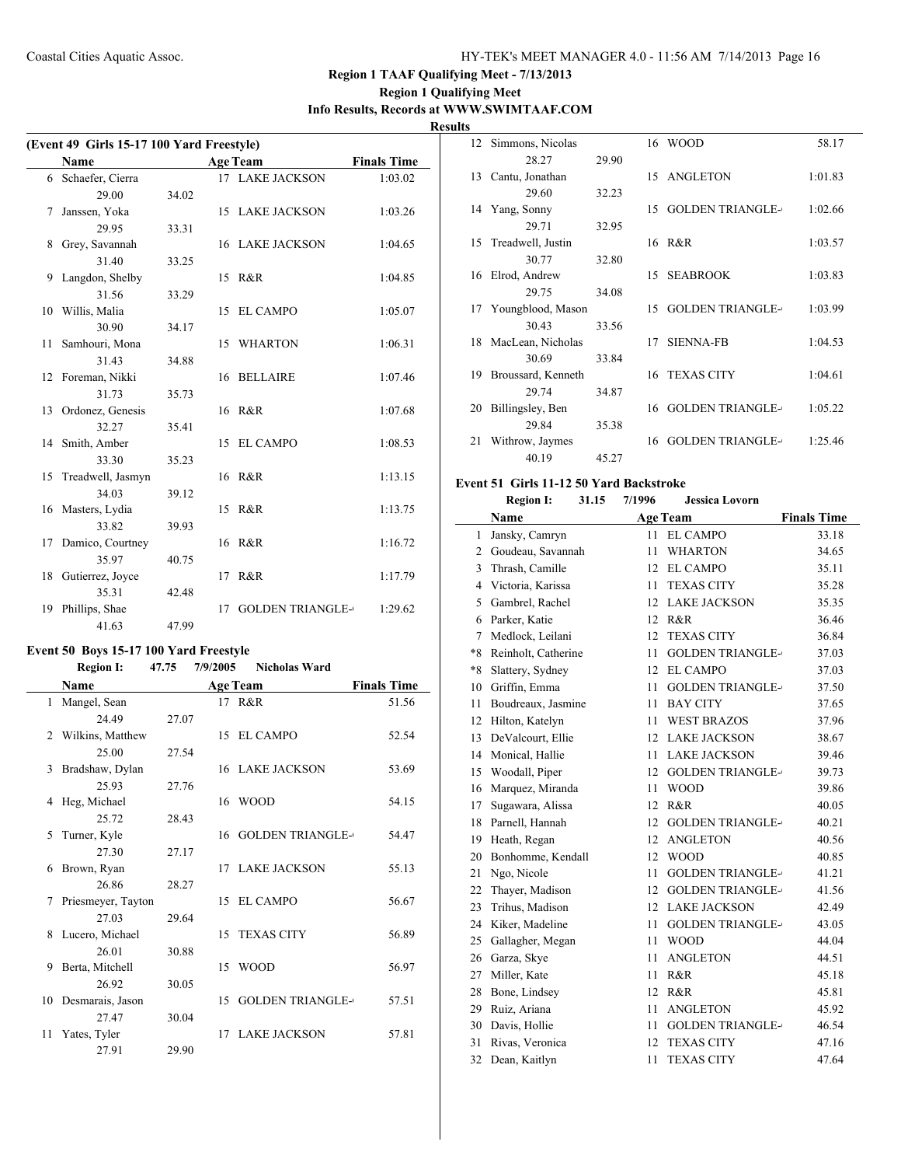## **Region 1 Qualifying Meet Info Results, Records at WWW.SWIMTAAF.COM**

**Results**

| (Event 49 Girls 15-17 100 Yard Freestyle) |                     |       |    |                         |                    |  |  |
|-------------------------------------------|---------------------|-------|----|-------------------------|--------------------|--|--|
|                                           | <b>Name</b>         |       |    | <b>Age Team</b>         | <b>Finals Time</b> |  |  |
|                                           | 6 Schaefer, Cierra  |       |    | 17 LAKE JACKSON         | 1:03.02            |  |  |
|                                           | 29.00               | 34.02 |    |                         |                    |  |  |
| 7                                         | Janssen, Yoka       |       |    | 15 LAKE JACKSON         | 1:03.26            |  |  |
|                                           | 29.95               | 33.31 |    |                         |                    |  |  |
| 8                                         | Grey, Savannah      |       |    | <b>16 LAKE JACKSON</b>  | 1:04.65            |  |  |
|                                           | 31.40               | 33.25 |    |                         |                    |  |  |
| 9                                         | Langdon, Shelby     |       |    | 15 R&R                  | 1:04.85            |  |  |
|                                           | 31.56               | 33.29 |    |                         |                    |  |  |
| 10                                        | Willis, Malia       |       | 15 | <b>EL CAMPO</b>         | 1:05.07            |  |  |
|                                           | 30.90               | 34.17 |    |                         |                    |  |  |
| 11                                        | Samhouri, Mona      |       |    | 15 WHARTON              | 1:06.31            |  |  |
|                                           | 31.43               | 34.88 |    |                         |                    |  |  |
|                                           | 12 Foreman, Nikki   |       |    | 16 BELLAIRE             | 1:07.46            |  |  |
|                                           | 31.73               | 35.73 |    |                         |                    |  |  |
|                                           | 13 Ordonez, Genesis |       |    | 16 R&R                  | 1:07.68            |  |  |
|                                           | 32.27               | 35.41 |    |                         |                    |  |  |
|                                           | 14 Smith, Amber     |       | 15 | <b>EL CAMPO</b>         | 1:08.53            |  |  |
|                                           | 33.30               | 35.23 |    |                         |                    |  |  |
| 15                                        | Treadwell, Jasmyn   |       |    | 16 R&R                  | 1:13.15            |  |  |
|                                           | 34.03               | 39.12 |    |                         |                    |  |  |
|                                           | 16 Masters, Lydia   |       | 15 | R&R                     | 1:13.75            |  |  |
|                                           | 33.82               | 39.93 |    |                         |                    |  |  |
|                                           | 17 Damico, Courtney |       |    | 16 R&R                  | 1:16.72            |  |  |
|                                           | 35.97               | 40.75 |    |                         |                    |  |  |
|                                           | 18 Gutierrez, Joyce |       |    | 17 R&R                  | 1:17.79            |  |  |
|                                           | 35.31               | 42.48 |    |                         |                    |  |  |
| 19                                        | Phillips, Shae      |       | 17 | <b>GOLDEN TRIANGLE-</b> | 1:29.62            |  |  |
|                                           | 41.63               | 47.99 |    |                         |                    |  |  |

### **Event 50 Boys 15-17 100 Yard Freestyle**

## **Region I: 47.75 7/9/2005 Nicholas Ward**

|    | Name                |       |    | <b>Age Team</b>         | <b>Finals Time</b> |
|----|---------------------|-------|----|-------------------------|--------------------|
| 1  | Mangel, Sean        |       |    | 17 R&R                  | 51.56              |
|    | 24.49               | 27.07 |    |                         |                    |
|    | 2 Wilkins, Matthew  |       |    | 15 EL CAMPO             | 52.54              |
|    | 25.00               | 27.54 |    |                         |                    |
| 3  | Bradshaw, Dylan     |       |    | <b>16 LAKE JACKSON</b>  | 53.69              |
|    | 25.93               | 27.76 |    |                         |                    |
| 4  | Heg, Michael        |       | 16 | <b>WOOD</b>             | 54.15              |
|    | 25.72               | 28.43 |    |                         |                    |
| 5  | Turner, Kyle        |       |    | 16 GOLDEN TRIANGLE-     | 54.47              |
|    | 27.30               | 27.17 |    |                         |                    |
| 6  | Brown, Ryan         |       |    | 17 LAKE JACKSON         | 55.13              |
|    | 26.86               | 28.27 |    |                         |                    |
| 7  | Priesmeyer, Tayton  |       |    | 15 EL CAMPO             | 56.67              |
|    | 27.03               | 29.64 |    |                         |                    |
| 8  | Lucero, Michael     |       |    | 15 TEXAS CITY           | 56.89              |
|    | 26.01               | 30.88 |    |                         |                    |
| 9  | Berta, Mitchell     |       | 15 | <b>WOOD</b>             | 56.97              |
|    | 26.92               | 30.05 |    |                         |                    |
|    | 10 Desmarais, Jason |       | 15 | <b>GOLDEN TRIANGLE-</b> | 57.51              |
|    | 27.47               | 30.04 |    |                         |                    |
| 11 | Yates, Tyler        |       | 17 | <b>LAKE JACKSON</b>     | 57.81              |
|    | 27.91               | 29.90 |    |                         |                    |

| 12 | Simmons, Nicolas     |       | 16 | <b>WOOD</b>             | 58.17   |
|----|----------------------|-------|----|-------------------------|---------|
|    | 28.27                | 29.90 |    |                         |         |
| 13 | Cantu, Jonathan      |       | 15 | ANGLETON                | 1:01.83 |
|    | 29.60                | 32.23 |    |                         |         |
| 14 | Yang, Sonny          |       | 15 | <b>GOLDEN TRIANGLE-</b> | 1:02.66 |
|    | 29.71                | 32.95 |    |                         |         |
| 15 | Treadwell, Justin    |       | 16 | R&R                     | 1:03.57 |
|    | 30.77                | 32.80 |    |                         |         |
| 16 | Elrod, Andrew        |       | 15 | <b>SEABROOK</b>         | 1:03.83 |
|    | 29.75                | 34.08 |    |                         |         |
|    | 17 Youngblood, Mason |       | 15 | <b>GOLDEN TRIANGLE-</b> | 1:03.99 |
|    | 30.43                | 33.56 |    |                         |         |
| 18 | MacLean, Nicholas    |       | 17 | <b>SIENNA-FB</b>        | 1:04.53 |
|    | 30.69                | 33.84 |    |                         |         |
| 19 | Broussard, Kenneth   |       | 16 | <b>TEXAS CITY</b>       | 1:04.61 |
|    | 29.74                | 34.87 |    |                         |         |
| 20 | Billingsley, Ben     |       | 16 | <b>GOLDEN TRIANGLE-</b> | 1:05.22 |
|    | 29.84                | 35.38 |    |                         |         |
| 21 | Withrow, Jaymes      |       | 16 | <b>GOLDEN TRIANGLE-</b> | 1:25.46 |
|    | 40.19                | 45.27 |    |                         |         |

#### **Event 51 Girls 11-12 50 Yard Backstroke**

### **Region I: 31.15 7/1996 Jessica Lovorn**

|      | Name                |    | <b>Age Team</b>         | <b>Finals Time</b> |
|------|---------------------|----|-------------------------|--------------------|
| 1    | Jansky, Camryn      | 11 | <b>EL CAMPO</b>         | 33.18              |
| 2    | Goudeau, Savannah   | 11 | <b>WHARTON</b>          | 34.65              |
| 3    | Thrash, Camille     | 12 | <b>EL CAMPO</b>         | 35.11              |
| 4    | Victoria, Karissa   | 11 | <b>TEXAS CITY</b>       | 35.28              |
| 5    | Gambrel, Rachel     | 12 | <b>LAKE JACKSON</b>     | 35.35              |
| 6    | Parker, Katie       | 12 | R&R                     | 36.46              |
| 7    | Medlock, Leilani    | 12 | <b>TEXAS CITY</b>       | 36.84              |
| $*8$ | Reinholt, Catherine | 11 | <b>GOLDEN TRIANGLE-</b> | 37.03              |
| $*8$ | Slattery, Sydney    | 12 | <b>EL CAMPO</b>         | 37.03              |
| 10   | Griffin, Emma       | 11 | <b>GOLDEN TRIANGLE-</b> | 37.50              |
| 11   | Boudreaux, Jasmine  | 11 | <b>BAY CITY</b>         | 37.65              |
| 12   | Hilton, Katelyn     | 11 | <b>WEST BRAZOS</b>      | 37.96              |
| 13   | DeValcourt, Ellie   | 12 | <b>LAKE JACKSON</b>     | 38.67              |
| 14   | Monical, Hallie     | 11 | <b>LAKE JACKSON</b>     | 39.46              |
| 15   | Woodall, Piper      | 12 | <b>GOLDEN TRIANGLE-</b> | 39.73              |
| 16   | Marquez, Miranda    | 11 | <b>WOOD</b>             | 39.86              |
| 17   | Sugawara, Alissa    | 12 | R&R                     | 40.05              |
| 18   | Parnell, Hannah     | 12 | <b>GOLDEN TRIANGLE-</b> | 40.21              |
| 19   | Heath, Regan        | 12 | <b>ANGLETON</b>         | 40.56              |
| 20   | Bonhomme, Kendall   | 12 | <b>WOOD</b>             | 40.85              |
| 21   | Ngo, Nicole         | 11 | <b>GOLDEN TRIANGLE-</b> | 41.21              |
| 22   | Thayer, Madison     | 12 | <b>GOLDEN TRIANGLE-</b> | 41.56              |
| 23   | Trihus, Madison     | 12 | <b>LAKE JACKSON</b>     | 42.49              |
| 24   | Kiker, Madeline     | 11 | <b>GOLDEN TRIANGLE-</b> | 43.05              |
| 25   | Gallagher, Megan    | 11 | <b>WOOD</b>             | 44.04              |
| 26   | Garza, Skye         | 11 | <b>ANGLETON</b>         | 44.51              |
| 27   | Miller, Kate        | 11 | R&R                     | 45.18              |
| 28   | Bone, Lindsey       | 12 | R&R                     | 45.81              |
| 29   | Ruiz, Ariana        | 11 | <b>ANGLETON</b>         | 45.92              |
| 30   | Davis, Hollie       | 11 | <b>GOLDEN TRIANGLE-</b> | 46.54              |
| 31   | Rivas, Veronica     | 12 | <b>TEXAS CITY</b>       | 47.16              |
| 32   | Dean, Kaitlyn       | 11 | <b>TEXAS CITY</b>       | 47.64              |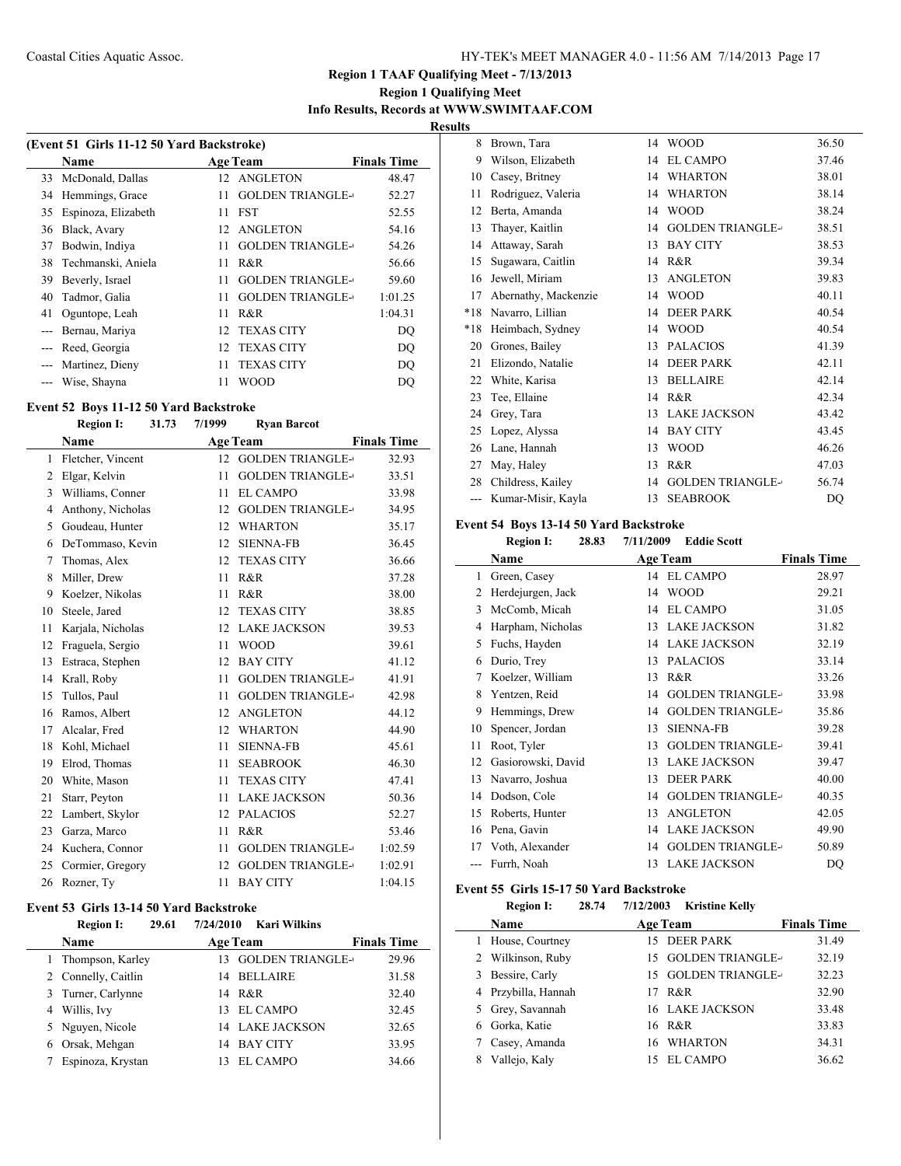## **Region 1 Qualifying Meet Info Results, Records at WWW.SWIMTAAF.COM**

**Results**

| (Event 51 Girls 11-12 50 Yard Backstroke) |                     |    |                         |                    |  |
|-------------------------------------------|---------------------|----|-------------------------|--------------------|--|
|                                           | Name                |    | <b>Age Team</b>         | <b>Finals Time</b> |  |
|                                           | 33 McDonald, Dallas | 12 | <b>ANGLETON</b>         | 48.47              |  |
|                                           | 34 Hemmings, Grace  | 11 | <b>GOLDEN TRIANGLE-</b> | 52.27              |  |
| 35                                        | Espinoza, Elizabeth | 11 | <b>FST</b>              | 52.55              |  |
| 36                                        | Black, Avary        | 12 | <b>ANGLETON</b>         | 54.16              |  |
| 37                                        | Bodwin, Indiya      | 11 | <b>GOLDEN TRIANGLE-</b> | 54.26              |  |
| 38                                        | Techmanski, Aniela  | 11 | R&R                     | 56.66              |  |
| 39                                        | Beverly, Israel     | 11 | <b>GOLDEN TRIANGLE-</b> | 59.60              |  |
| 40                                        | Tadmor, Galia       | 11 | <b>GOLDEN TRIANGLE-</b> | 1:01.25            |  |
| 41                                        | Oguntope, Leah      | 11 | R&R                     | 1:04.31            |  |
|                                           | Bernau, Mariya      | 12 | <b>TEXAS CITY</b>       | DO                 |  |
| $---$                                     | Reed, Georgia       | 12 | <b>TEXAS CITY</b>       | DO                 |  |
|                                           | Martinez, Dieny     | 11 | <b>TEXAS CITY</b>       | DO                 |  |
|                                           | Wise, Shayna        | 11 | WOOD                    | DO                 |  |

#### **Event 52 Boys 11-12 50 Yard Backstroke**

### **Region I: 31.73 7/1999 Ryan Barcot Name Age Team Finals Time** 1 Fletcher, Vincent 12 GOLDEN TRIANGLE-32.93 2 Elgar, Kelvin 11 GOLDEN TRIANGLE-33.51 3 Williams, Conner 11 EL CAMPO 33.98 4 Anthony, Nicholas 12 GOLDEN TRIANGLE-34.95 Goudeau, Hunter 12 WHARTON 35.17 DeTommaso, Kevin 12 SIENNA-FB 36.45 7 Thomas, Alex 12 TEXAS CITY 36.66 Miller, Drew 11 R&R 37.28 Koelzer, Nikolas 11 R&R 38.00 10 Steele, Jared 12 TEXAS CITY 38.85 Karjala, Nicholas 12 LAKE JACKSON 39.53 Fraguela, Sergio 11 WOOD 39.61 13 Estraca, Stephen 12 BAY CITY 41.12 14 Krall, Roby 11 GOLDEN TRIANGLE-41.91 15 Tullos, Paul 11 GOLDEN TRIANGLE-42.98 16 Ramos, Albert 12 ANGLETON 44.12 17 Alcalar, Fred 12 WHARTON 44.90 18 Kohl, Michael 11 SIENNA-FB 45.61 19 Elrod, Thomas 11 SEABROOK 46.30 20 White, Mason 11 TEXAS CITY 47.41 21 Starr, Peyton 11 LAKE JACKSON 50.36 Lambert, Skylor 12 PALACIOS 52.27 Garza, Marco 11 R&R 53.46 24 Kuchera, Connor 11 GOLDEN TRIANGLE-1:02.59 25 Cormier, Gregory 12 GOLDEN TRIANGLE-1:02.91 26 Rozner, Ty 11 BAY CITY 1:04.15

#### **Event 53 Girls 13-14 50 Yard Backstroke**

|   | <b>Region I:</b><br>29.61 | 7/24/2010 | Kari Wilkins           |                    |
|---|---------------------------|-----------|------------------------|--------------------|
|   | <b>Name</b>               |           | <b>Age Team</b>        | <b>Finals Time</b> |
|   | 1 Thompson, Karley        |           | 13 GOLDEN TRIANGLE-    | 29.96              |
|   | 2 Connelly, Caitlin       | 14        | BELLAIRE               | 31.58              |
|   | 3 Turner, Carlynne        |           | 14 R&R                 | 32.40              |
|   | 4 Willis, Ivy             |           | 13 EL CAMPO            | 32.45              |
|   | 5 Nguyen, Nicole          |           | <b>14 LAKE JACKSON</b> | 32.65              |
| 6 | Orsak, Mehgan             | 14        | BAY CITY               | 33.95              |
|   | Espinoza, Krystan         |           | EL CAMPO               | 34.66              |

| 8     | Brown, Tara          | 14 | <b>WOOD</b>             | 36.50 |
|-------|----------------------|----|-------------------------|-------|
| 9     | Wilson, Elizabeth    | 14 | <b>EL CAMPO</b>         | 37.46 |
| 10    | Casey, Britney       | 14 | <b>WHARTON</b>          | 38.01 |
| 11    | Rodriguez, Valeria   | 14 | <b>WHARTON</b>          | 38.14 |
| 12    | Berta, Amanda        | 14 | <b>WOOD</b>             | 38.24 |
| 13    | Thayer, Kaitlin      | 14 | <b>GOLDEN TRIANGLE-</b> | 38.51 |
| 14    | Attaway, Sarah       | 13 | <b>BAY CITY</b>         | 38.53 |
| 15    | Sugawara, Caitlin    | 14 | R&R                     | 39.34 |
| 16    | Jewell, Miriam       | 13 | <b>ANGLETON</b>         | 39.83 |
| 17    | Abernathy, Mackenzie | 14 | <b>WOOD</b>             | 40.11 |
| $*18$ | Navarro, Lillian     | 14 | <b>DEER PARK</b>        | 40.54 |
| $*18$ | Heimbach, Sydney     | 14 | <b>WOOD</b>             | 40.54 |
| 20    | Grones, Bailey       | 13 | <b>PALACIOS</b>         | 41.39 |
| 21    | Elizondo, Natalie    | 14 | <b>DEER PARK</b>        | 42.11 |
| 22    | White, Karisa        | 13 | <b>BELLAIRE</b>         | 42.14 |
| 23    | Tee, Ellaine         | 14 | R&R                     | 42.34 |
| 24    | Grey, Tara           | 13 | <b>LAKE JACKSON</b>     | 43.42 |
| 25    | Lopez, Alyssa        | 14 | <b>BAY CITY</b>         | 43.45 |
| 26    | Lane, Hannah         | 13 | <b>WOOD</b>             | 46.26 |
| 27    | May, Haley           | 13 | R&R                     | 47.03 |
| 28    | Childress, Kailey    | 14 | <b>GOLDEN TRIANGLE-</b> | 56.74 |
| $---$ | Kumar-Misir, Kayla   | 13 | <b>SEABROOK</b>         | DO    |

#### **Event 54 Boys 13-14 50 Yard Backstroke**

|    | <b>Region I:</b>   | 28.83<br>7/11/2009 | <b>Eddie Scott</b>      |                    |
|----|--------------------|--------------------|-------------------------|--------------------|
|    | Name               |                    | <b>Age Team</b>         | <b>Finals Time</b> |
| 1  | Green, Casey       | 14                 | <b>EL CAMPO</b>         | 28.97              |
| 2  | Herdejurgen, Jack  | 14                 | <b>WOOD</b>             | 29.21              |
| 3  | McComb, Micah      | 14                 | <b>EL CAMPO</b>         | 31.05              |
| 4  | Harpham, Nicholas  | 13                 | <b>LAKE JACKSON</b>     | 31.82              |
| 5  | Fuchs, Hayden      | 14                 | <b>LAKE JACKSON</b>     | 32.19              |
| 6  | Durio, Trey        | 13                 | <b>PALACIOS</b>         | 33.14              |
| 7  | Koelzer, William   | 13                 | R&R                     | 33.26              |
| 8  | Yentzen, Reid      | 14                 | <b>GOLDEN TRIANGLE-</b> | 33.98              |
| 9  | Hemmings, Drew     | 14                 | <b>GOLDEN TRIANGLE-</b> | 35.86              |
| 10 | Spencer, Jordan    | 13                 | <b>SIENNA-FB</b>        | 39.28              |
| 11 | Root, Tyler        | 13                 | <b>GOLDEN TRIANGLE-</b> | 39.41              |
| 12 | Gasiorowski, David | 13                 | <b>LAKE JACKSON</b>     | 39.47              |
| 13 | Navarro, Joshua    | 13                 | <b>DEER PARK</b>        | 40.00              |
| 14 | Dodson, Cole       | 14                 | <b>GOLDEN TRIANGLE-</b> | 40.35              |
| 15 | Roberts, Hunter    | 13                 | <b>ANGLETON</b>         | 42.05              |
| 16 | Pena, Gavin        | 14                 | <b>LAKE JACKSON</b>     | 49.90              |
| 17 | Voth, Alexander    | 14                 | <b>GOLDEN TRIANGLE-</b> | 50.89              |
|    | Furrh, Noah        | 13                 | <b>LAKE JACKSON</b>     | DQ                 |

### **Event 55 Girls 15-17 50 Yard Backstroke**

#### **Region I: 28.74 7/12/2003 Kristine Kelly**

| <b>Name</b>         | <b>Age Team</b>        | <b>Finals Time</b> |
|---------------------|------------------------|--------------------|
| House, Courtney     | 15 DEER PARK           | 31.49              |
| 2 Wilkinson, Ruby   | 15 GOLDEN TRIANGLE-    | 32.19              |
| Bessire, Carly<br>3 | 15 GOLDEN TRIANGLE-    | 32.23              |
| 4 Przybilla, Hannah | R&R<br>17              | 32.90              |
| 5 Grey, Savannah    | <b>16 LAKE JACKSON</b> | 33.48              |
| Gorka, Katie<br>6   | 16 R&R                 | 33.83              |
| Casey, Amanda       | 16 WHARTON             | 34.31              |
| Vallejo, Kaly       | EL CAMPO<br>15.        | 36.62              |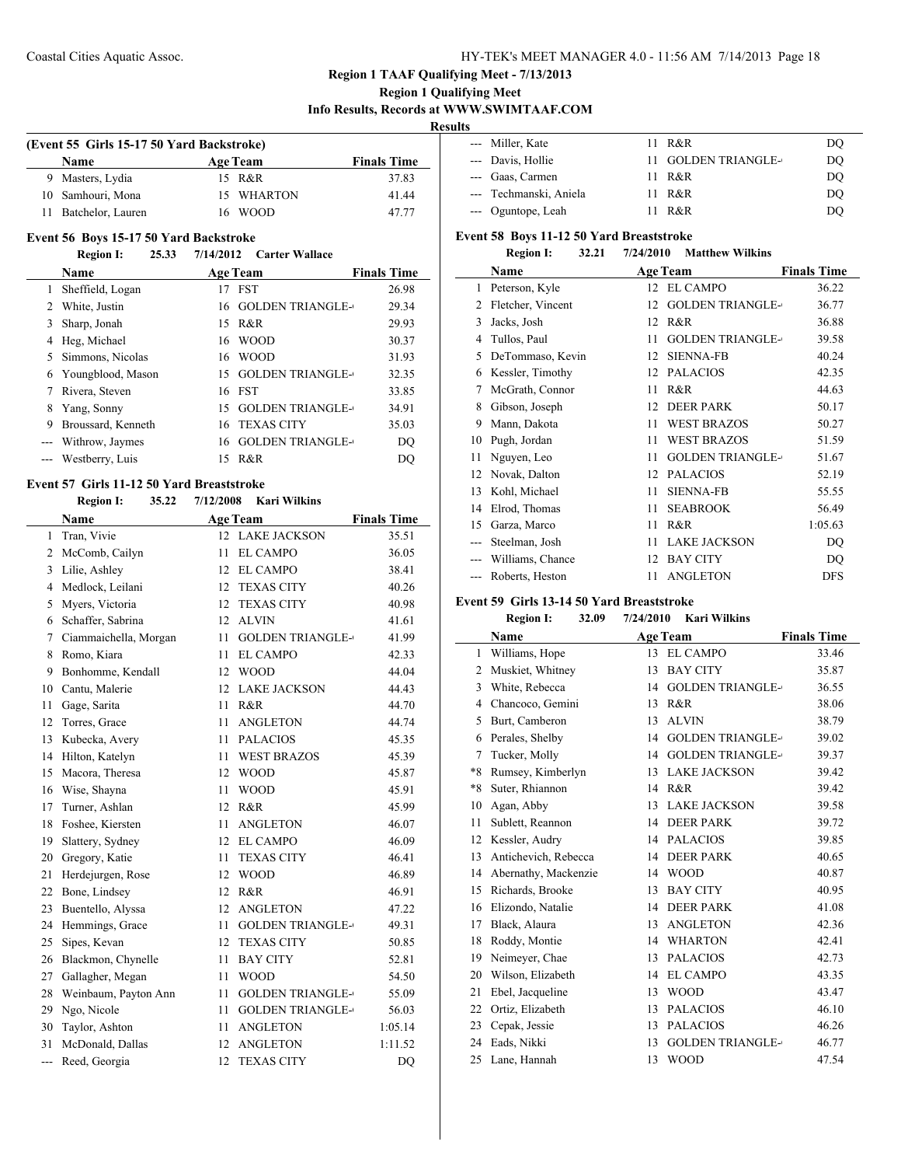L.

 $\frac{1}{2}$ 

### **Region 1 TAAF Qualifying Meet - 7/13/2013**

### **Region 1 Qualifying Meet Info Results, Records at WWW.SWIMTAAF.COM**

**Results**

| (Event 55 Girls 15-17 50 Yard Backstroke) |  |                 |                    |  |  |
|-------------------------------------------|--|-----------------|--------------------|--|--|
| Name                                      |  | <b>Age Team</b> | <b>Finals Time</b> |  |  |
| 9 Masters, Lydia                          |  | 15 R&R          | 37.83              |  |  |
| 10 Samhouri, Mona                         |  | 15 WHARTON      | 41.44              |  |  |
| 11 Batchelor, Lauren                      |  | 16 WOOD         | 47 77              |  |  |

#### **Event 56 Boys 15-17 50 Yard Backstroke**

### **Region I: 25.33 7/14/2012 Carter Wallace**

|       | <b>Name</b>        | <b>Age Team</b> |                         | <b>Finals Time</b> |
|-------|--------------------|-----------------|-------------------------|--------------------|
|       | Sheffield, Logan   | 17              | <b>FST</b>              | 26.98              |
|       | White, Justin      | 16              | <b>GOLDEN TRIANGLE-</b> | 29.34              |
|       | Sharp, Jonah       | 15              | R&R                     | 29.93              |
|       | Heg, Michael       |                 | 16 WOOD                 | 30.37              |
|       | 5 Simmons, Nicolas | 16              | <b>WOOD</b>             | 31.93              |
| 6     | Youngblood, Mason  | 15              | <b>GOLDEN TRIANGLE-</b> | 32.35              |
|       | Rivera, Steven     |                 | 16 FST                  | 33.85              |
| 8     | Yang, Sonny        | 15              | <b>GOLDEN TRIANGLE-</b> | 34.91              |
| 9     | Broussard, Kenneth |                 | 16 TEXAS CITY           | 35.03              |
|       | Withrow, Jaymes    | 16              | <b>GOLDEN TRIANGLE-</b> | DO                 |
| $---$ | Westberry, Luis    | 15              | R&R                     | DO                 |

### **Event 57 Girls 11-12 50 Yard Breaststroke**

#### **Region I: 35.22 7/12/2008 Kari Wilkins**

|     | Name                  |    | <b>Age Team</b>         | <b>Finals Time</b> |
|-----|-----------------------|----|-------------------------|--------------------|
| 1   | Tran, Vivie           | 12 | <b>LAKE JACKSON</b>     | 35.51              |
| 2   | McComb, Cailyn        | 11 | <b>EL CAMPO</b>         | 36.05              |
| 3   | Lilie, Ashley         | 12 | <b>EL CAMPO</b>         | 38.41              |
| 4   | Medlock, Leilani      | 12 | <b>TEXAS CITY</b>       | 40.26              |
| 5   | Myers, Victoria       | 12 | <b>TEXAS CITY</b>       | 40.98              |
| 6   | Schaffer, Sabrina     | 12 | <b>ALVIN</b>            | 41.61              |
| 7   | Ciammaichella, Morgan | 11 | <b>GOLDEN TRIANGLE-</b> | 41.99              |
| 8   | Romo, Kiara           | 11 | <b>EL CAMPO</b>         | 42.33              |
| 9   | Bonhomme, Kendall     | 12 | <b>WOOD</b>             | 44.04              |
| 10  | Cantu, Malerie        | 12 | <b>LAKE JACKSON</b>     | 44.43              |
| 11  | Gage, Sarita          | 11 | R&R                     | 44.70              |
| 12  | Torres, Grace         | 11 | <b>ANGLETON</b>         | 44.74              |
| 13  | Kubecka, Avery        | 11 | <b>PALACIOS</b>         | 45.35              |
| 14  | Hilton, Katelyn       | 11 | <b>WEST BRAZOS</b>      | 45.39              |
| 15  | Macora, Theresa       | 12 | <b>WOOD</b>             | 45.87              |
| 16  | Wise, Shayna          | 11 | <b>WOOD</b>             | 45.91              |
| 17  | Turner, Ashlan        | 12 | R&R                     | 45.99              |
| 18  | Foshee, Kiersten      | 11 | <b>ANGLETON</b>         | 46.07              |
| 19  | Slattery, Sydney      | 12 | <b>EL CAMPO</b>         | 46.09              |
| 20  | Gregory, Katie        | 11 | <b>TEXAS CITY</b>       | 46.41              |
| 21  | Herdejurgen, Rose     | 12 | <b>WOOD</b>             | 46.89              |
| 22  | Bone, Lindsey         | 12 | R&R                     | 46.91              |
| 23  | Buentello, Alyssa     | 12 | <b>ANGLETON</b>         | 47.22              |
| 24  | Hemmings, Grace       | 11 | <b>GOLDEN TRIANGLE-</b> | 49.31              |
| 25  | Sipes, Kevan          | 12 | <b>TEXAS CITY</b>       | 50.85              |
| 26  | Blackmon, Chynelle    | 11 | <b>BAY CITY</b>         | 52.81              |
| 27  | Gallagher, Megan      | 11 | <b>WOOD</b>             | 54.50              |
| 28  | Weinbaum, Payton Ann  | 11 | <b>GOLDEN TRIANGLE-</b> | 55.09              |
| 29  | Ngo, Nicole           | 11 | <b>GOLDEN TRIANGLE-</b> | 56.03              |
| 30  | Taylor, Ashton        | 11 | <b>ANGLETON</b>         | 1:05.14            |
| 31  | McDonald, Dallas      | 12 | <b>ANGLETON</b>         | 1:11.52            |
| --- | Reed, Georgia         | 12 | <b>TEXAS CITY</b>       | DO                 |

| --- Miller, Kate       | R&R<br>11           | DO |
|------------------------|---------------------|----|
| --- Davis, Hollie      | 11 GOLDEN TRIANGLE- | DQ |
| --- Gaas, Carmen       | 11 R&R              | DO |
| --- Techmanski, Aniela | 11 R&R              | DO |
| --- Oguntope, Leah     | $R\&R$              | DO |

## **Event 58 Boys 11-12 50 Yard Breaststroke**<br> **Basian L. 22.21 7/24/2010 M**

|       | <b>Region I:</b><br>32.21 | 7/24/2010<br><b>Matthew Wilkins</b> |                    |
|-------|---------------------------|-------------------------------------|--------------------|
|       | Name                      | <b>Age Team</b>                     | <b>Finals Time</b> |
| 1     | Peterson, Kyle            | <b>EL CAMPO</b><br>12               | 36.22              |
| 2     | Fletcher, Vincent         | <b>GOLDEN TRIANGLE-</b><br>12       | 36.77              |
| 3     | Jacks, Josh               | R&R<br>12                           | 36.88              |
| 4     | Tullos, Paul              | <b>GOLDEN TRIANGLE-</b><br>11       | 39.58              |
| 5     | DeTommaso, Kevin          | <b>SIENNA-FB</b><br>12              | 40.24              |
| 6     | Kessler, Timothy          | <b>PALACIOS</b><br>12               | 42.35              |
| 7     | McGrath, Connor           | R&R<br>11                           | 44.63              |
| 8     | Gibson, Joseph            | <b>DEER PARK</b><br>12              | 50.17              |
| 9     | Mann, Dakota              | <b>WEST BRAZOS</b><br>11            | 50.27              |
| 10    | Pugh, Jordan              | <b>WEST BRAZOS</b><br>11            | 51.59              |
| 11    | Nguyen, Leo               | <b>GOLDEN TRIANGLE-</b><br>11       | 51.67              |
| 12    | Novak, Dalton             | <b>PALACIOS</b><br>12               | 52.19              |
| 13    | Kohl, Michael             | <b>SIENNA-FB</b><br>11              | 55.55              |
| 14    | Elrod, Thomas             | <b>SEABROOK</b><br>11               | 56.49              |
| 15    | Garza, Marco              | R&R<br>11                           | 1:05.63            |
| ---   | Steelman, Josh            | <b>LAKE JACKSON</b><br>11           | DQ                 |
| $---$ | Williams, Chance          | <b>BAY CITY</b><br>12               | DQ                 |
|       | Roberts, Heston           | <b>ANGLETON</b><br>11               | <b>DFS</b>         |

### **Event 59 Girls 13-14 50 Yard Breaststroke**

#### **Region I: 32.09 7/24/2010 Kari Wilkins**

|      | Name                 |    | <b>Age Team</b>         | <b>Finals Time</b> |
|------|----------------------|----|-------------------------|--------------------|
| 1    | Williams, Hope       |    | 13 EL CAMPO             | 33.46              |
| 2    | Muskiet, Whitney     | 13 | <b>BAY CITY</b>         | 35.87              |
| 3    | White, Rebecca       | 14 | <b>GOLDEN TRIANGLE-</b> | 36.55              |
| 4    | Chancoco, Gemini     | 13 | R&R                     | 38.06              |
| 5    | Burt, Camberon       | 13 | <b>ALVIN</b>            | 38.79              |
| 6    | Perales, Shelby      | 14 | <b>GOLDEN TRIANGLE-</b> | 39.02              |
| 7    | Tucker, Molly        | 14 | <b>GOLDEN TRIANGLE-</b> | 39.37              |
| $*8$ | Rumsey, Kimberlyn    | 13 | <b>LAKE JACKSON</b>     | 39.42              |
| $*8$ | Suter, Rhiannon      | 14 | R&R                     | 39.42              |
| 10   | Agan, Abby           | 13 | <b>LAKE JACKSON</b>     | 39.58              |
| 11   | Sublett, Reannon     | 14 | <b>DEER PARK</b>        | 39.72              |
| 12   | Kessler, Audry       | 14 | <b>PALACIOS</b>         | 39.85              |
| 13   | Antichevich, Rebecca | 14 | <b>DEER PARK</b>        | 40.65              |
| 14   | Abernathy, Mackenzie | 14 | <b>WOOD</b>             | 40.87              |
| 15   | Richards, Brooke     | 13 | <b>BAY CITY</b>         | 40.95              |
| 16   | Elizondo, Natalie    | 14 | <b>DEER PARK</b>        | 41.08              |
| 17   | Black, Alaura        | 13 | <b>ANGLETON</b>         | 42.36              |
| 18   | Roddy, Montie        | 14 | <b>WHARTON</b>          | 42.41              |
| 19   | Neimeyer, Chae       | 13 | <b>PALACIOS</b>         | 42.73              |
| 20   | Wilson, Elizabeth    | 14 | <b>EL CAMPO</b>         | 43.35              |
| 21   | Ebel, Jacqueline     | 13 | <b>WOOD</b>             | 43.47              |
| 22   | Ortiz, Elizabeth     | 13 | <b>PALACIOS</b>         | 46.10              |
| 23   | Cepak, Jessie        | 13 | <b>PALACIOS</b>         | 46.26              |
| 24   | Eads, Nikki          | 13 | <b>GOLDEN TRIANGLE-</b> | 46.77              |
| 25   | Lane, Hannah         | 13 | <b>WOOD</b>             | 47.54              |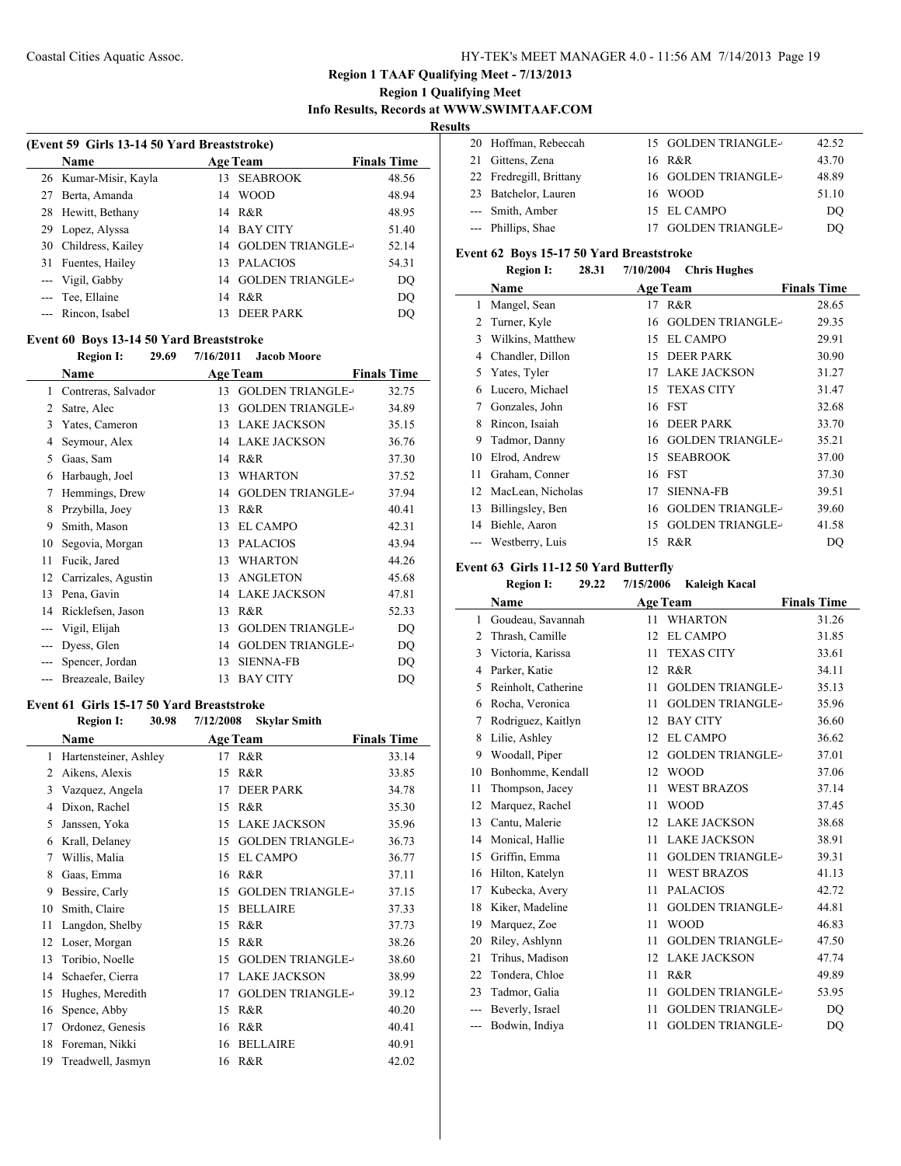### **Region 1 Qualifying Meet Info Results, Records at WWW.SWIMTAAF.COM**

**Results**

| (Event 59 Girls 13-14 50 Yard Breaststroke) |                       |    |                         |                    |
|---------------------------------------------|-----------------------|----|-------------------------|--------------------|
|                                             | <b>Name</b>           |    | <b>Age Team</b>         | <b>Finals Time</b> |
|                                             | 26 Kumar-Misir, Kayla | 13 | <b>SEABROOK</b>         | 48.56              |
|                                             | Berta, Amanda         | 14 | <b>WOOD</b>             | 48.94              |
|                                             | 28 Hewitt, Bethany    |    | 14 R&R                  | 48.95              |
| 29                                          | Lopez, Alyssa         | 14 | <b>BAY CITY</b>         | 51.40              |
| 30                                          | Childress, Kailey     | 14 | <b>GOLDEN TRIANGLE-</b> | 52.14              |
| 31                                          | Fuentes, Hailey       | 13 | <b>PALACIOS</b>         | 54.31              |
|                                             | --- Vigil, Gabby      | 14 | <b>GOLDEN TRIANGLE-</b> | DQ                 |
|                                             | --- Tee, Ellaine      |    | 14 R&R                  | DQ                 |
|                                             | Rincon, Isabel        |    | DEER PARK               | DO                 |
|                                             |                       |    |                         |                    |

### **Event 60 Boys 13-14 50 Yard Breaststroke**

**Region I: 29.69 7/16/2011 Jacob Moore**

|                | <b>Name</b>         |    | <b>Age Team</b>         | <b>Finals Time</b> |
|----------------|---------------------|----|-------------------------|--------------------|
| 1              | Contreras, Salvador | 13 | <b>GOLDEN TRIANGLE-</b> | 32.75              |
| 2              | Satre, Alec         | 13 | <b>GOLDEN TRIANGLE-</b> | 34.89              |
| 3              | Yates, Cameron      | 13 | <b>LAKE JACKSON</b>     | 35.15              |
| 4              | Seymour, Alex       | 14 | <b>LAKE JACKSON</b>     | 36.76              |
| 5              | Gaas, Sam           | 14 | R&R                     | 37.30              |
| 6              | Harbaugh, Joel      | 13 | <b>WHARTON</b>          | 37.52              |
| 7              | Hemmings, Drew      | 14 | <b>GOLDEN TRIANGLE-</b> | 37.94              |
| 8              | Przybilla, Joey     | 13 | R&R                     | 40.41              |
| 9              | Smith, Mason        | 13 | <b>EL CAMPO</b>         | 42.31              |
| 10             | Segovia, Morgan     | 13 | <b>PALACIOS</b>         | 43.94              |
| 11             | Fucik, Jared        | 13 | <b>WHARTON</b>          | 44.26              |
| 12             | Carrizales, Agustin | 13 | <b>ANGLETON</b>         | 45.68              |
| 13             | Pena, Gavin         | 14 | <b>LAKE JACKSON</b>     | 47.81              |
| 14             | Ricklefsen, Jason   | 13 | R&R                     | 52.33              |
| $---$          | Vigil, Elijah       | 13 | <b>GOLDEN TRIANGLE-</b> | DQ                 |
| $---$          | Dyess, Glen         | 14 | <b>GOLDEN TRIANGLE-</b> | DQ                 |
| $---$          | Spencer, Jordan     | 13 | <b>SIENNA-FB</b>        | DQ                 |
| $\overline{a}$ | Breazeale, Bailey   | 13 | <b>BAY CITY</b>         | DQ                 |

### **Event 61 Girls 15-17 50 Yard Breaststroke**

### **Region I: 30.98 7/12/2008 Skylar Smith**

|    | Name                  |    | <b>Age Team</b>         | <b>Finals Time</b> |
|----|-----------------------|----|-------------------------|--------------------|
| 1  | Hartensteiner, Ashley | 17 | R&R                     | 33.14              |
| 2  | Aikens, Alexis        | 15 | R&R                     | 33.85              |
| 3  | Vazquez, Angela       | 17 | <b>DEER PARK</b>        | 34.78              |
| 4  | Dixon, Rachel         | 15 | R&R                     | 35.30              |
| 5  | Janssen, Yoka         | 15 | <b>LAKE JACKSON</b>     | 35.96              |
| 6  | Krall, Delaney        | 15 | <b>GOLDEN TRIANGLE-</b> | 36.73              |
| 7  | Willis, Malia         | 15 | <b>EL CAMPO</b>         | 36.77              |
| 8  | Gaas, Emma            | 16 | R&R                     | 37.11              |
| 9  | Bessire, Carly        | 15 | <b>GOLDEN TRIANGLE-</b> | 37.15              |
| 10 | Smith, Claire         | 15 | <b>BELLAIRE</b>         | 37.33              |
| 11 | Langdon, Shelby       | 15 | R&R                     | 37.73              |
| 12 | Loser, Morgan         | 15 | R&R                     | 38.26              |
| 13 | Toribio, Noelle       | 15 | <b>GOLDEN TRIANGLE-</b> | 38.60              |
| 14 | Schaefer, Cierra      | 17 | <b>LAKE JACKSON</b>     | 38.99              |
| 15 | Hughes, Meredith      | 17 | <b>GOLDEN TRIANGLE-</b> | 39.12              |
| 16 | Spence, Abby          | 15 | R&R                     | 40.20              |
| 17 | Ordonez, Genesis      | 16 | R&R                     | 40.41              |
| 18 | Foreman, Nikki        | 16 | <b>BELLAIRE</b>         | 40.91              |
| 19 | Treadwell, Jasmyn     | 16 | R&R                     | 42.02              |

|  | 20 Hoffman, Rebeccah    | 15 GOLDEN TRIANGLE- | 42.52 |
|--|-------------------------|---------------------|-------|
|  | 21 Gittens, Zena        | 16 R&R              | 43.70 |
|  | 22 Fredregill, Brittany | 16 GOLDEN TRIANGLE- | 48.89 |
|  | 23 Batchelor, Lauren    | 16 WOOD             | 51.10 |
|  | --- Smith, Amber        | 15 EL CAMPO         | DO    |
|  | --- Phillips, Shae      | 17 GOLDEN TRIANGLE- | DO    |
|  |                         |                     |       |

#### **Event 62 Boys 15-17 50 Yard Breaststroke Region I: 28.31 7/10/2004 Chris Hughes**

|    | Region 1:<br>20.JI |                 | $1/10/2004$ Chris Hugnes   |                    |
|----|--------------------|-----------------|----------------------------|--------------------|
|    | Name               | <b>Age Team</b> |                            | <b>Finals Time</b> |
| 1  | Mangel, Sean       |                 | 17 R&R                     | 28.65              |
| 2  | Turner, Kyle       | 16              | <b>GOLDEN TRIANGLE-</b>    | 29.35              |
| 3  | Wilkins, Matthew   | 15              | <b>EL CAMPO</b>            | 29.91              |
| 4  | Chandler, Dillon   | 15              | <b>DEER PARK</b>           | 30.90              |
| 5  | Yates, Tyler       | 17              | <b>LAKE JACKSON</b>        | 31.27              |
| 6  | Lucero, Michael    | 15              | <b>TEXAS CITY</b>          | 31.47              |
| 7  | Gonzales, John     |                 | 16 FST                     | 32.68              |
| 8  | Rincon, Isaiah     |                 | 16 DEER PARK               | 33.70              |
| 9  | Tadmor, Danny      |                 | <b>16 GOLDEN TRIANGLE-</b> | 35.21              |
| 10 | Elrod, Andrew      | 15              | <b>SEABROOK</b>            | 37.00              |
| 11 | Graham, Conner     |                 | 16 FST                     | 37.30              |
| 12 | MacLean, Nicholas  | 17              | <b>SIENNA-FB</b>           | 39.51              |
| 13 | Billingsley, Ben   | 16              | <b>GOLDEN TRIANGLE-</b>    | 39.60              |
| 14 | Biehle, Aaron      | 15              | <b>GOLDEN TRIANGLE-</b>    | 41.58              |
|    | Westberry, Luis    | 15              | R&R                        | DO                 |

### **Event 63 Girls 11-12 50 Yard Butterfly**

### **Region I: 29.22 7/15/2006 Kaleigh Kacal**

|       | Name                |    | <b>Age Team</b>         | <b>Finals Time</b> |
|-------|---------------------|----|-------------------------|--------------------|
| 1     | Goudeau, Savannah   | 11 | <b>WHARTON</b>          | 31.26              |
| 2     | Thrash, Camille     | 12 | <b>EL CAMPO</b>         | 31.85              |
| 3     | Victoria, Karissa   | 11 | <b>TEXAS CITY</b>       | 33.61              |
| 4     | Parker, Katie       | 12 | R&R                     | 34.11              |
| 5     | Reinholt, Catherine | 11 | <b>GOLDEN TRIANGLE-</b> | 35.13              |
| 6     | Rocha, Veronica     | 11 | <b>GOLDEN TRIANGLE-</b> | 35.96              |
| 7     | Rodriguez, Kaitlyn  | 12 | <b>BAY CITY</b>         | 36.60              |
| 8     | Lilie, Ashley       | 12 | <b>EL CAMPO</b>         | 36.62              |
| 9     | Woodall, Piper      | 12 | <b>GOLDEN TRIANGLE-</b> | 37.01              |
| 10    | Bonhomme, Kendall   | 12 | <b>WOOD</b>             | 37.06              |
| 11    | Thompson, Jacey     | 11 | <b>WEST BRAZOS</b>      | 37.14              |
| 12    | Marquez, Rachel     | 11 | <b>WOOD</b>             | 37.45              |
| 13    | Cantu, Malerie      | 12 | <b>LAKE JACKSON</b>     | 38.68              |
| 14    | Monical, Hallie     | 11 | <b>LAKE JACKSON</b>     | 38.91              |
| 15    | Griffin, Emma       | 11 | <b>GOLDEN TRIANGLE-</b> | 39.31              |
| 16    | Hilton, Katelyn     | 11 | <b>WEST BRAZOS</b>      | 41.13              |
| 17    | Kubecka, Avery      | 11 | <b>PALACIOS</b>         | 42.72              |
| 18    | Kiker, Madeline     | 11 | <b>GOLDEN TRIANGLE-</b> | 44.81              |
| 19    | Marquez, Zoe        | 11 | <b>WOOD</b>             | 46.83              |
| 20    | Riley, Ashlynn      | 11 | <b>GOLDEN TRIANGLE-</b> | 47.50              |
| 21    | Trihus, Madison     | 12 | <b>LAKE JACKSON</b>     | 47.74              |
| 22    | Tondera, Chloe      | 11 | R&R                     | 49.89              |
| 23    | Tadmor, Galia       | 11 | <b>GOLDEN TRIANGLE-</b> | 53.95              |
| $---$ | Beverly, Israel     | 11 | <b>GOLDEN TRIANGLE-</b> | DO                 |
| ---   | Bodwin, Indiya      | 11 | <b>GOLDEN TRIANGLE-</b> | DQ                 |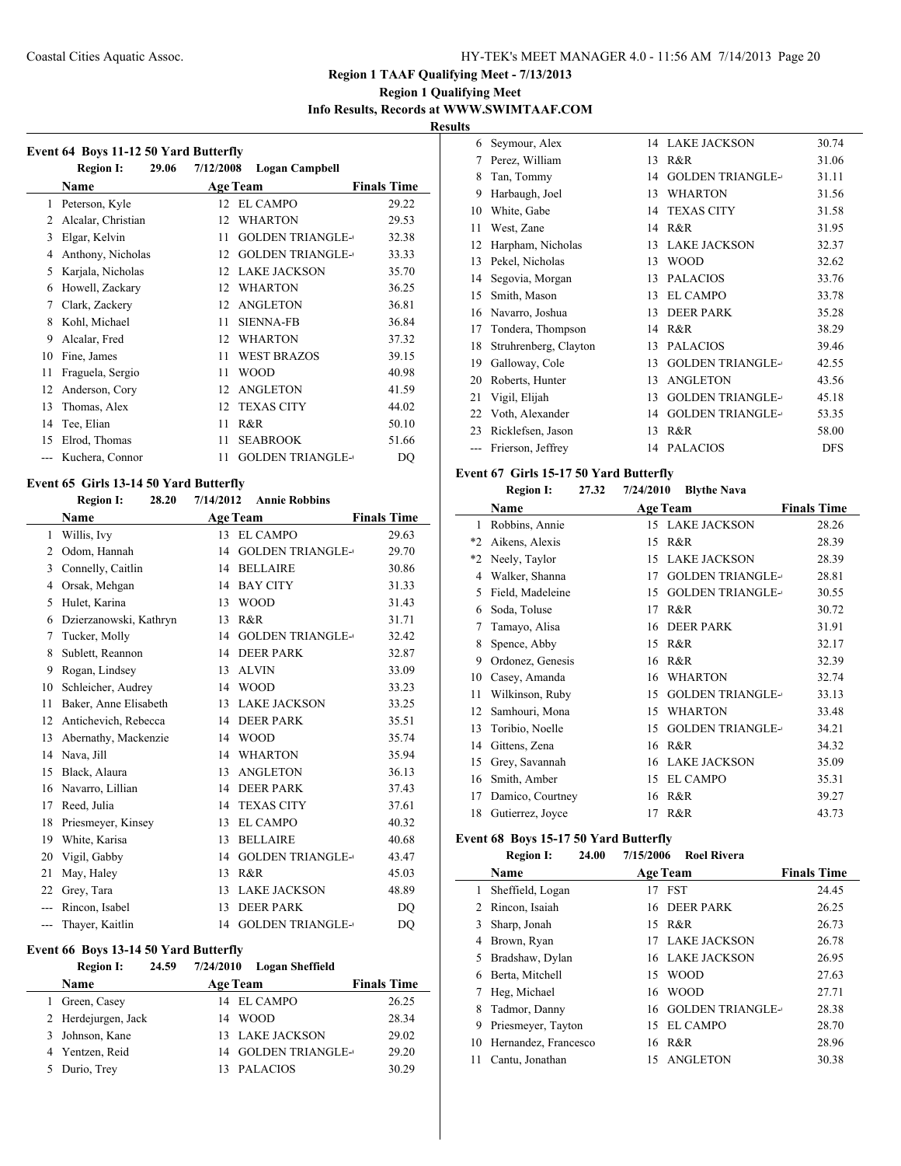### **Region 1 Qualifying Meet Info Results, Records at WWW.SWIMTAAF.COM**

**Results**

| Event 64 Boys 11-12 50 Yard Butterfly |                           |                                    |                    |  |
|---------------------------------------|---------------------------|------------------------------------|--------------------|--|
|                                       | <b>Region I:</b><br>29.06 | 7/12/2008<br><b>Logan Campbell</b> |                    |  |
|                                       | Name                      | <b>Age Team</b>                    | <b>Finals Time</b> |  |
| 1                                     | Peterson, Kyle            | <b>EL CAMPO</b><br>12              | 29.22              |  |
| 2                                     | Alcalar, Christian        | <b>WHARTON</b><br>12               | 29.53              |  |
| 3                                     | Elgar, Kelvin             | <b>GOLDEN TRIANGLE-</b><br>11      | 32.38              |  |
| 4                                     | Anthony, Nicholas         | <b>GOLDEN TRIANGLE-</b><br>12      | 33.33              |  |
| 5                                     | Karjala, Nicholas         | <b>LAKE JACKSON</b><br>12          | 35.70              |  |
| 6                                     | Howell, Zackary           | <b>WHARTON</b><br>12               | 36.25              |  |
| 7                                     | Clark, Zackery            | <b>ANGLETON</b><br>12              | 36.81              |  |
| 8                                     | Kohl, Michael             | <b>SIENNA-FB</b><br>11             | 36.84              |  |
| 9                                     | Alcalar, Fred             | <b>WHARTON</b><br>12               | 37.32              |  |
| 10                                    | Fine, James               | <b>WEST BRAZOS</b><br>11           | 39.15              |  |
| 11                                    | Fraguela, Sergio          | <b>WOOD</b><br>11                  | 40.98              |  |
| 12                                    | Anderson, Cory            | <b>ANGLETON</b><br>12              | 41.59              |  |
| 13                                    | Thomas, Alex              | <b>TEXAS CITY</b><br>12            | 44.02              |  |
| 14                                    | Tee, Elian                | R&R<br>11                          | 50.10              |  |
| 15                                    | Elrod, Thomas             | <b>SEABROOK</b><br>11              | 51.66              |  |
|                                       | Kuchera, Connor           | <b>GOLDEN TRIANGLE-</b><br>11      | DQ                 |  |

### **Event 65 Girls 13-14 50 Yard Butterfly**

### **Region I: 28.20 7/14/2012 Annie Robbins**

|                             | <b>Name</b>            |    | <b>Age Team</b>         | <b>Finals Time</b> |
|-----------------------------|------------------------|----|-------------------------|--------------------|
| $\mathbf{1}$                | Willis, Ivy            | 13 | EL CAMPO                | 29.63              |
| $\mathcal{D}_{\mathcal{L}}$ | Odom, Hannah           | 14 | <b>GOLDEN TRIANGLE-</b> | 29.70              |
| 3                           | Connelly, Caitlin      | 14 | <b>BELLAIRE</b>         | 30.86              |
| 4                           | Orsak, Mehgan          | 14 | <b>BAY CITY</b>         | 31.33              |
| 5                           | Hulet, Karina          | 13 | <b>WOOD</b>             | 31.43              |
| 6                           | Dzierzanowski, Kathryn | 13 | R&R                     | 31.71              |
| 7                           | Tucker, Molly          | 14 | <b>GOLDEN TRIANGLE-</b> | 32.42              |
| 8                           | Sublett, Reannon       | 14 | <b>DEER PARK</b>        | 32.87              |
| 9                           | Rogan, Lindsey         | 13 | <b>ALVIN</b>            | 33.09              |
| 10                          | Schleicher, Audrey     | 14 | <b>WOOD</b>             | 33.23              |
| 11                          | Baker, Anne Elisabeth  | 13 | <b>LAKE JACKSON</b>     | 33.25              |
| 12                          | Antichevich, Rebecca   | 14 | <b>DEER PARK</b>        | 35.51              |
| 13                          | Abernathy, Mackenzie   | 14 | <b>WOOD</b>             | 35.74              |
| 14                          | Nava, Jill             | 14 | <b>WHARTON</b>          | 35.94              |
| 15                          | Black, Alaura          | 13 | <b>ANGLETON</b>         | 36.13              |
| 16                          | Navarro, Lillian       | 14 | <b>DEER PARK</b>        | 37.43              |
| 17                          | Reed, Julia            | 14 | <b>TEXAS CITY</b>       | 37.61              |
| 18                          | Priesmeyer, Kinsey     | 13 | <b>EL CAMPO</b>         | 40.32              |
| 19                          | White, Karisa          | 13 | <b>BELLAIRE</b>         | 40.68              |
| 20                          | Vigil, Gabby           | 14 | <b>GOLDEN TRIANGLE-</b> | 43.47              |
| 21                          | May, Haley             | 13 | R&R                     | 45.03              |
| 22                          | Grey, Tara             | 13 | <b>LAKE JACKSON</b>     | 48.89              |
| ---                         | Rincon, Isabel         | 13 | <b>DEER PARK</b>        | DO                 |
| ---                         | Thaver, Kaitlin        | 14 | <b>GOLDEN TRIANGLE-</b> | DQ                 |

#### **Event 66 Boys 13-14 50 Yard Butterfly**

#### **Region I: 24.59 7/24/2010 Logan Sheffield**

| <b>Name</b>         | <b>Age Team</b>     | <b>Finals Time</b> |
|---------------------|---------------------|--------------------|
| 1 Green, Casey      | 14 EL CAMPO         | 26.25              |
| 2 Herdejurgen, Jack | <b>WOOD</b><br>14   | 28.34              |
| 3 Johnson, Kane     | 13 LAKE JACKSON     | 29.02              |
| 4 Yentzen, Reid     | 14 GOLDEN TRIANGLE- | 29.20              |
| 5 Durio, Trey       | 13 PALACIOS         | 30.29              |

| 6   | Seymour, Alex         | 14 | <b>LAKE JACKSON</b>     | 30.74      |
|-----|-----------------------|----|-------------------------|------------|
| 7   | Perez, William        | 13 | R&R                     | 31.06      |
| 8   | Tan, Tommy            | 14 | <b>GOLDEN TRIANGLE-</b> | 31.11      |
| 9   | Harbaugh, Joel        | 13 | <b>WHARTON</b>          | 31.56      |
| 10  | White, Gabe           | 14 | <b>TEXAS CITY</b>       | 31.58      |
| 11  | West, Zane            | 14 | R&R                     | 31.95      |
| 12  | Harpham, Nicholas     | 13 | <b>LAKE JACKSON</b>     | 32.37      |
| 13  | Pekel, Nicholas       | 13 | <b>WOOD</b>             | 32.62      |
| 14  | Segovia, Morgan       | 13 | <b>PALACIOS</b>         | 33.76      |
| 15  | Smith, Mason          | 13 | <b>EL CAMPO</b>         | 33.78      |
| 16  | Navarro, Joshua       | 13 | <b>DEER PARK</b>        | 35.28      |
| 17  | Tondera, Thompson     | 14 | R&R                     | 38.29      |
| 18  | Struhrenberg, Clayton | 13 | <b>PALACIOS</b>         | 39.46      |
| 19  | Galloway, Cole        | 13 | <b>GOLDEN TRIANGLE-</b> | 42.55      |
| 20  | Roberts, Hunter       | 13 | <b>ANGLETON</b>         | 43.56      |
| 21  | Vigil, Elijah         | 13 | <b>GOLDEN TRIANGLE-</b> | 45.18      |
| 22  | Voth, Alexander       | 14 | <b>GOLDEN TRIANGLE-</b> | 53.35      |
| 23  | Ricklefsen, Jason     | 13 | R&R                     | 58.00      |
| --- | Frierson, Jeffrey     |    | 14 PALACIOS             | <b>DFS</b> |

#### **Event 67 Girls 15-17 50 Yard Butterfly**

### **Region I: 27.32 7/24/2010 Blythe Nava Name Age Team Finals Time**  Robbins, Annie 15 LAKE JACKSON 28.26 \*2 Aikens, Alexis 15 R&R 28.39 \*2 Neely, Taylor 15 LAKE JACKSON 28.39 4 Walker, Shanna 17 GOLDEN TRIANGLE-28.81 5 Field, Madeleine 15 GOLDEN TRIANGLE-30.55 Soda, Toluse 17 R&R 30.72 Tamayo, Alisa 16 DEER PARK 31.91 8 Spence, Abby 15 R&R 32.17 Ordonez, Genesis 16 R&R 32.39 Casey, Amanda 16 WHARTON 32.74 11 Wilkinson, Ruby 15 GOLDEN TRIANGLE- 33.13 Samhouri, Mona 15 WHARTON 33.48 13 Toribio, Noelle 15 GOLDEN TRIANGLE-634.21 Gittens, Zena 16 R&R 34.32 Grey, Savannah 16 LAKE JACKSON 35.09 Smith, Amber 15 EL CAMPO 35.31 17 Damico, Courtney 16 R&R 39.27 18 Gutierrez, Joyce 17 R&R 43.73

#### **Event 68 Boys 15-17 50 Yard Butterfly**

 $\overline{\phantom{0}}$ 

|    | 24.00<br><b>Region I:</b> | 7/15/2006        | <b>Roel Rivera</b>         |                    |
|----|---------------------------|------------------|----------------------------|--------------------|
|    | <b>Name</b>               | <b>Age Team</b>  |                            | <b>Finals Time</b> |
| 1  | Sheffield, Logan          | <b>FST</b><br>17 |                            | 24.45              |
| 2  | Rincon, Isaiah            |                  | 16 DEER PARK               | 26.25              |
| 3  | Sharp, Jonah              | 15 R&R           |                            | 26.73              |
| 4  | Brown, Ryan               | 17.              | <b>LAKE JACKSON</b>        | 26.78              |
| 5  | Bradshaw, Dylan           |                  | <b>16 LAKE JACKSON</b>     | 26.95              |
| 6  | Berta, Mitchell           | 15               | <b>WOOD</b>                | 27.63              |
| 7  | Heg, Michael              | 16               | <b>WOOD</b>                | 27.71              |
| 8  | Tadmor, Danny             |                  | <b>16 GOLDEN TRIANGLE-</b> | 28.38              |
| 9  | Priesmeyer, Tayton        |                  | 15 EL CAMPO                | 28.70              |
| 10 | Hernandez, Francesco      | 16               | R&R                        | 28.96              |
| 11 | Cantu, Jonathan           |                  | 15 ANGLETON                | 30.38              |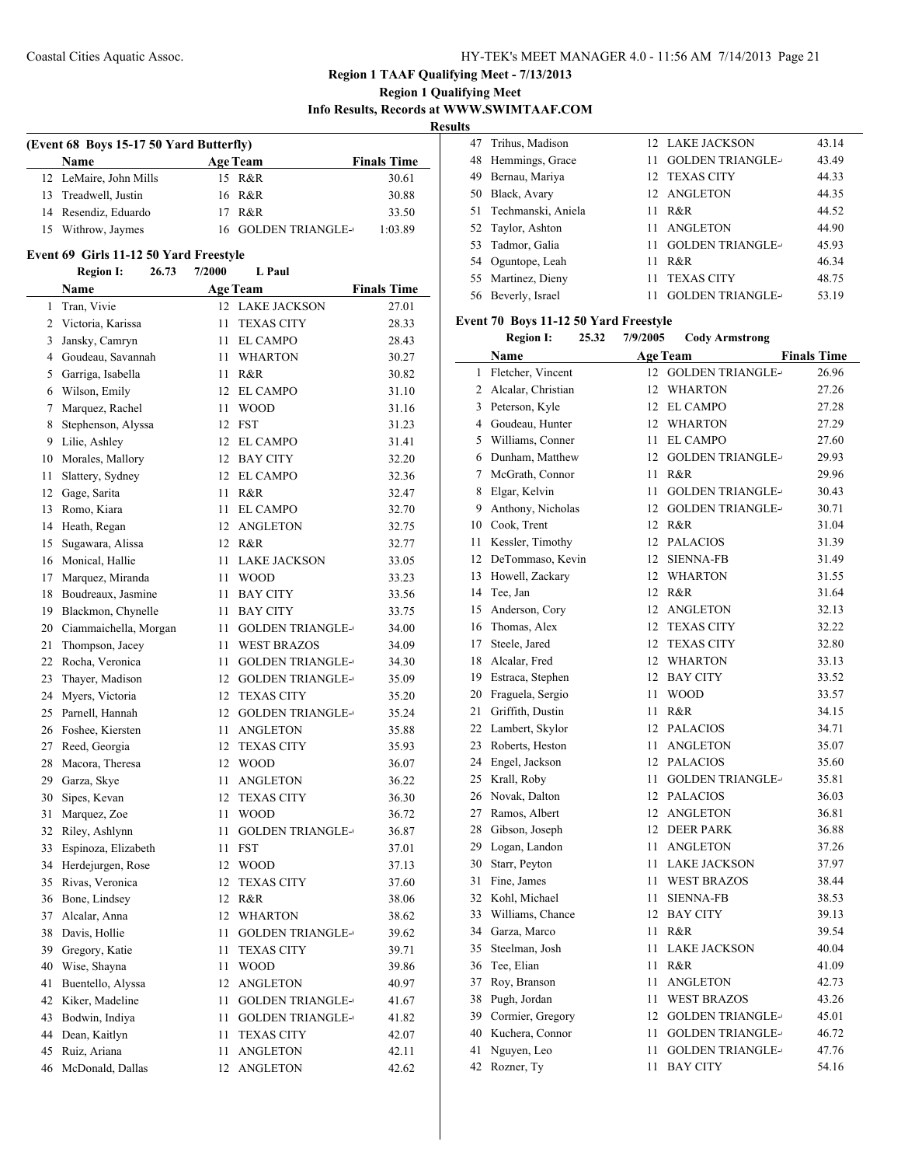## **Region 1 Qualifying Meet Info Results, Records at WWW.SWIMTAAF.COM**

**Results**

 $\frac{1}{2}$ 

| (Event 68 Boys 15-17 50 Yard Butterfly) |  |                     |                    |  |  |  |
|-----------------------------------------|--|---------------------|--------------------|--|--|--|
| <b>Name</b>                             |  | <b>Age Team</b>     | <b>Finals Time</b> |  |  |  |
| 12 LeMaire, John Mills                  |  | 15 R&R              | 30.61              |  |  |  |
| 13 Treadwell, Justin                    |  | 16 R&R              | 30.88              |  |  |  |
| 14 Resendiz, Eduardo                    |  | 17 R&R              | 33.50              |  |  |  |
| 15 Withrow, Jaymes                      |  | 16 GOLDEN TRIANGLE- | 1:03.89            |  |  |  |

### **Event 69 Girls 11-12 50 Yard Freestyle**

|                | <b>Region I:</b><br>26.73 | $\ldots$<br>7/2000 | L Paul                  |                    |
|----------------|---------------------------|--------------------|-------------------------|--------------------|
|                | Name                      |                    | <b>Age Team</b>         | <b>Finals Time</b> |
| 1              | Tran, Vivie               |                    | 12 LAKE JACKSON         | 27.01              |
| $\overline{2}$ | Victoria, Karissa         | 11                 | <b>TEXAS CITY</b>       | 28.33              |
| 3              | Jansky, Camryn            | 11                 | <b>EL CAMPO</b>         | 28.43              |
| $\overline{4}$ | Goudeau, Savannah         | 11                 | <b>WHARTON</b>          | 30.27              |
| 5              | Garriga, Isabella         | 11                 | R&R                     | 30.82              |
| 6              | Wilson, Emily             |                    | 12 EL CAMPO             | 31.10              |
| 7              | Marquez, Rachel           | 11                 | <b>WOOD</b>             | 31.16              |
| 8              | Stephenson, Alyssa        |                    | 12 FST                  | 31.23              |
|                | 9 Lilie, Ashley           |                    | 12 EL CAMPO             | 31.41              |
|                | 10 Morales, Mallory       |                    | 12 BAY CITY             | 32.20              |
| 11             | Slattery, Sydney          |                    | 12 EL CAMPO             | 32.36              |
| 12             | Gage, Sarita              | 11                 | R&R                     | 32.47              |
| 13             | Romo, Kiara               | 11                 | <b>EL CAMPO</b>         | 32.70              |
| 14             | Heath, Regan              | 12                 | ANGLETON                | 32.75              |
| 15             | Sugawara, Alissa          |                    | 12 R&R                  | 32.77              |
| 16             | Monical, Hallie           | 11                 | <b>LAKE JACKSON</b>     | 33.05              |
| 17             | Marquez, Miranda          | 11                 | <b>WOOD</b>             | 33.23              |
| 18             | Boudreaux, Jasmine        | 11                 | <b>BAY CITY</b>         | 33.56              |
| 19             | Blackmon, Chynelle        | 11                 | <b>BAY CITY</b>         | 33.75              |
|                | 20 Ciammaichella, Morgan  | 11                 | <b>GOLDEN TRIANGLE-</b> | 34.00              |
| 21             | Thompson, Jacey           | 11                 | <b>WEST BRAZOS</b>      | 34.09              |
| 22             | Rocha, Veronica           | 11                 | <b>GOLDEN TRIANGLE-</b> | 34.30              |
| 23             | Thayer, Madison           | 12                 | <b>GOLDEN TRIANGLE-</b> | 35.09              |
| 24             | Myers, Victoria           | 12                 | <b>TEXAS CITY</b>       | 35.20              |
| 25             | Parnell, Hannah           | 12                 | <b>GOLDEN TRIANGLE-</b> | 35.24              |
| 26             | Foshee, Kiersten          | 11                 | <b>ANGLETON</b>         | 35.88              |
| 27             | Reed, Georgia             | 12                 | <b>TEXAS CITY</b>       | 35.93              |
| 28             | Macora, Theresa           | 12                 | <b>WOOD</b>             | 36.07              |
| 29             | Garza, Skye               | 11                 | <b>ANGLETON</b>         | 36.22              |
| 30             | Sipes, Kevan              | 12                 | <b>TEXAS CITY</b>       | 36.30              |
| 31             | Marquez, Zoe              | 11                 | <b>WOOD</b>             | 36.72              |
| 32             | Riley, Ashlynn            | 11                 | <b>GOLDEN TRIANGLE-</b> | 36.87              |
| 33             | Espinoza, Elizabeth       | 11                 | <b>FST</b>              | 37.01              |
|                | 34 Herdejurgen, Rose      | 12                 | WOOD                    | 37.13              |
| 35             | Rivas, Veronica           | 12                 | <b>TEXAS CITY</b>       | 37.60              |
| 36             | Bone, Lindsey             | 12                 | R&R                     | 38.06              |
|                | 37 Alcalar, Anna          |                    | 12 WHARTON              | 38.62              |
| 38             | Davis, Hollie             | 11                 | <b>GOLDEN TRIANGLE-</b> | 39.62              |
| 39             | Gregory, Katie            | 11                 | <b>TEXAS CITY</b>       | 39.71              |
| 40             | Wise, Shayna              | 11                 | <b>WOOD</b>             | 39.86              |
| 41             | Buentello, Alyssa         | 12                 | <b>ANGLETON</b>         | 40.97              |
| 42             | Kiker, Madeline           | 11                 | <b>GOLDEN TRIANGLE-</b> | 41.67              |
| 43             | Bodwin, Indiya            | 11                 | <b>GOLDEN TRIANGLE-</b> | 41.82              |
| 44             | Dean, Kaitlyn             | 11                 | <b>TEXAS CITY</b>       | 42.07              |
| 45             | Ruiz, Ariana              | 11                 | ANGLETON                | 42.11              |
| 46             | McDonald, Dallas          | 12                 | <b>ANGLETON</b>         | 42.62              |

| 47 Trihus, Madison    | 12 LAKE JACKSON                | 43.14 |
|-----------------------|--------------------------------|-------|
| 48 Hemmings, Grace    | <b>GOLDEN TRIANGLE-</b><br>11. | 43.49 |
| Bernau, Mariya<br>49  | 12 TEXAS CITY                  | 44.33 |
| 50 Black, Avary       | 12 ANGLETON                    | 44.35 |
| 51 Techmanski, Aniela | R&R<br>11.                     | 44.52 |
| 52 Taylor, Ashton     | 11 ANGLETON                    | 44.90 |
| 53 Tadmor, Galia      | <b>GOLDEN TRIANGLE-</b><br>11. | 45.93 |
| 54 Oguntope, Leah     | R&R<br>11                      | 46.34 |
| 55 Martinez, Dieny    | <b>TEXAS CITY</b><br>11        | 48.75 |
| 56 Beverly, Israel    | <b>GOLDEN TRIANGLE-</b>        | 53.19 |

### **Event 70 Boys 11-12 50 Yard Freestyle**

**Region I: 25.32 7/9/2005 Cody Armstrong**

|    | Name               |    | Age Team                | <b>Finals Time</b> |
|----|--------------------|----|-------------------------|--------------------|
| 1  | Fletcher, Vincent  | 12 | <b>GOLDEN TRIANGLE-</b> | 26.96              |
| 2  | Alcalar, Christian | 12 | <b>WHARTON</b>          | 27.26              |
| 3  | Peterson, Kyle     | 12 | <b>EL CAMPO</b>         | 27.28              |
| 4  | Goudeau, Hunter    | 12 | <b>WHARTON</b>          | 27.29              |
| 5  | Williams, Conner   | 11 | <b>EL CAMPO</b>         | 27.60              |
| 6  | Dunham, Matthew    | 12 | <b>GOLDEN TRIANGLE-</b> | 29.93              |
| 7  | McGrath, Connor    | 11 | R&R                     | 29.96              |
| 8  | Elgar, Kelvin      | 11 | <b>GOLDEN TRIANGLE-</b> | 30.43              |
| 9  | Anthony, Nicholas  | 12 | <b>GOLDEN TRIANGLE-</b> | 30.71              |
| 10 | Cook, Trent        | 12 | R&R                     | 31.04              |
| 11 | Kessler, Timothy   | 12 | <b>PALACIOS</b>         | 31.39              |
| 12 | DeTommaso, Kevin   | 12 | <b>SIENNA-FB</b>        | 31.49              |
| 13 | Howell, Zackary    | 12 | <b>WHARTON</b>          | 31.55              |
| 14 | Tee, Jan           | 12 | R&R                     | 31.64              |
| 15 | Anderson, Cory     | 12 | <b>ANGLETON</b>         | 32.13              |
| 16 | Thomas, Alex       | 12 | <b>TEXAS CITY</b>       | 32.22              |
| 17 | Steele, Jared      | 12 | <b>TEXAS CITY</b>       | 32.80              |
| 18 | Alcalar, Fred      | 12 | <b>WHARTON</b>          | 33.13              |
| 19 | Estraca, Stephen   | 12 | <b>BAY CITY</b>         | 33.52              |
| 20 | Fraguela, Sergio   | 11 | <b>WOOD</b>             | 33.57              |
| 21 | Griffith, Dustin   | 11 | R&R                     | 34.15              |
| 22 | Lambert, Skylor    | 12 | <b>PALACIOS</b>         | 34.71              |
| 23 | Roberts, Heston    | 11 | <b>ANGLETON</b>         | 35.07              |
| 24 | Engel, Jackson     | 12 | <b>PALACIOS</b>         | 35.60              |
| 25 | Krall, Roby        | 11 | <b>GOLDEN TRIANGLE-</b> | 35.81              |
| 26 | Novak, Dalton      | 12 | <b>PALACIOS</b>         | 36.03              |
| 27 | Ramos, Albert      | 12 | <b>ANGLETON</b>         | 36.81              |
| 28 | Gibson, Joseph     | 12 | <b>DEER PARK</b>        | 36.88              |
| 29 | Logan, Landon      | 11 | <b>ANGLETON</b>         | 37.26              |
| 30 | Starr, Peyton      | 11 | <b>LAKE JACKSON</b>     | 37.97              |
| 31 | Fine, James        | 11 | <b>WEST BRAZOS</b>      | 38.44              |
| 32 | Kohl, Michael      | 11 | <b>SIENNA-FB</b>        | 38.53              |
| 33 | Williams, Chance   | 12 | <b>BAY CITY</b>         | 39.13              |
| 34 | Garza, Marco       | 11 | R&R                     | 39.54              |
| 35 | Steelman, Josh     | 11 | <b>LAKE JACKSON</b>     | 40.04              |
| 36 | Tee, Elian         | 11 | R&R                     | 41.09              |
| 37 | Roy, Branson       | 11 | <b>ANGLETON</b>         | 42.73              |
| 38 | Pugh, Jordan       | 11 | <b>WEST BRAZOS</b>      | 43.26              |
| 39 | Cormier, Gregory   |    | 12 GOLDEN TRIANGLE-     | 45.01              |
| 40 | Kuchera, Connor    | 11 | <b>GOLDEN TRIANGLE-</b> | 46.72              |
| 41 | Nguyen, Leo        | 11 | <b>GOLDEN TRIANGLE-</b> | 47.76              |
| 42 | Rozner, Ty         | 11 | <b>BAY CITY</b>         | 54.16              |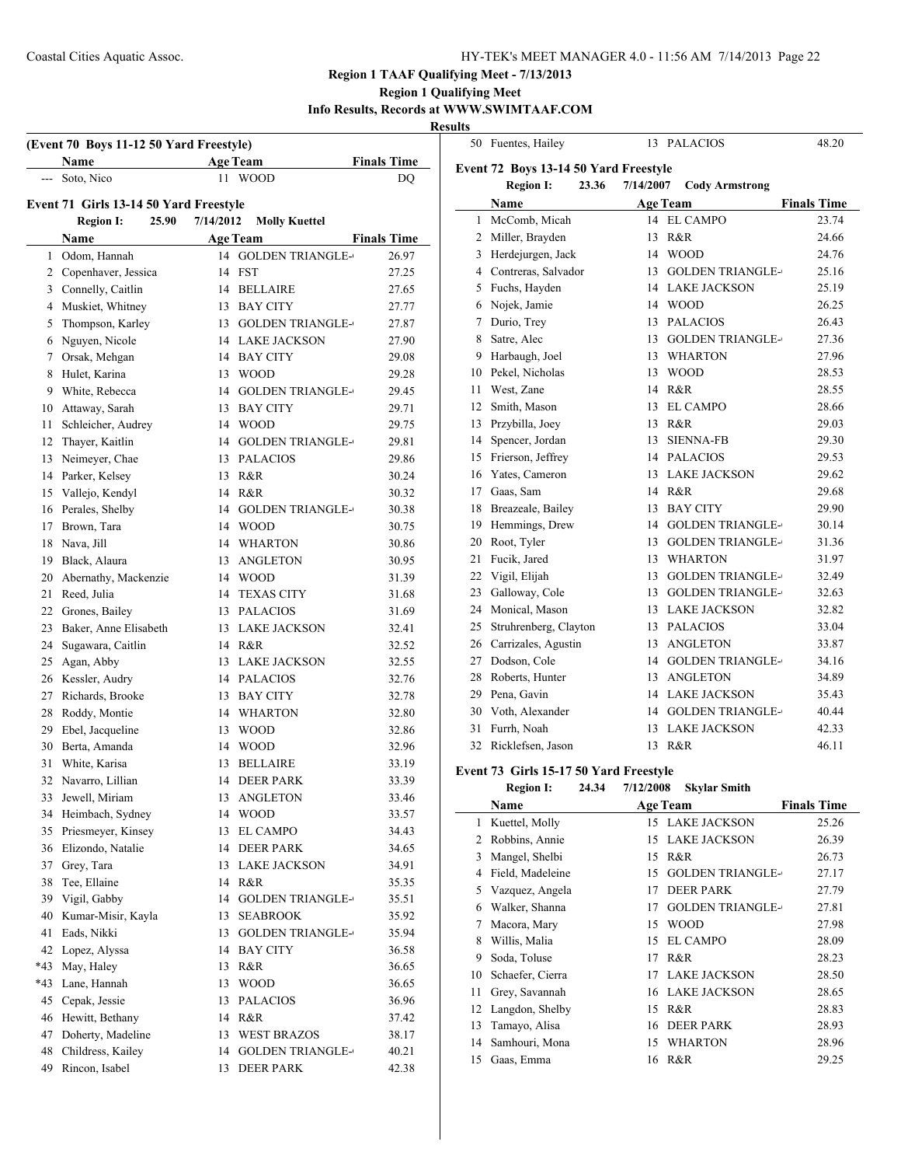### **Region 1 Qualifying Meet Info Results, Records at WWW.SWIMTAAF.COM**

**Results**

 $\overline{a}$ 

| (Event 70 Boys 11-12 50 Yard Freestyle)<br><b>Age Team</b><br><b>Finals Time</b><br>Name |                                        |       |           |                                |                    |
|------------------------------------------------------------------------------------------|----------------------------------------|-------|-----------|--------------------------------|--------------------|
| $\frac{1}{2}$                                                                            | Soto, Nico                             |       | 11        | <b>WOOD</b>                    | DQ                 |
|                                                                                          |                                        |       |           |                                |                    |
|                                                                                          | Event 71 Girls 13-14 50 Yard Freestyle |       |           |                                |                    |
|                                                                                          | <b>Region I:</b>                       | 25.90 | 7/14/2012 | <b>Molly Kuettel</b>           |                    |
|                                                                                          | <b>Name</b>                            |       |           | <b>Age Team</b>                | <b>Finals Time</b> |
| 1                                                                                        | Odom, Hannah                           |       | 14        | <b>GOLDEN TRIANGLE-</b>        | 26.97              |
|                                                                                          | 2 Copenhaver, Jessica                  |       | 14        | <b>FST</b>                     | 27.25              |
|                                                                                          | 3 Connelly, Caitlin                    |       |           | 14 BELLAIRE                    | 27.65              |
|                                                                                          | 4 Muskiet, Whitney                     |       |           | 13 BAY CITY                    | 27.77              |
| 5                                                                                        | Thompson, Karley                       |       |           | 13 GOLDEN TRIANGLE-            | 27.87              |
| 6                                                                                        | Nguyen, Nicole                         |       |           | 14 LAKE JACKSON                | 27.90              |
| 7                                                                                        | Orsak, Mehgan                          |       |           | 14 BAY CITY                    | 29.08              |
| 8                                                                                        | Hulet, Karina                          |       |           | 13 WOOD                        | 29.28              |
| 9                                                                                        | White, Rebecca                         |       | 14        | <b>GOLDEN TRIANGLE-</b>        | 29.45              |
| 10                                                                                       | Attaway, Sarah                         |       | 13        | <b>BAY CITY</b>                | 29.71              |
| 11                                                                                       | Schleicher, Audrey                     |       |           | 14 WOOD                        | 29.75              |
| 12                                                                                       | Thayer, Kaitlin                        |       | 14        | <b>GOLDEN TRIANGLE-</b>        | 29.81              |
| 13                                                                                       | Neimeyer, Chae                         |       |           | 13 PALACIOS                    | 29.86              |
| 14                                                                                       | Parker, Kelsey                         |       | 13        | R&R                            | 30.24              |
| 15                                                                                       | Vallejo, Kendyl                        |       |           | 14 R&R                         | 30.32              |
| 16<br>17                                                                                 | Perales, Shelby<br>Brown, Tara         |       |           | 14 GOLDEN TRIANGLE-<br>14 WOOD | 30.38              |
| 18                                                                                       | Nava, Jill                             |       |           | 14 WHARTON                     | 30.75<br>30.86     |
| 19                                                                                       | Black, Alaura                          |       |           | 13 ANGLETON                    |                    |
| 20                                                                                       | Abernathy, Mackenzie                   |       |           | 14 WOOD                        | 30.95<br>31.39     |
| 21                                                                                       | Reed, Julia                            |       | 14        | <b>TEXAS CITY</b>              | 31.68              |
| 22                                                                                       | Grones, Bailey                         |       |           | 13 PALACIOS                    | 31.69              |
| 23                                                                                       | Baker, Anne Elisabeth                  |       |           | 13 LAKE JACKSON                | 32.41              |
| 24                                                                                       | Sugawara, Caitlin                      |       |           | 14 R&R                         | 32.52              |
| 25                                                                                       | Agan, Abby                             |       |           | 13 LAKE JACKSON                | 32.55              |
| 26                                                                                       | Kessler, Audry                         |       |           | 14 PALACIOS                    | 32.76              |
| 27                                                                                       | Richards, Brooke                       |       |           | 13 BAY CITY                    | 32.78              |
| 28                                                                                       | Roddy, Montie                          |       |           | 14 WHARTON                     | 32.80              |
| 29                                                                                       | Ebel, Jacqueline                       |       |           | 13 WOOD                        | 32.86              |
| 30                                                                                       | Berta, Amanda                          |       |           | 14 WOOD                        | 32.96              |
| 31                                                                                       | White, Karisa                          |       | 13        | <b>BELLAIRE</b>                | 33.19              |
| 32                                                                                       | Navarro, Lillian                       |       |           | 14 DEER PARK                   | 33.39              |
|                                                                                          | 33 Jewell, Miriam                      |       |           | 13 ANGLETON                    | 33.46              |
|                                                                                          | 34 Heimbach, Sydney                    |       |           | 14 WOOD                        | 33.57              |
| 35                                                                                       | Priesmeyer, Kinsey                     |       | 13        | <b>EL CAMPO</b>                | 34.43              |
| 36                                                                                       | Elizondo, Natalie                      |       | 14        | <b>DEER PARK</b>               | 34.65              |
| 37                                                                                       | Grey, Tara                             |       |           | 13 LAKE JACKSON                | 34.91              |
| 38                                                                                       | Tee, Ellaine                           |       | 14        | R&R                            | 35.35              |
| 39                                                                                       | Vigil, Gabby                           |       | 14        | <b>GOLDEN TRIANGLE-</b>        | 35.51              |
| 40                                                                                       | Kumar-Misir, Kayla                     |       | 13        | <b>SEABROOK</b>                | 35.92              |
| 41                                                                                       | Eads, Nikki                            |       | 13        | <b>GOLDEN TRIANGLE-</b>        | 35.94              |
| 42                                                                                       | Lopez, Alyssa                          |       | 14        | <b>BAY CITY</b>                | 36.58              |
| *43                                                                                      | May, Haley                             |       | 13        | R&R                            | 36.65              |
| *43                                                                                      | Lane, Hannah                           |       | 13        | <b>WOOD</b>                    | 36.65              |
| 45                                                                                       | Cepak, Jessie                          |       | 13        | <b>PALACIOS</b>                | 36.96              |
| 46                                                                                       | Hewitt, Bethany                        |       | 14        | R&R                            | 37.42              |
| 47                                                                                       | Doherty, Madeline                      |       | 13        | <b>WEST BRAZOS</b>             | 38.17              |
| 48                                                                                       | Childress, Kailey                      |       | 14        | <b>GOLDEN TRIANGLE-</b>        | 40.21              |
| 49                                                                                       | Rincon, Isabel                         |       | 13        | <b>DEER PARK</b>               | 42.38              |

|              | 50 Fuentes, Hailey                                                 | 13               | <b>PALACIOS</b>         | 48.20              |
|--------------|--------------------------------------------------------------------|------------------|-------------------------|--------------------|
|              | Event 72 Boys 13-14 50 Yard Freestyle<br><b>Region I:</b><br>23.36 | 7/14/2007        | <b>Cody Armstrong</b>   |                    |
|              | Name                                                               | <b>Age Team</b>  |                         | <b>Finals Time</b> |
| $\mathbf{1}$ | McComb, Micah                                                      | 14               | <b>EL CAMPO</b>         | 23.74              |
| 2            | Miller, Brayden                                                    | 13               | R&R                     | 24.66              |
| 3            | Herdejurgen, Jack                                                  | 14               | <b>WOOD</b>             | 24.76              |
| 4            | Contreras, Salvador                                                | 13               | <b>GOLDEN TRIANGLE-</b> | 25.16              |
| 5            | Fuchs, Hayden                                                      | 14               | LAKE JACKSON            | 25.19              |
| 6            | Nojek, Jamie                                                       | 14               | <b>WOOD</b>             | 26.25              |
| 7            | Durio, Trey                                                        | 13               | <b>PALACIOS</b>         | 26.43              |
| 8            | Satre, Alec                                                        | 13               | <b>GOLDEN TRIANGLE-</b> | 27.36              |
| 9            | Harbaugh, Joel                                                     | 13               | <b>WHARTON</b>          | 27.96              |
| 10           | Pekel, Nicholas                                                    | 13               | <b>WOOD</b>             | 28.53              |
| 11           | West, Zane                                                         | 14               | R&R                     | 28.55              |
| 12           | Smith, Mason                                                       | 13               | <b>EL CAMPO</b>         | 28.66              |
| 13           | Przybilla, Joey                                                    | 13               | R&R                     | 29.03              |
| 14           | Spencer, Jordan                                                    | 13               | <b>SIENNA-FB</b>        | 29.30              |
| 15           | Frierson, Jeffrey                                                  |                  | 14 PALACIOS             | 29.53              |
| 16           | Yates, Cameron                                                     | 13               | <b>LAKE JACKSON</b>     | 29.62              |
| 17           | Gaas, Sam                                                          |                  | 14 R&R                  | 29.68              |
| 18           | Breazeale, Bailey                                                  | 13               | <b>BAY CITY</b>         | 29.90              |
| 19           | Hemmings, Drew                                                     |                  | 14 GOLDEN TRIANGLE-     | 30.14              |
| 20           | Root, Tyler                                                        | 13               | <b>GOLDEN TRIANGLE-</b> | 31.36              |
| 21           | Fucik, Jared                                                       | 13               | WHARTON                 | 31.97              |
| 22           | Vigil, Elijah                                                      |                  | 13 GOLDEN TRIANGLE-     | 32.49              |
| 23           | Galloway, Cole                                                     |                  | 13 GOLDEN TRIANGLE-     | 32.63              |
| 24           | Monical, Mason                                                     | 13               | LAKE JACKSON            | 32.82              |
| 25           | Struhrenberg, Clayton                                              | 13               | <b>PALACIOS</b>         | 33.04              |
| 26           | Carrizales, Agustin                                                | 13               | ANGLETON                | 33.87              |
| 27           | Dodson, Cole                                                       |                  | 14 GOLDEN TRIANGLE-     | 34.16              |
| 28           | Roberts, Hunter                                                    | 13               | ANGLETON                | 34.89              |
| 29           | Pena, Gavin                                                        | 14               | <b>LAKE JACKSON</b>     | 35.43              |
| 30           | Voth, Alexander                                                    | 14               | <b>GOLDEN TRIANGLE-</b> | 40.44              |
| 31           | Furrh, Noah                                                        | 13               | <b>LAKE JACKSON</b>     | 42.33              |
| 32           | Ricklefsen, Jason                                                  | 13               | R&R                     | 46.11              |
|              | Event 73 Girls 15-17 50 Yard Freestyle                             |                  |                         |                    |
|              | <b>Region I:</b><br>24.34                                          | <b>7/12/2008</b> | <b>Skylar Smith</b>     |                    |

|    | Name             |    | <b>Age Team</b>         | <b>Finals Time</b> |  |
|----|------------------|----|-------------------------|--------------------|--|
|    | 1 Kuettel, Molly |    | 15 LAKE JACKSON         | 25.26              |  |
| 2  | Robbins, Annie   | 15 | <b>LAKE JACKSON</b>     | 26.39              |  |
| 3  | Mangel, Shelbi   | 15 | R&R                     | 26.73              |  |
| 4  | Field, Madeleine | 15 | <b>GOLDEN TRIANGLE-</b> | 27.17              |  |
| 5  | Vazquez, Angela  | 17 | <b>DEER PARK</b>        | 27.79              |  |
| 6  | Walker, Shanna   | 17 | <b>GOLDEN TRIANGLE-</b> | 27.81              |  |
| 7  | Macora, Mary     | 15 | <b>WOOD</b>             | 27.98              |  |
| 8  | Willis, Malia    | 15 | <b>EL CAMPO</b>         | 28.09              |  |
| 9  | Soda, Toluse     | 17 | R&R                     | 28.23              |  |
| 10 | Schaefer, Cierra |    | 17 LAKE JACKSON         | 28.50              |  |
| 11 | Grey, Savannah   | 16 | <b>LAKE JACKSON</b>     | 28.65              |  |
| 12 | Langdon, Shelby  | 15 | R&R                     | 28.83              |  |
| 13 | Tamayo, Alisa    | 16 | <b>DEER PARK</b>        | 28.93              |  |
| 14 | Samhouri, Mona   | 15 | <b>WHARTON</b>          | 28.96              |  |
| 15 | Gaas, Emma       |    | 16 R&R                  | 29.25              |  |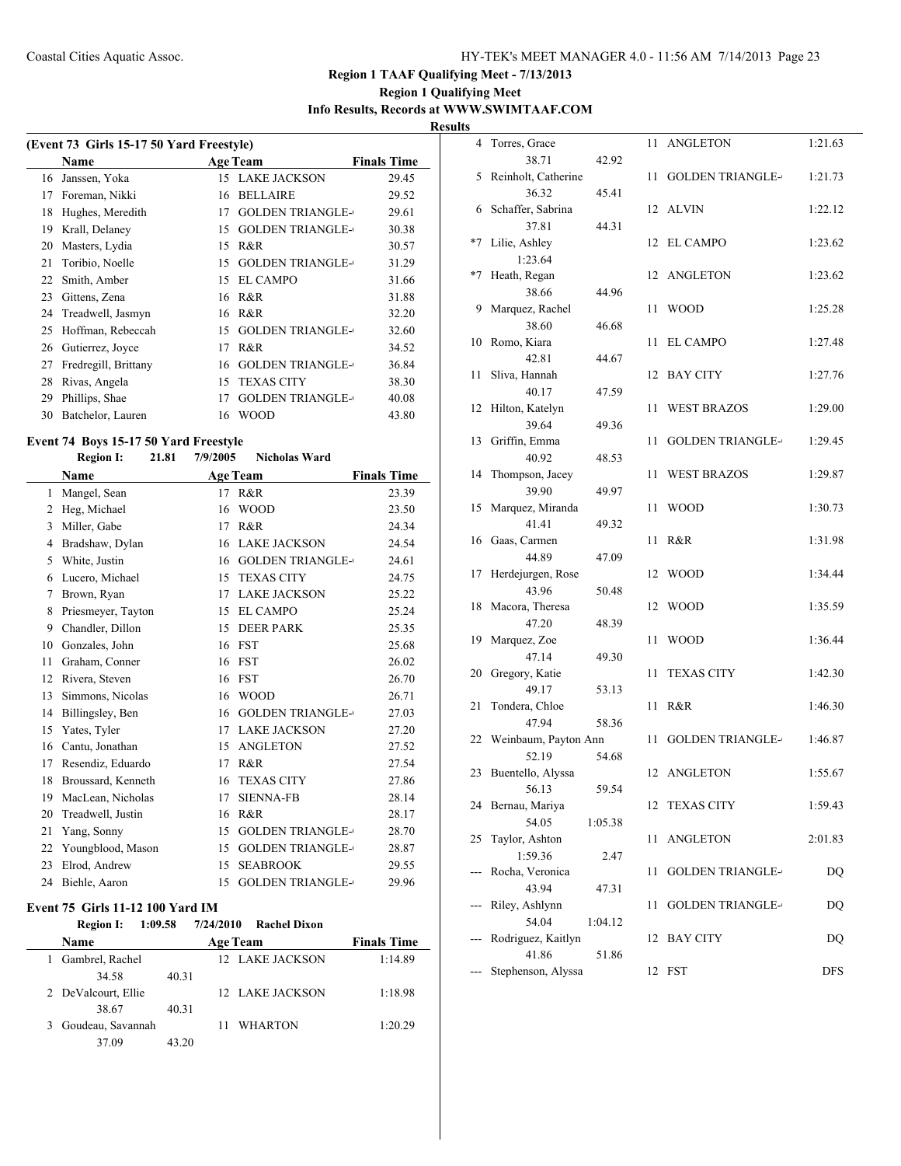## **Region 1 Qualifying Meet Info Results, Records at WWW.SWIMTAAF.COM**

**Results**

| (Event 73 Girls 15-17 50 Yard Freestyle) |                      |    |                         |                    |  |  |
|------------------------------------------|----------------------|----|-------------------------|--------------------|--|--|
|                                          | Name                 |    | <b>Age Team</b>         | <b>Finals Time</b> |  |  |
| 16                                       | Janssen, Yoka        | 15 | <b>LAKE JACKSON</b>     | 29.45              |  |  |
| 17                                       | Foreman, Nikki       | 16 | <b>BELLAIRE</b>         | 29.52              |  |  |
| 18                                       | Hughes, Meredith     | 17 | <b>GOLDEN TRIANGLE-</b> | 29.61              |  |  |
| 19                                       | Krall, Delaney       | 15 | <b>GOLDEN TRIANGLE-</b> | 30.38              |  |  |
| 20                                       | Masters, Lydia       | 15 | R&R                     | 30.57              |  |  |
| 21                                       | Toribio, Noelle      | 15 | <b>GOLDEN TRIANGLE-</b> | 31.29              |  |  |
| 22                                       | Smith, Amber         | 15 | EL CAMPO                | 31.66              |  |  |
| 23                                       | Gittens, Zena        | 16 | R&R                     | 31.88              |  |  |
| 24                                       | Treadwell, Jasmyn    | 16 | R&R                     | 32.20              |  |  |
| 25                                       | Hoffman, Rebeccah    | 15 | <b>GOLDEN TRIANGLE-</b> | 32.60              |  |  |
| 26                                       | Gutierrez, Joyce     | 17 | R&R                     | 34.52              |  |  |
| 27                                       | Fredregill, Brittany | 16 | <b>GOLDEN TRIANGLE-</b> | 36.84              |  |  |
| 28                                       | Rivas, Angela        | 15 | <b>TEXAS CITY</b>       | 38.30              |  |  |
| 29                                       | Phillips, Shae       | 17 | <b>GOLDEN TRIANGLE-</b> | 40.08              |  |  |
| 30                                       | Batchelor, Lauren    | 16 | <b>WOOD</b>             | 43.80              |  |  |

# **Event 74 Boys 15-17 50 Yard Freestyle<br>Region I: 21.81 7/9/2005**

### **Region I: 21.81 7/9/2005 Nicholas Ward**

|    | Name               |    | <b>Age Team</b>         | <b>Finals Time</b> |
|----|--------------------|----|-------------------------|--------------------|
| 1  | Mangel, Sean       | 17 | R&R                     | 23.39              |
| 2  | Heg, Michael       | 16 | <b>WOOD</b>             | 23.50              |
| 3  | Miller, Gabe       | 17 | R&R                     | 24.34              |
| 4  | Bradshaw, Dylan    | 16 | <b>LAKE JACKSON</b>     | 24.54              |
| 5  | White, Justin      | 16 | <b>GOLDEN TRIANGLE-</b> | 24.61              |
| 6  | Lucero, Michael    | 15 | <b>TEXAS CITY</b>       | 24.75              |
| 7  | Brown, Ryan        | 17 | <b>LAKE JACKSON</b>     | 25.22              |
| 8  | Priesmeyer, Tayton | 15 | <b>EL CAMPO</b>         | 25.24              |
| 9  | Chandler, Dillon   | 15 | <b>DEER PARK</b>        | 25.35              |
| 10 | Gonzales, John     | 16 | <b>FST</b>              | 25.68              |
| 11 | Graham, Conner     | 16 | <b>FST</b>              | 26.02              |
| 12 | Rivera, Steven     | 16 | <b>FST</b>              | 26.70              |
| 13 | Simmons, Nicolas   | 16 | <b>WOOD</b>             | 26.71              |
| 14 | Billingsley, Ben   | 16 | <b>GOLDEN TRIANGLE-</b> | 27.03              |
| 15 | Yates, Tyler       | 17 | <b>LAKE JACKSON</b>     | 27.20              |
| 16 | Cantu, Jonathan    | 15 | <b>ANGLETON</b>         | 27.52              |
| 17 | Resendiz, Eduardo  | 17 | R&R                     | 27.54              |
| 18 | Broussard, Kenneth | 16 | <b>TEXAS CITY</b>       | 27.86              |
| 19 | MacLean, Nicholas  | 17 | <b>SIENNA-FB</b>        | 28.14              |
| 20 | Treadwell, Justin  | 16 | R&R                     | 28.17              |
| 21 | Yang, Sonny        | 15 | <b>GOLDEN TRIANGLE-</b> | 28.70              |
| 22 | Youngblood, Mason  | 15 | <b>GOLDEN TRIANGLE-</b> | 28.87              |
| 23 | Elrod, Andrew      | 15 | <b>SEABROOK</b>         | 29.55              |
| 24 | Biehle, Aaron      | 15 | <b>GOLDEN TRIANGLE-</b> | 29.96              |

### **Event 75 Girls 11-12 100 Yard IM**

| <b>Region I:</b>    | 1:09.58 | 7/24/2010       | <b>Rachel Dixon</b> |                    |
|---------------------|---------|-----------------|---------------------|--------------------|
| <b>Name</b>         |         | <b>Age Team</b> |                     | <b>Finals Time</b> |
| Gambrel, Rachel     |         |                 | 12 LAKE JACKSON     | 1:14.89            |
| 34.58               | 40.31   |                 |                     |                    |
| 2 DeValcourt, Ellie |         |                 | 12 LAKE JACKSON     | 1:18.98            |
| 38.67               | 40.31   |                 |                     |                    |
| 3 Goudeau, Savannah |         |                 | <b>WHARTON</b>      | 1:20.29            |
| 37.09               | 43.20   |                 |                     |                    |

| 4    | Torres, Grace                |         | 11 | <b>ANGLETON</b>         | 1:21.63    |
|------|------------------------------|---------|----|-------------------------|------------|
|      | 38.71                        | 42.92   |    |                         |            |
| 5    | Reinholt, Catherine<br>36.32 | 45.41   | 11 | <b>GOLDEN TRIANGLE-</b> | 1:21.73    |
| 6    | Schaffer, Sabrina            |         | 12 | <b>ALVIN</b>            | 1:22.12    |
|      | 37.81                        | 44.31   |    |                         |            |
| $*7$ | Lilie, Ashley                |         | 12 | <b>EL CAMPO</b>         | 1:23.62    |
|      | 1:23.64                      |         |    |                         |            |
| $*7$ | Heath, Regan                 |         | 12 | <b>ANGLETON</b>         | 1:23.62    |
|      | 38.66                        | 44.96   |    |                         |            |
|      | 9 Marquez, Rachel            |         | 11 | <b>WOOD</b>             | 1:25.28    |
|      | 38.60                        | 46.68   |    |                         |            |
| 10   | Romo, Kiara                  |         | 11 | <b>EL CAMPO</b>         | 1:27.48    |
|      | 42.81                        | 44.67   |    |                         |            |
| 11   | Sliva, Hannah                |         | 12 | <b>BAY CITY</b>         | 1:27.76    |
|      | 40.17                        | 47.59   |    |                         |            |
| 12   | Hilton, Katelyn              |         | 11 | <b>WEST BRAZOS</b>      | 1:29.00    |
|      | 39.64                        | 49.36   |    |                         |            |
| 13   | Griffin, Emma                |         | 11 | <b>GOLDEN TRIANGLE-</b> | 1:29.45    |
|      | 40.92                        | 48.53   |    |                         |            |
| 14   | Thompson, Jacey              |         | 11 | <b>WEST BRAZOS</b>      | 1:29.87    |
|      | 39.90                        | 49.97   |    |                         |            |
| 15   | Marquez, Miranda<br>41.41    | 49.32   | 11 | <b>WOOD</b>             | 1:30.73    |
| 16   | Gaas, Carmen                 |         | 11 | R&R                     | 1:31.98    |
|      | 44.89                        | 47.09   |    |                         |            |
| 17   | Herdejurgen, Rose            |         | 12 | <b>WOOD</b>             | 1:34.44    |
|      | 43.96                        | 50.48   |    |                         |            |
| 18   | Macora, Theresa              |         | 12 | <b>WOOD</b>             | 1:35.59    |
|      | 47.20                        | 48.39   |    |                         |            |
| 19   | Marquez, Zoe                 |         | 11 | <b>WOOD</b>             | 1:36.44    |
|      | 47.14                        | 49.30   |    |                         |            |
| 20   | Gregory, Katie               |         | 11 | <b>TEXAS CITY</b>       | 1:42.30    |
|      | 49.17                        | 53.13   |    |                         |            |
| 21   | Tondera, Chloe               |         | 11 | R&R                     | 1:46.30    |
|      | 47.94                        | 58.36   |    |                         |            |
| 22   | Weinbaum, Payton Ann         |         | 11 | <b>GOLDEN TRIANGLE-</b> | 1:46.87    |
|      | 52.19                        | 54.68   |    |                         |            |
| 23   | Buentello, Alyssa            |         |    | 12 ANGLETON             | 1:55.67    |
|      | 56.13                        | 59.54   |    |                         |            |
|      | 24 Bernau, Mariya            |         | 12 | <b>TEXAS CITY</b>       | 1:59.43    |
|      | 54.05                        | 1:05.38 |    |                         |            |
| 25   | Taylor, Ashton               |         | 11 | <b>ANGLETON</b>         | 2:01.83    |
| ---  | 1:59.36<br>Rocha, Veronica   | 2.47    | 11 | <b>GOLDEN TRIANGLE-</b> |            |
|      | 43.94                        | 47.31   |    |                         | DQ         |
| ---  | Riley, Ashlynn               |         | 11 | <b>GOLDEN TRIANGLE-</b> | DQ         |
|      | 54.04                        | 1:04.12 |    |                         |            |
| ---  | Rodriguez, Kaitlyn           |         | 12 | <b>BAY CITY</b>         | DQ         |
|      | 41.86                        | 51.86   |    |                         |            |
| ---  | Stephenson, Alyssa           |         | 12 | <b>FST</b>              | <b>DFS</b> |
|      |                              |         |    |                         |            |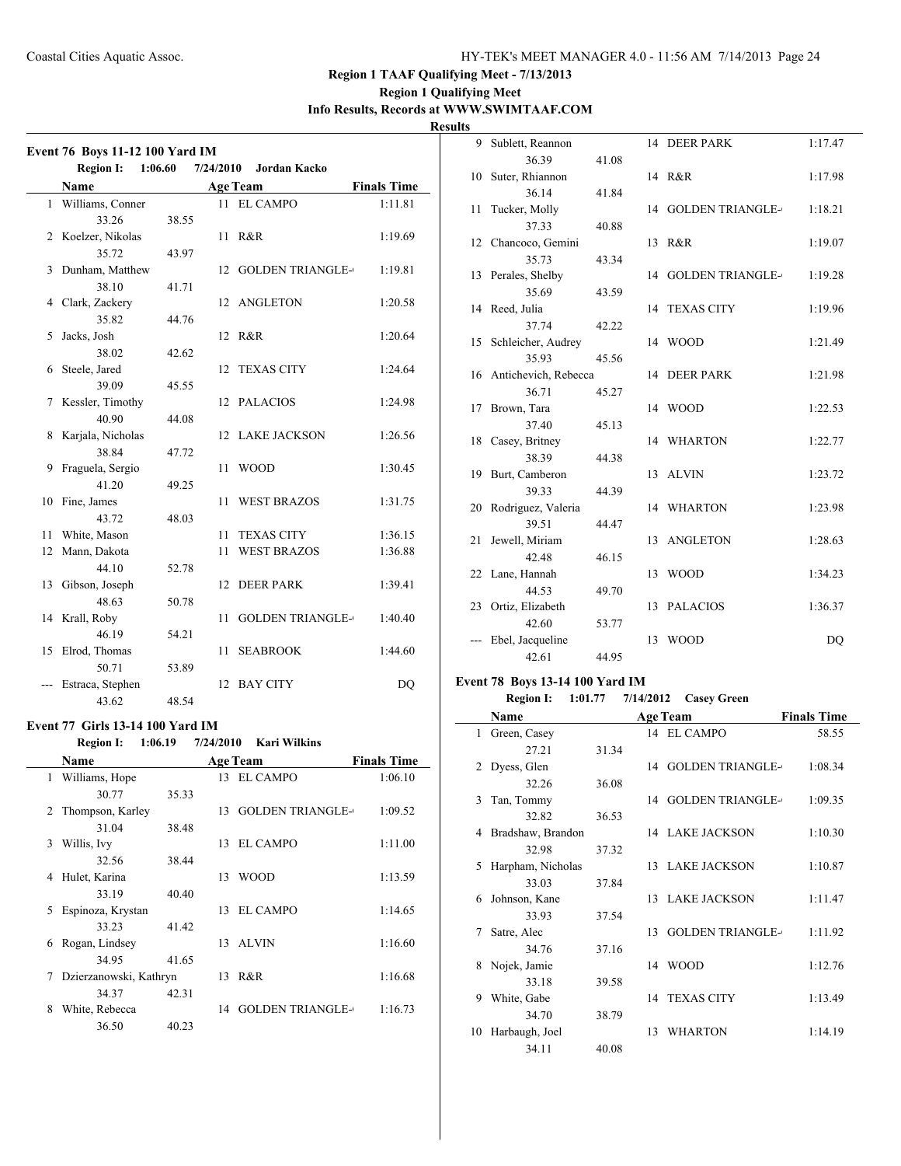### **Region 1 Qualifying Meet Info Results, Records at WWW.SWIMTAAF.COM**

**Results**

|    | <b>Event 76 Boys 11-12 100 Yard IM</b> |         |           |                         |                    |
|----|----------------------------------------|---------|-----------|-------------------------|--------------------|
|    | <b>Region I:</b>                       | 1:06.60 | 7/24/2010 | <b>Jordan Kacko</b>     |                    |
|    | <b>Name</b>                            |         |           | <b>Age Team</b>         | <b>Finals Time</b> |
|    | 1 Williams, Conner                     |         |           | 11 EL CAMPO             | 1:11.81            |
|    | 33.26                                  | 38.55   |           |                         |                    |
| 2  | Koelzer, Nikolas                       |         | 11-       | R&R                     | 1:19.69            |
|    | 35.72                                  | 43.97   |           |                         |                    |
| 3  | Dunham, Matthew                        |         | 12        | <b>GOLDEN TRIANGLE-</b> | 1:19.81            |
|    | 38.10                                  | 41.71   |           |                         |                    |
| 4  | Clark, Zackery                         |         | 12        | ANGLETON                | 1:20.58            |
|    | 35.82                                  | 44.76   |           |                         |                    |
| 5  | Jacks, Josh                            |         | 12        | R&R                     | 1:20.64            |
|    | 38.02                                  | 42.62   |           |                         |                    |
| 6  | Steele, Jared                          |         | 12        | <b>TEXAS CITY</b>       | 1:24.64            |
|    | 39.09                                  | 45.55   |           |                         |                    |
| 7  | Kessler, Timothy                       |         | 12        | <b>PALACIOS</b>         | 1:24.98            |
|    | 40.90                                  | 44.08   |           |                         |                    |
| 8  | Karjala, Nicholas                      |         | 12        | <b>LAKE JACKSON</b>     | 1:26.56            |
|    | 38.84                                  | 47.72   |           |                         |                    |
| 9  | Fraguela, Sergio                       |         | 11        | <b>WOOD</b>             | 1:30.45            |
|    | 41.20                                  | 49.25   |           |                         |                    |
| 10 | Fine, James                            |         | 11        | <b>WEST BRAZOS</b>      | 1:31.75            |
|    | 43.72                                  | 48.03   |           |                         |                    |
| 11 | White, Mason                           |         | 11        | <b>TEXAS CITY</b>       | 1:36.15            |
| 12 | Mann, Dakota                           |         | 11        | <b>WEST BRAZOS</b>      | 1:36.88            |
|    | 44.10                                  | 52.78   |           |                         |                    |
|    | 13 Gibson, Joseph                      |         | 12        | <b>DEER PARK</b>        | 1:39.41            |
|    | 48.63                                  | 50.78   |           |                         |                    |
|    | 14 Krall, Roby                         |         | 11        | <b>GOLDEN TRIANGLE-</b> | 1:40.40            |
|    | 46.19                                  | 54.21   |           |                         |                    |
| 15 | Elrod, Thomas                          |         | 11        | <b>SEABROOK</b>         | 1:44.60            |
|    | 50.71                                  | 53.89   |           |                         |                    |
|    | Estraca, Stephen                       |         | 12        | <b>BAY CITY</b>         | DQ                 |
|    | 43.62                                  | 48.54   |           |                         |                    |

### **Event 77 Girls 13-14 100 Yard IM**

**Region I: 1:06.19 7/24/2010 Kari Wilkins**

|             | <b>Name</b>            |       |    | <b>Age Team</b>         | <b>Finals Time</b> |
|-------------|------------------------|-------|----|-------------------------|--------------------|
| 1           | Williams, Hope         |       |    | 13 EL CAMPO             | 1:06.10            |
|             | 30.77                  | 35.33 |    |                         |                    |
| $2^{\circ}$ | Thompson, Karley       |       | 13 | <b>GOLDEN TRIANGLE-</b> | 1:09.52            |
|             | 31.04                  | 38.48 |    |                         |                    |
| 3           | Willis, Ivy            |       | 13 | EL CAMPO                | 1:11.00            |
|             | 32.56                  | 38.44 |    |                         |                    |
| 4           | Hulet, Karina          |       | 13 | WOOD                    | 1:13.59            |
|             | 33.19                  | 40.40 |    |                         |                    |
| 5           | Espinoza, Krystan      |       | 13 | EL CAMPO                | 1:14.65            |
|             | 33.23                  | 41.42 |    |                         |                    |
| 6           | Rogan, Lindsey         |       | 13 | <b>ALVIN</b>            | 1:16.60            |
|             | 34.95                  | 41.65 |    |                         |                    |
| 7           | Dzierzanowski, Kathryn |       | 13 | R&R                     | 1:16.68            |
|             | 34.37                  | 42.31 |    |                         |                    |
| 8           | White, Rebecca         |       |    | 14 GOLDEN TRIANGLE-     | 1:16.73            |
|             | 36.50                  | 40.23 |    |                         |                    |

| 9  | Sublett, Reannon         |       |    | 14 DEER PARK            | 1:17.47        |
|----|--------------------------|-------|----|-------------------------|----------------|
|    | 36.39                    | 41.08 |    |                         |                |
| 10 | Suter, Rhiannon          |       |    | 14 R&R                  | 1:17.98        |
|    | 36.14                    | 41.84 |    |                         |                |
| 11 | Tucker, Molly            |       |    | 14 GOLDEN TRIANGLE-     | 1:18.21        |
|    | 37.33                    | 40.88 |    |                         |                |
| 12 | Chancoco, Gemini         |       | 13 | R&R                     | 1:19.07        |
|    | 35.73                    | 43.34 |    |                         |                |
|    | 13 Perales, Shelby       |       | 14 | <b>GOLDEN TRIANGLE-</b> | 1:19.28        |
|    | 35.69                    | 43.59 |    |                         |                |
|    | 14 Reed, Julia           |       | 14 | <b>TEXAS CITY</b>       | 1:19.96        |
|    | 37.74                    | 42.22 |    |                         |                |
| 15 | Schleicher, Audrey       |       |    | 14 WOOD                 | 1:21.49        |
|    | 35.93                    | 45.56 |    |                         |                |
|    | 16 Antichevich, Rebecca  |       | 14 | <b>DEER PARK</b>        | 1:21.98        |
|    | 36.71                    | 45.27 |    |                         |                |
| 17 | Brown, Tara              |       |    | 14 WOOD                 | 1:22.53        |
|    | 37.40                    | 45.13 |    |                         |                |
| 18 | Casey, Britney           |       | 14 | WHARTON                 | 1:22.77        |
|    | 38.39                    | 44.38 |    |                         |                |
| 19 | Burt, Camberon           |       | 13 | <b>ALVIN</b>            | 1:23.72        |
|    | 39.33                    | 44.39 |    |                         |                |
|    | 20 Rodriguez, Valeria    |       |    | 14 WHARTON              | 1:23.98        |
|    | 39.51                    | 44.47 |    |                         |                |
| 21 | Jewell, Miriam<br>42.48  | 46.15 | 13 | <b>ANGLETON</b>         | 1:28.63        |
|    |                          |       | 13 | <b>WOOD</b>             |                |
|    | 22 Lane, Hannah<br>44.53 | 49.70 |    |                         | 1:34.23        |
| 23 | Ortiz, Elizabeth         |       |    | 13 PALACIOS             | 1:36.37        |
|    | 42.60                    | 53.77 |    |                         |                |
|    | Ebel, Jacqueline         |       | 13 | <b>WOOD</b>             | D <sub>O</sub> |
|    | 42.61                    | 44.95 |    |                         |                |
|    |                          |       |    |                         |                |

### **Event 78 Boys 13-14 100 Yard IM**

## **Region I: 1:01.77 7/14/2012 Casey Green**

|              | Name              |       |    | <b>Age Team</b>         | <b>Finals Time</b> |
|--------------|-------------------|-------|----|-------------------------|--------------------|
| $\mathbf{1}$ | Green, Casey      |       |    | 14 EL CAMPO             | 58.55              |
|              | 27.21             | 31.34 |    |                         |                    |
| 2            | Dyess, Glen       |       | 14 | <b>GOLDEN TRIANGLE-</b> | 1:08.34            |
|              | 32.26             | 36.08 |    |                         |                    |
| $\mathbf{3}$ | Tan, Tommy        |       |    | 14 GOLDEN TRIANGLE-     | 1:09.35            |
|              | 32.82             | 36.53 |    |                         |                    |
| 4            | Bradshaw, Brandon |       |    | 14 LAKE JACKSON         | 1:10.30            |
|              | 32.98             | 37.32 |    |                         |                    |
| 5            | Harpham, Nicholas |       |    | 13 LAKE JACKSON         | 1:10.87            |
|              | 33.03             | 37.84 |    |                         |                    |
| 6            | Johnson, Kane     |       |    | 13 LAKE JACKSON         | 1:11.47            |
|              | 33.93             | 37.54 |    |                         |                    |
| 7            | Satre, Alec       |       | 13 | <b>GOLDEN TRIANGLE-</b> | 1:11.92            |
|              | 34.76             | 37.16 |    |                         |                    |
| 8            | Nojek, Jamie      |       | 14 | <b>WOOD</b>             | 1:12.76            |
|              | 33.18             | 39.58 |    |                         |                    |
| 9            | White, Gabe       |       | 14 | <b>TEXAS CITY</b>       | 1:13.49            |
|              | 34.70             | 38.79 |    |                         |                    |
| 10           | Harbaugh, Joel    |       | 13 | <b>WHARTON</b>          | 1:14.19            |
|              | 34.11             | 40.08 |    |                         |                    |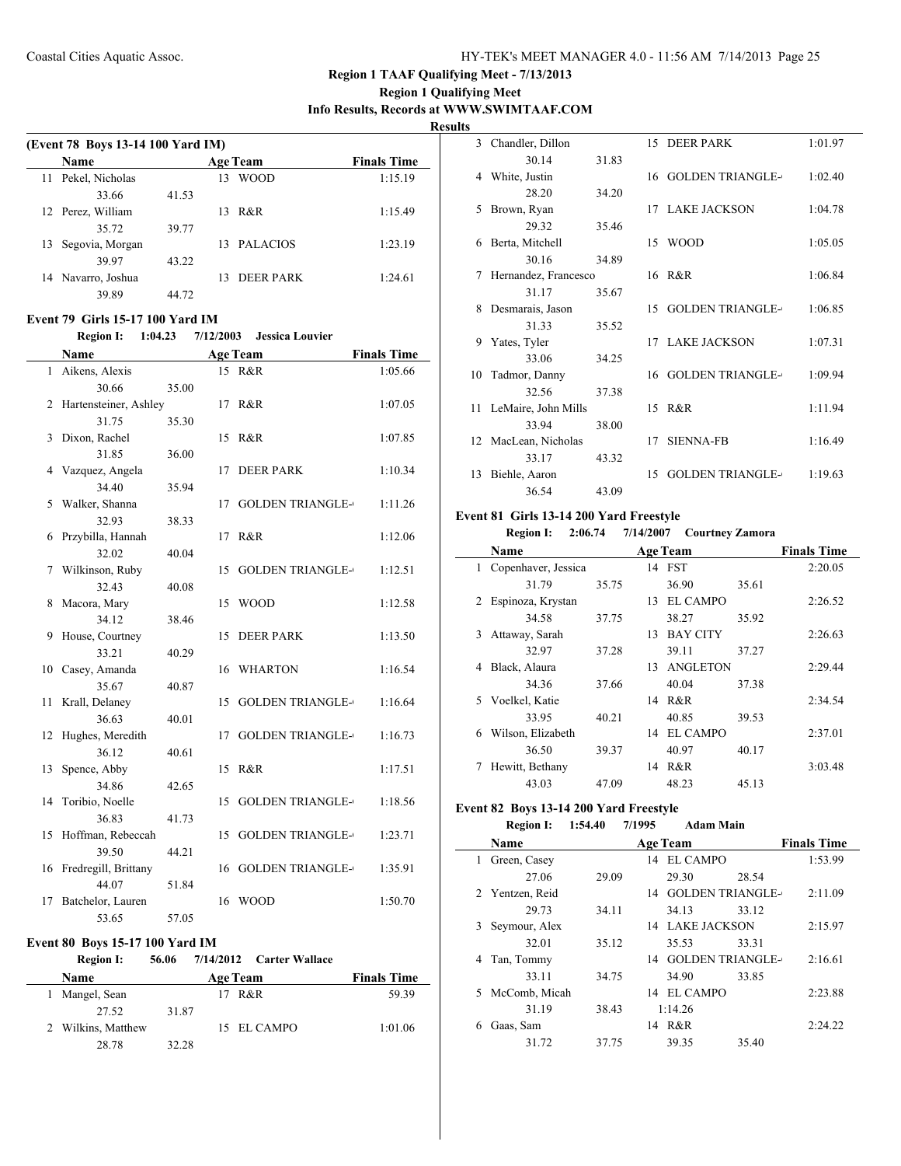### **Region 1 Qualifying Meet Info Results, Records at WWW.SWIMTAAF.COM**

**Results**

 $\overline{\phantom{0}}$ 

|    | (Event 78 Boys 13-14 100 Yard IM)       |       |           |                         |                    |  |  |  |  |
|----|-----------------------------------------|-------|-----------|-------------------------|--------------------|--|--|--|--|
|    | Name                                    |       |           | <b>Age Team</b>         | <b>Finals Time</b> |  |  |  |  |
| 11 | Pekel, Nicholas                         |       | 13        | <b>WOOD</b>             | 1:15.19            |  |  |  |  |
|    | 33.66                                   | 41.53 |           |                         |                    |  |  |  |  |
| 12 | Perez, William                          |       | 13        | R&R                     | 1:15.49            |  |  |  |  |
|    | 35.72                                   | 39.77 |           |                         |                    |  |  |  |  |
| 13 | Segovia, Morgan                         |       | 13        | <b>PALACIOS</b>         | 1:23.19            |  |  |  |  |
|    | 39.97                                   | 43.22 |           |                         |                    |  |  |  |  |
|    | 14 Navarro, Joshua                      |       | 13        | <b>DEER PARK</b>        | 1:24.61            |  |  |  |  |
|    | 39.89                                   | 44.72 |           |                         |                    |  |  |  |  |
|    |                                         |       |           |                         |                    |  |  |  |  |
|    | <b>Event 79 Girls 15-17 100 Yard IM</b> |       |           |                         |                    |  |  |  |  |
|    | <b>Region I:</b><br>1:04.23             |       | 7/12/2003 | <b>Jessica Louvier</b>  |                    |  |  |  |  |
|    | Name                                    |       |           | <b>Age Team</b>         | <b>Finals Time</b> |  |  |  |  |
|    | 1 Aikens, Alexis                        |       |           | 15 R&R                  | 1:05.66            |  |  |  |  |
|    | 30.66                                   | 35.00 |           |                         |                    |  |  |  |  |
| 2  | Hartensteiner, Ashley                   |       |           | 17 R&R                  | 1:07.05            |  |  |  |  |
|    | 31.75                                   | 35.30 |           |                         |                    |  |  |  |  |
| 3  | Dixon, Rachel                           |       | 15        | R&R                     | 1:07.85            |  |  |  |  |
|    | 31.85                                   | 36.00 |           |                         |                    |  |  |  |  |
| 4  | Vazquez, Angela                         |       | 17        | <b>DEER PARK</b>        | 1:10.34            |  |  |  |  |
|    | 34.40                                   | 35.94 |           |                         |                    |  |  |  |  |
| 5  | Walker, Shanna                          |       | 17        | <b>GOLDEN TRIANGLE-</b> | 1:11.26            |  |  |  |  |
|    | 32.93                                   | 38.33 |           |                         |                    |  |  |  |  |
| 6  | Przybilla, Hannah                       |       | 17        | R&R                     | 1:12.06            |  |  |  |  |
|    | 32.02                                   | 40.04 |           |                         |                    |  |  |  |  |
| 7  | Wilkinson, Ruby                         |       | 15        | <b>GOLDEN TRIANGLE-</b> | 1:12.51            |  |  |  |  |
|    | 32.43                                   | 40.08 |           |                         |                    |  |  |  |  |
| 8  | Macora, Mary                            |       | 15        | <b>WOOD</b>             | 1:12.58            |  |  |  |  |
|    | 34.12                                   | 38.46 |           |                         |                    |  |  |  |  |
| 9  | House, Courtney                         |       | 15        | <b>DEER PARK</b>        | 1:13.50            |  |  |  |  |
|    | 33.21                                   | 40.29 |           |                         |                    |  |  |  |  |
| 10 | Casey, Amanda                           |       | 16        | <b>WHARTON</b>          | 1:16.54            |  |  |  |  |
|    | 35.67                                   | 40.87 |           |                         |                    |  |  |  |  |
| 11 | Krall, Delaney                          |       | 15        | <b>GOLDEN TRIANGLE-</b> | 1:16.64            |  |  |  |  |
|    | 36.63                                   | 40.01 |           |                         |                    |  |  |  |  |
| 12 | Hughes, Meredith                        |       | 17        | <b>GOLDEN TRIANGLE-</b> | 1:16.73            |  |  |  |  |
|    | 36.12                                   | 40.61 |           |                         |                    |  |  |  |  |
| 13 | Spence, Abby                            |       |           | 15 R&R                  | 1:17.51            |  |  |  |  |
|    | 34.86                                   | 42.65 |           |                         |                    |  |  |  |  |
| 14 | Toribio, Noelle                         |       | 15        | <b>GOLDEN TRIANGLE-</b> | 1:18.56            |  |  |  |  |
|    | 36.83                                   | 41.73 |           |                         |                    |  |  |  |  |
| 15 | Hoffman, Rebeccah                       |       | 15        | <b>GOLDEN TRIANGLE-</b> | 1:23.71            |  |  |  |  |
|    | 39.50                                   | 44.21 |           |                         |                    |  |  |  |  |
| 16 | Fredregill, Brittany                    |       | 16        | <b>GOLDEN TRIANGLE-</b> | 1:35.91            |  |  |  |  |
|    | 44.07                                   | 51.84 |           |                         |                    |  |  |  |  |
| 17 | Batchelor, Lauren                       |       | 16        | <b>WOOD</b>             | 1:50.70            |  |  |  |  |
|    | 53.65                                   | 57.05 |           |                         |                    |  |  |  |  |

### **Event 80 Boys 15-17 100 Yard IM**

|    | <b>Region I:</b>   | 56.06 |                 | 7/14/2012 Carter Wallace |                    |
|----|--------------------|-------|-----------------|--------------------------|--------------------|
|    | <b>Name</b>        |       | <b>Age Team</b> |                          | <b>Finals Time</b> |
| 1. | Mangel, Sean       |       | 17.             | R&R                      | 59.39              |
|    | 27.52              | 31.87 |                 |                          |                    |
|    | 2 Wilkins, Matthew |       |                 | 15 EL CAMPO              | 1:01.06            |
|    | 28.78              | 32.28 |                 |                          |                    |

| 3  | Chandler, Dillon     |       |    | 15 DEER PARK            | 1:01.97 |
|----|----------------------|-------|----|-------------------------|---------|
|    | 30.14                | 31.83 |    |                         |         |
| 4  | White, Justin        |       |    | 16 GOLDEN TRIANGLE-     | 1:02.40 |
|    | 28.20                | 34.20 |    |                         |         |
| 5  | Brown, Ryan          |       |    | 17 LAKE JACKSON         | 1:04.78 |
|    | 29.32                | 35.46 |    |                         |         |
| 6  | Berta, Mitchell      |       | 15 | WOOD                    | 1:05.05 |
|    | 30.16                | 34.89 |    |                         |         |
| 7  | Hernandez, Francesco |       |    | 16 R&R                  | 1:06.84 |
|    | 31.17                | 35.67 |    |                         |         |
| 8  | Desmarais, Jason     |       | 15 | <b>GOLDEN TRIANGLE-</b> | 1:06.85 |
|    | 31.33                | 35.52 |    |                         |         |
| 9  | Yates, Tyler         |       |    | 17 LAKE JACKSON         | 1:07.31 |
|    | 33.06                | 34.25 |    |                         |         |
|    | 10 Tadmor, Danny     |       |    | 16 GOLDEN TRIANGLE-     | 1:09.94 |
|    | 32.56                | 37.38 |    |                         |         |
| 11 | LeMaire, John Mills  |       |    | 15 R&R                  | 1:11.94 |
|    | 33.94                | 38.00 |    |                         |         |
|    | 12 MacLean, Nicholas |       | 17 | <b>SIENNA-FB</b>        | 1:16.49 |
|    | 33.17                | 43.32 |    |                         |         |
| 13 | Biehle, Aaron        |       | 15 | <b>GOLDEN TRIANGLE-</b> | 1:19.63 |
|    | 36.54                | 43.09 |    |                         |         |

#### **Event 81 Girls 13-14 200 Yard Freestyle**

**Region I: 2:06.74 7/14/2007 Courtney Zamora**

|   | Name                |       |    | <b>Age Team</b> |       | <b>Finals Time</b> |
|---|---------------------|-------|----|-----------------|-------|--------------------|
| 1 | Copenhaver, Jessica |       |    | 14 FST          |       | 2:20.05            |
|   | 31.79               | 35.75 |    | 36.90           | 35.61 |                    |
| 2 | Espinoza, Krystan   |       | 13 | EL CAMPO        |       | 2:26.52            |
|   | 34.58               | 37.75 |    | 38.27           | 35.92 |                    |
| 3 | Attaway, Sarah      |       | 13 | <b>BAY CITY</b> |       | 2:26.63            |
|   | 32.97               | 37.28 |    | 39.11           | 37.27 |                    |
| 4 | Black, Alaura       |       | 13 | <b>ANGLETON</b> |       | 2:29.44            |
|   | 34.36               | 37.66 |    | 40.04           | 37.38 |                    |
|   | 5 Voelkel, Katie    |       | 14 | R&R             |       | 2:34.54            |
|   | 33.95               | 40.21 |    | 40.85           | 39.53 |                    |
| 6 | Wilson, Elizabeth   |       | 14 | EL CAMPO        |       | 2:37.01            |
|   | 36.50               | 39.37 |    | 40.97           | 40.17 |                    |
| 7 | Hewitt, Bethany     |       | 14 | R&R             |       | 3:03.48            |
|   | 43.03               | 47.09 |    | 48.23           | 45.13 |                    |

### **Event 82 Boys 13-14 200 Yard Freestyle**

**Region I: 1:54.40 7/1995 Adam Main**

|    | <b>Name</b>     |       |    | <b>Age Team</b>         |       | <b>Finals Time</b> |
|----|-----------------|-------|----|-------------------------|-------|--------------------|
| 1  | Green, Casey    |       | 14 | EL CAMPO                |       | 1:53.99            |
|    | 27.06           | 29.09 |    | 29.30                   | 28.54 |                    |
|    | 2 Yentzen, Reid |       | 14 | <b>GOLDEN TRIANGLE-</b> |       | 2:11.09            |
|    | 29.73           | 34.11 |    | 34.13                   | 33.12 |                    |
| 3  | Seymour, Alex   |       | 14 | LAKE JACKSON            |       | 2:15.97            |
|    | 32.01           | 35.12 |    | 35.53                   | 33.31 |                    |
| 4  | Tan, Tommy      |       | 14 | <b>GOLDEN TRIANGLE-</b> |       | 2:16.61            |
|    | 33.11           | 34.75 |    | 34.90                   | 33.85 |                    |
| 5. | McComb, Micah   |       | 14 | EL CAMPO                |       | 2:23.88            |
|    | 31.19           | 38.43 |    | 1:14.26                 |       |                    |
| 6  | Gaas, Sam       |       | 14 | R&R                     |       | 2:24.22            |
|    | 31.72           | 37.75 |    | 39.35                   | 35.40 |                    |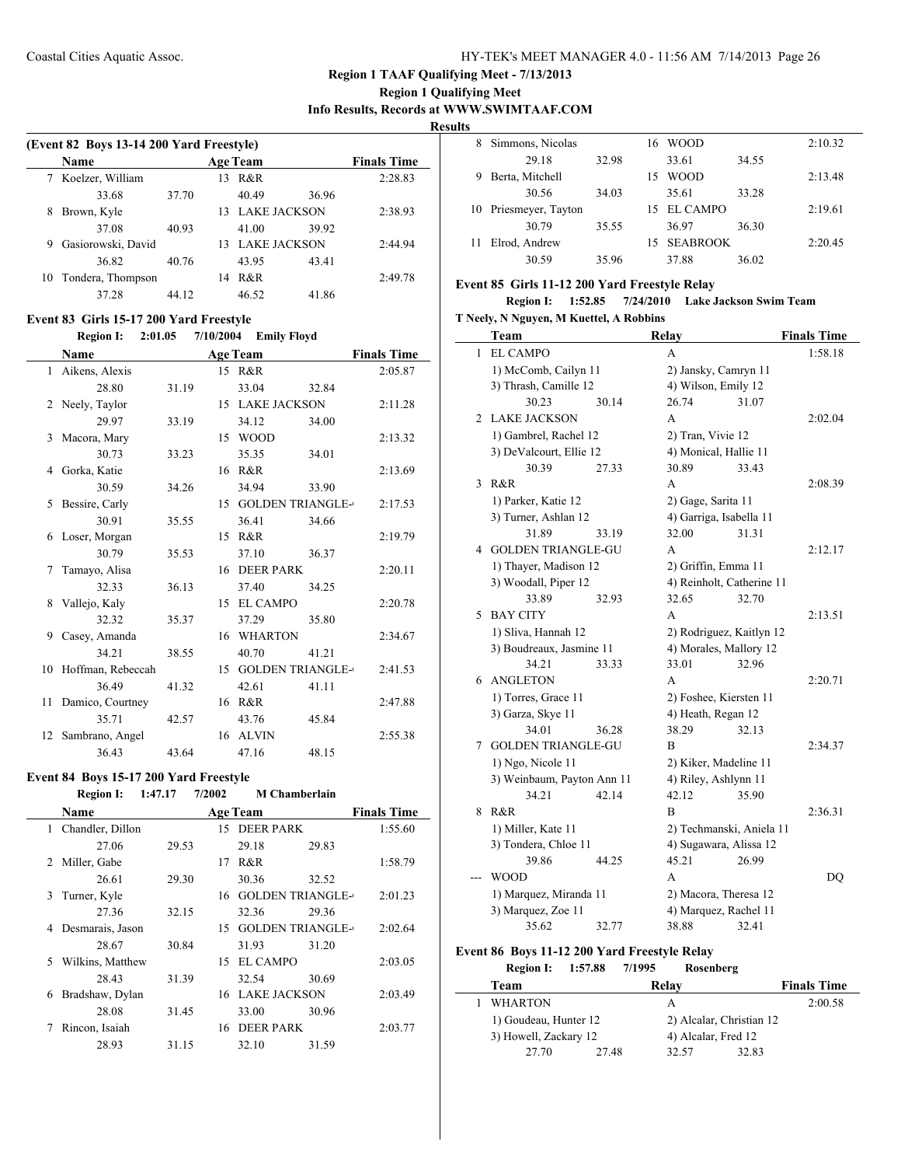### **Region 1 Qualifying Meet Info Results, Records at WWW.SWIMTAAF.COM**

**Results**

|    | (Event 82 Boys 13-14 200 Yard Freestyle) |       |     |                 |                 |                    |  |  |  |
|----|------------------------------------------|-------|-----|-----------------|-----------------|--------------------|--|--|--|
|    | <b>Name</b>                              |       |     | <b>Age Team</b> |                 | <b>Finals Time</b> |  |  |  |
|    | Koelzer, William                         |       | 13  | R&R             |                 | 2:28.83            |  |  |  |
|    | 33.68                                    | 37.70 |     | 40.49           | 36.96           |                    |  |  |  |
| 8  | Brown, Kyle                              |       |     |                 | 13 LAKE JACKSON | 2:38.93            |  |  |  |
|    | 37.08                                    | 40.93 |     | 41.00           | 39.92           |                    |  |  |  |
| 9  | Gasiorowski, David                       |       | 13. |                 | LAKE JACKSON    | 2:44.94            |  |  |  |
|    | 36.82                                    | 40.76 |     | 43.95           | 43.41           |                    |  |  |  |
| 10 | Tondera, Thompson                        |       | 14  | R&R             |                 | 2:49.78            |  |  |  |
|    | 37.28                                    | 44 12 |     | 46.52           | 41.86           |                    |  |  |  |
|    |                                          |       |     |                 |                 |                    |  |  |  |

### **Event 83 Girls 15-17 200 Yard Freestyle**

### **Region I: 2:01.05 7/10/2004 Emily Floyd**

|    | <b>Name</b>       |       |    | <b>Age Team</b>         |       | <b>Finals Time</b> |
|----|-------------------|-------|----|-------------------------|-------|--------------------|
|    | 1 Aikens, Alexis  |       |    | 15 R&R                  |       | 2:05.87            |
|    | 28.80             | 31.19 |    | 33.04                   | 32.84 |                    |
| 2  | Neely, Taylor     |       |    | 15 LAKE JACKSON         |       | 2:11.28            |
|    | 29.97             | 33.19 |    | 34.12                   | 34.00 |                    |
| 3  | Macora, Mary      |       |    | 15 WOOD                 |       | 2:13.32            |
|    | 30.73             | 33.23 |    | 35.35                   | 34.01 |                    |
| 4  | Gorka, Katie      |       |    | 16 R&R                  |       | 2:13.69            |
|    | 30.59             | 34.26 |    | 34.94                   | 33.90 |                    |
| 5  | Bessire, Carly    |       | 15 | <b>GOLDEN TRIANGLE-</b> |       | 2:17.53            |
|    | 30.91             | 35.55 |    | 36.41                   | 34.66 |                    |
| 6  | Loser, Morgan     |       | 15 | R&R                     |       | 2:19.79            |
|    | 30.79             | 35.53 |    | 37.10                   | 36.37 |                    |
| 7  | Tamayo, Alisa     |       |    | 16 DEER PARK            |       | 2:20.11            |
|    | 32.33             | 36.13 |    | 37.40                   | 34.25 |                    |
| 8  | Vallejo, Kaly     |       |    | 15 EL CAMPO             |       | 2:20.78            |
|    | 32.32             | 35.37 |    | 37.29                   | 35.80 |                    |
| 9  | Casey, Amanda     |       |    | 16 WHARTON              |       | 2:34.67            |
|    | 34.21             | 38.55 |    | 40.70                   | 41.21 |                    |
| 10 | Hoffman, Rebeccah |       | 15 | <b>GOLDEN TRIANGLE-</b> |       | 2:41.53            |
|    | 36.49             | 41.32 |    | 42.61                   | 41.11 |                    |
| 11 | Damico, Courtney  |       |    | 16 R&R                  |       | 2:47.88            |
|    | 35.71             | 42.57 |    | 43.76                   | 45.84 |                    |
| 12 | Sambrano, Angel   |       |    | 16 ALVIN                |       | 2:55.38            |
|    | 36.43             | 43.64 |    | 47.16                   | 48.15 |                    |

### **Event 84 Boys 15-17 200 Yard Freestyle Region I: 1:47.17 7/2002**

|                             | <b>Name</b>      |       |    | <b>Age Team</b>         |       | <b>Finals Time</b> |
|-----------------------------|------------------|-------|----|-------------------------|-------|--------------------|
| 1                           | Chandler, Dillon |       |    | 15 DEER PARK            |       | 1:55.60            |
|                             | 27.06            | 29.53 |    | 29.18                   | 29.83 |                    |
| $\mathcal{D}_{\mathcal{L}}$ | Miller, Gabe     |       | 17 | R&R                     |       | 1:58.79            |
|                             | 26.61            | 29.30 |    | 30.36                   | 32.52 |                    |
| 3                           | Turner, Kyle     |       | 16 | <b>GOLDEN TRIANGLE-</b> |       | 2:01.23            |
|                             | 27.36            | 32.15 |    | 32.36                   | 29.36 |                    |
| 4                           | Desmarais, Jason |       | 15 | <b>GOLDEN TRIANGLE-</b> |       | 2:02.64            |
|                             | 28.67            | 30.84 |    | 31.93                   | 31.20 |                    |
| 5.                          | Wilkins, Matthew |       | 15 | EL CAMPO                |       | 2:03.05            |
|                             | 28.43            | 31.39 |    | 32.54                   | 30.69 |                    |
| 6                           | Bradshaw, Dylan  |       | 16 | LAKE JACKSON            |       | 2:03.49            |
|                             | 28.08            | 31.45 |    | 33.00                   | 30.96 |                    |
|                             | Rincon, Isaiah   |       | 16 | <b>DEER PARK</b>        |       | 2:03.77            |
|                             | 28.93            | 31.15 |    | 32.10                   | 31.59 |                    |
|                             |                  |       |    |                         |       |                    |

| 8 | Simmons, Nicolas      |       | 16 | <b>WOOD</b> |       | 2:10.32 |
|---|-----------------------|-------|----|-------------|-------|---------|
|   | 29.18                 | 32.98 |    | 33.61       | 34.55 |         |
| 9 | Berta, Mitchell       |       | 15 | <b>WOOD</b> |       | 2:13.48 |
|   | 30.56                 | 34.03 |    | 35.61       | 33.28 |         |
|   | 10 Priesmeyer, Tayton |       |    | 15 EL CAMPO |       | 2:19.61 |
|   | 30.79                 | 35.55 |    | 36.97       | 36.30 |         |
|   | Elrod, Andrew         |       |    | 15 SEABROOK |       | 2:20.45 |
|   | 30.59                 | 35.96 |    | 37.88       | 36.02 |         |

#### **Event 85 Girls 11-12 200 Yard Freestyle Relay**

**Region I: 1:52.85 7/24/2010 Lake Jackson Swim Team T Neely, N Nguyen, M Kuettel, A Robbins**

|   | <b>Team</b>                |       | Relay                     |       | <b>Finals Time</b> |
|---|----------------------------|-------|---------------------------|-------|--------------------|
| 1 | <b>EL CAMPO</b>            |       | A                         |       | 1:58.18            |
|   | 1) McComb, Cailyn 11       |       | 2) Jansky, Camryn 11      |       |                    |
|   | 3) Thrash, Camille 12      |       | 4) Wilson, Emily 12       |       |                    |
|   | 30.23                      | 30.14 | 26.74                     | 31.07 |                    |
| 2 | <b>LAKE JACKSON</b>        |       | А                         |       | 2:02.04            |
|   | 1) Gambrel, Rachel 12      |       | 2) Tran, Vivie 12         |       |                    |
|   | 3) DeValcourt, Ellie 12    |       | 4) Monical, Hallie 11     |       |                    |
|   | 30.39                      | 27.33 | 30.89                     | 33.43 |                    |
| 3 | R&R                        |       | A                         |       | 2:08.39            |
|   | 1) Parker, Katie 12        |       | 2) Gage, Sarita 11        |       |                    |
|   | 3) Turner, Ashlan 12       |       | 4) Garriga, Isabella 11   |       |                    |
|   | 31.89                      | 33.19 | 32.00                     | 31.31 |                    |
| 4 | <b>GOLDEN TRIANGLE-GU</b>  |       | A                         |       | 2:12.17            |
|   | 1) Thayer, Madison 12      |       | 2) Griffin, Emma 11       |       |                    |
|   | 3) Woodall, Piper 12       |       | 4) Reinholt, Catherine 11 |       |                    |
|   | 33.89                      | 32.93 | 32.65                     | 32.70 |                    |
| 5 | <b>BAY CITY</b>            |       | A                         |       | 2:13.51            |
|   | 1) Sliva, Hannah 12        |       | 2) Rodriguez, Kaitlyn 12  |       |                    |
|   | 3) Boudreaux, Jasmine 11   |       | 4) Morales, Mallory 12    |       |                    |
|   | 34.21                      | 33.33 | 33.01                     | 32.96 |                    |
| 6 | <b>ANGLETON</b>            |       | A                         |       | 2:20.71            |
|   | 1) Torres, Grace 11        |       | 2) Foshee, Kiersten 11    |       |                    |
|   | 3) Garza, Skye 11          |       | 4) Heath, Regan 12        |       |                    |
|   | 34.01                      | 36.28 | 38.29                     | 32.13 |                    |
| 7 | <b>GOLDEN TRIANGLE-GU</b>  |       | B                         |       | 2:34.37            |
|   | 1) Ngo, Nicole 11          |       | 2) Kiker, Madeline 11     |       |                    |
|   | 3) Weinbaum, Payton Ann 11 |       | 4) Riley, Ashlynn 11      |       |                    |
|   | 34.21                      | 42.14 | 42.12                     | 35.90 |                    |
| 8 | R&R                        |       | B                         |       | 2:36.31            |
|   | 1) Miller, Kate 11         |       | 2) Techmanski, Aniela 11  |       |                    |
|   | 3) Tondera, Chloe 11       |       | 4) Sugawara, Alissa 12    |       |                    |
|   | 39.86                      | 44.25 | 45.21                     | 26.99 |                    |
|   | <b>WOOD</b>                |       | A                         |       | DQ                 |
|   | 1) Marquez, Miranda 11     |       | 2) Macora, Theresa 12     |       |                    |
|   | 3) Marquez, Zoe 11         |       | 4) Marquez, Rachel 11     |       |                    |
|   | 35.62                      | 32.77 | 38.88                     | 32.41 |                    |

### **Event 86 Boys 11-12 200 Yard Freestyle Relay**

## **Region I: 1:57.88 7/1995 Rosenberg**

| Team                  |       | Relav                    | <b>Finals Time</b> |
|-----------------------|-------|--------------------------|--------------------|
| <b>WHARTON</b>        |       | А                        | 2:00.58            |
| 1) Goudeau, Hunter 12 |       | 2) Alcalar, Christian 12 |                    |
| 3) Howell, Zackary 12 |       | 4) Alcalar, Fred 12      |                    |
| 27.70                 | 27.48 | 32.57                    | 32.83              |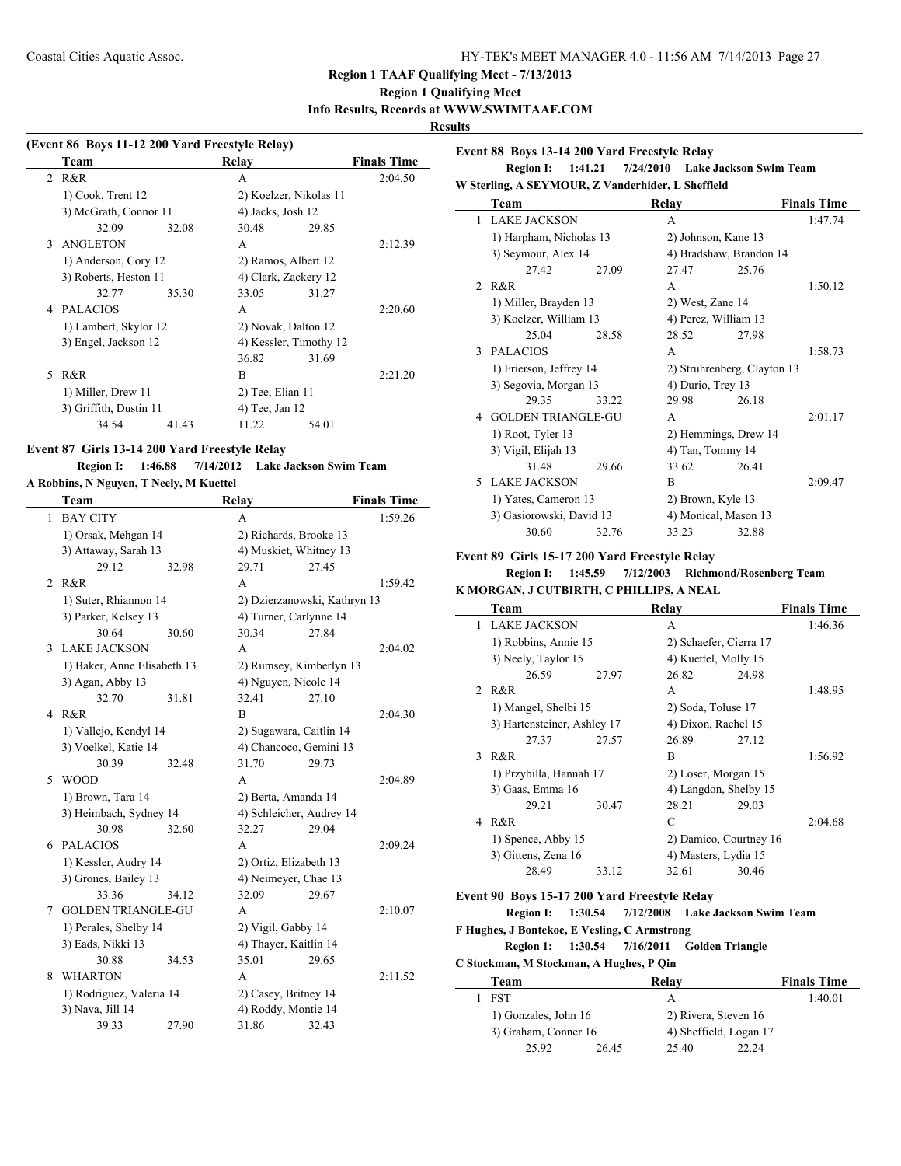### **Region 1 Qualifying Meet**

#### **Info Results, Records at WWW.SWIMTAAF.COM**

### **Results**

| (Event 86 Boys 11-12 200 Yard Freestyle Relay) |                        |       |                        |       |                    |  |
|------------------------------------------------|------------------------|-------|------------------------|-------|--------------------|--|
|                                                | Team                   |       | Relay                  |       | <b>Finals Time</b> |  |
|                                                | 2 R&R                  |       | A                      |       | 2:04.50            |  |
|                                                | 1) Cook, Trent 12      |       | 2) Koelzer, Nikolas 11 |       |                    |  |
|                                                | 3) McGrath, Connor 11  |       | 4) Jacks, Josh 12      |       |                    |  |
|                                                | 32.09                  | 32.08 | 30.48                  | 29.85 |                    |  |
| 3                                              | ANGLETON               |       | A                      |       | 2:12.39            |  |
|                                                | 1) Anderson, Cory 12   |       | 2) Ramos, Albert 12    |       |                    |  |
|                                                | 3) Roberts, Heston 11  |       | 4) Clark, Zackery 12   |       |                    |  |
|                                                | 32.77                  | 35.30 | 33.05                  | 31.27 |                    |  |
| 4                                              | <b>PALACIOS</b>        |       | A                      |       | 2:20.60            |  |
|                                                | 1) Lambert, Skylor 12  |       | 2) Novak, Dalton 12    |       |                    |  |
|                                                | 3) Engel, Jackson 12   |       | 4) Kessler, Timothy 12 |       |                    |  |
|                                                |                        |       | 36.82                  | 31.69 |                    |  |
| 5.                                             | R&R                    |       | B                      |       | 2:21.20            |  |
|                                                | 1) Miller, Drew 11     |       | 2) Tee, Elian 11       |       |                    |  |
|                                                | 3) Griffith, Dustin 11 |       | 4) Tee, Jan 12         |       |                    |  |
|                                                | 34.54                  | 41.43 | 11.22                  | 54.01 |                    |  |
|                                                |                        |       |                        |       |                    |  |

#### **Event 87 Girls 13-14 200 Yard Freestyle Relay**

## **Region I: 1:46.88 7/14/2012 Lake Jackson Swim Team**

### **A Robbins, N Nguyen, T Neely, M Kuettel**

|   | Team                        |       | Relay                    |                              | <b>Finals Time</b> |
|---|-----------------------------|-------|--------------------------|------------------------------|--------------------|
| 1 | <b>BAY CITY</b>             |       | A                        |                              | 1:59.26            |
|   | 1) Orsak, Mehgan 14         |       | 2) Richards, Brooke 13   |                              |                    |
|   | 3) Attaway, Sarah 13        |       | 4) Muskiet, Whitney 13   |                              |                    |
|   | 29.12                       | 32.98 | 29.71                    | 27.45                        |                    |
| 2 | R&R                         |       | A                        |                              | 1:59.42            |
|   | 1) Suter, Rhiannon 14       |       |                          | 2) Dzierzanowski, Kathryn 13 |                    |
|   | 3) Parker, Kelsey 13        |       | 4) Turner, Carlynne 14   |                              |                    |
|   | 30.64                       | 30.60 | 30.34                    | 27.84                        |                    |
| 3 | <b>LAKE JACKSON</b>         |       | A                        |                              | 2:04.02            |
|   | 1) Baker, Anne Elisabeth 13 |       | 2) Rumsey, Kimberlyn 13  |                              |                    |
|   | 3) Agan, Abby 13            |       | 4) Nguyen, Nicole 14     |                              |                    |
|   | 32.70                       | 31.81 | 32.41                    | 27.10                        |                    |
| 4 | R&R                         |       | B                        |                              | 2:04.30            |
|   | 1) Vallejo, Kendyl 14       |       | 2) Sugawara, Caitlin 14  |                              |                    |
|   | 3) Voelkel, Katie 14        |       | 4) Chancoco, Gemini 13   |                              |                    |
|   | 30.39                       | 32.48 | 31.70                    | 29.73                        |                    |
| 5 | <b>WOOD</b>                 |       | A                        |                              | 2:04.89            |
|   | 1) Brown, Tara 14           |       | 2) Berta, Amanda 14      |                              |                    |
|   | 3) Heimbach, Sydney 14      |       | 4) Schleicher, Audrey 14 |                              |                    |
|   | 30.98                       | 32.60 | 32.27                    | 29.04                        |                    |
| 6 | <b>PALACIOS</b>             |       | A                        |                              | 2:09.24            |
|   | 1) Kessler, Audry 14        |       | 2) Ortiz, Elizabeth 13   |                              |                    |
|   | 3) Grones, Bailey 13        |       | 4) Neimeyer, Chae 13     |                              |                    |
|   | 33.36                       | 34.12 | 32.09                    | 29.67                        |                    |
| 7 | <b>GOLDEN TRIANGLE-GU</b>   |       | A                        |                              | 2:10.07            |
|   | 1) Perales, Shelby 14       |       | 2) Vigil, Gabby 14       |                              |                    |
|   | 3) Eads, Nikki 13           |       | 4) Thayer, Kaitlin 14    |                              |                    |
|   | 30.88                       | 34.53 | 35.01                    | 29.65                        |                    |
| 8 | <b>WHARTON</b>              |       | A                        |                              | 2:11.52            |
|   | 1) Rodriguez, Valeria 14    |       | 2) Casey, Britney 14     |                              |                    |
|   | 3) Nava, Jill 14            |       | 4) Roddy, Montie 14      |                              |                    |
|   | 39.33                       | 27.90 | 31.86                    | 32.43                        |                    |

### **Event 88 Boys 13-14 200 Yard Freestyle Relay**

### **Region I: 1:41.21 7/24/2010 Lake Jackson Swim Team W Sterling, A SEYMOUR, Z Vanderhider, L Sheffield**

|                | Team                      |       | Relay                       |                         | <b>Finals Time</b> |  |
|----------------|---------------------------|-------|-----------------------------|-------------------------|--------------------|--|
| 1              | <b>LAKE JACKSON</b>       |       | A                           |                         | 1:47.74            |  |
|                | 1) Harpham, Nicholas 13   |       | 2) Johnson, Kane 13         |                         |                    |  |
|                | 3) Seymour, Alex 14       |       |                             | 4) Bradshaw, Brandon 14 |                    |  |
|                | 27.42                     | 27.09 | 27.47                       | 25.76                   |                    |  |
| $\mathfrak{D}$ | R&R                       |       | A                           |                         | 1:50.12            |  |
|                | 1) Miller, Brayden 13     |       | 2) West, Zane 14            |                         |                    |  |
|                | 3) Koelzer, William 13    |       | 4) Perez, William 13        |                         |                    |  |
|                | 25.04                     | 28.58 | 28.52                       | 27.98                   |                    |  |
| $\mathcal{F}$  | <b>PALACIOS</b>           |       | A                           |                         | 1:58.73            |  |
|                | 1) Frierson, Jeffrey 14   |       | 2) Struhrenberg, Clayton 13 |                         |                    |  |
|                | 3) Segovia, Morgan 13     |       | 4) Durio, Trey 13           |                         |                    |  |
|                | 29.35                     | 33.22 | 29.98                       | 26.18                   |                    |  |
| 4              | <b>GOLDEN TRIANGLE-GU</b> |       | A                           |                         | 2:01.17            |  |
|                | 1) Root, Tyler 13         |       | 2) Hemmings, Drew 14        |                         |                    |  |
|                | 3) Vigil, Elijah 13       |       | 4) Tan, Tommy 14            |                         |                    |  |
|                | 31.48                     | 29.66 | 33.62                       | 26.41                   |                    |  |
| 5.             | <b>LAKE JACKSON</b>       |       | B                           |                         | 2:09.47            |  |
|                | 1) Yates, Cameron 13      |       | 2) Brown, Kyle 13           |                         |                    |  |
|                | 3) Gasiorowski, David 13  |       | 4) Monical, Mason 13        |                         |                    |  |
|                | 30.60                     | 32.76 | 33.23                       | 32.88                   |                    |  |

### **Event 89 Girls 15-17 200 Yard Freestyle Relay**

### **Region I: 1:45.59 7/12/2003 Richmond/Rosenberg Team K MORGAN, J CUTBIRTH, C PHILLIPS, A NEAL**

|               | Team                        |       | Relay                  |       | <b>Finals Time</b> |
|---------------|-----------------------------|-------|------------------------|-------|--------------------|
|               | 1 LAKE JACKSON              |       | A                      |       | 1:46.36            |
|               | 1) Robbins, Annie 15        |       | 2) Schaefer, Cierra 17 |       |                    |
|               | 3) Neely, Taylor 15         |       | 4) Kuettel, Molly 15   |       |                    |
|               | 26.59                       | 27.97 | 26.82                  | 24.98 |                    |
|               | 2 R&R                       |       | A                      |       | 1:48.95            |
|               | 1) Mangel, Shelbi 15        |       | 2) Soda, Toluse 17     |       |                    |
|               | 3) Hartensteiner, Ashley 17 |       | 4) Dixon, Rachel 15    |       |                    |
|               | 27.37                       | 27.57 | 26.89                  | 27.12 |                    |
| $\mathcal{E}$ | R&R                         |       | B                      |       | 1:56.92            |
|               | 1) Przybilla, Hannah 17     |       | 2) Loser, Morgan 15    |       |                    |
|               | 3) Gaas, Emma 16            |       | 4) Langdon, Shelby 15  |       |                    |
|               | 29.21                       | 30.47 | 28.21                  | 29.03 |                    |
| 4             | R&R                         |       | C                      |       | 2:04.68            |
|               | 1) Spence, Abby 15          |       | 2) Damico, Courtney 16 |       |                    |
|               | 3) Gittens, Zena 16         |       | 4) Masters, Lydia 15   |       |                    |
|               | 28.49                       | 33.12 | 32.61                  | 30.46 |                    |
|               |                             |       |                        |       |                    |

## **Event 90 Boys 15-17 200 Yard Freestyle Relay**

**Region I: 1:30.54 7/12/2008 Lake Jackson Swim Team F Hughes, J Bontekoe, E Vesling, C Armstrong**

### **Region 1: 1:30.54 7/16/2011 Golden Triangle**

#### **C Stockman, M Stockman, A Hughes, P Qin**

| Team                 |       | Relav                  |       | <b>Finals Time</b> |
|----------------------|-------|------------------------|-------|--------------------|
| <b>FST</b>           |       |                        |       | 1:40.01            |
| 1) Gonzales, John 16 |       | 2) Rivera, Steven 16   |       |                    |
| 3) Graham, Conner 16 |       | 4) Sheffield, Logan 17 |       |                    |
| 25.92                | 26.45 | 25.40                  | 22.24 |                    |